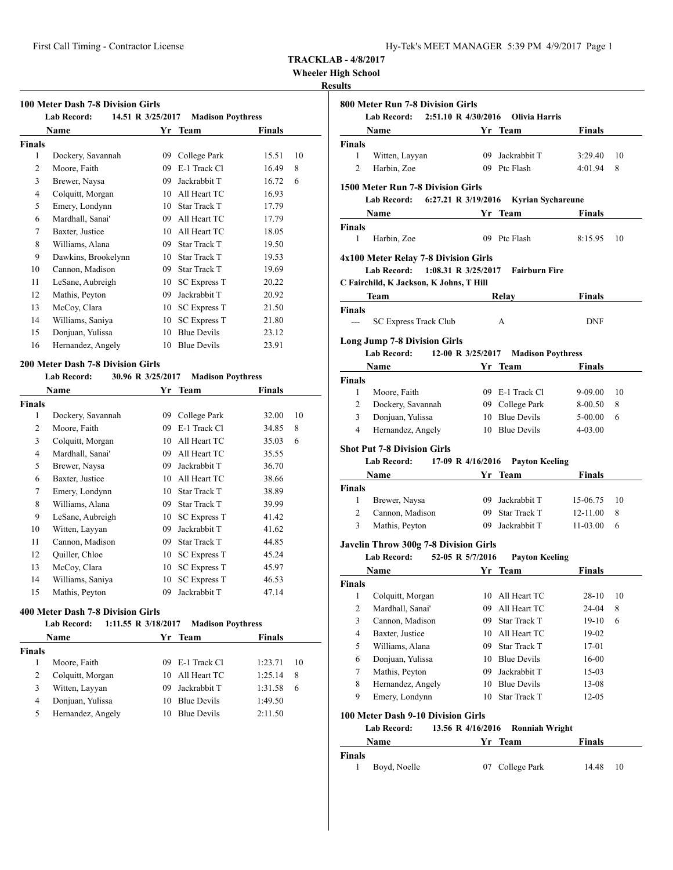**Wheeler High School**

## **Results**

|               | <b>Lab Record:</b>  | 14.51 R 3/25/2017 | <b>Madison Poythress</b> |        |    |
|---------------|---------------------|-------------------|--------------------------|--------|----|
|               | <b>Name</b>         |                   | Yr Team                  | Finals |    |
| <b>Finals</b> |                     |                   |                          |        |    |
| 1             | Dockery, Savannah   | 09                | College Park             | 15.51  | 10 |
| 2             | Moore, Faith        | 09                | E-1 Track Cl             | 16.49  | 8  |
| 3             | Brewer, Naysa       | 09                | Jackrabbit T             | 16.72  | 6  |
| 4             | Colquitt, Morgan    | 10                | All Heart TC             | 16.93  |    |
| 5             | Emery, Londynn      | 10                | <b>Star Track T</b>      | 17.79  |    |
| 6             | Mardhall, Sanai'    | 09                | All Heart TC             | 17.79  |    |
| 7             | Baxter, Justice     | 10                | All Heart TC             | 18.05  |    |
| 8             | Williams, Alana     | 09                | Star Track T             | 19.50  |    |
| 9             | Dawkins, Brookelynn | 10                | <b>Star Track T</b>      | 19.53  |    |
| 10            | Cannon, Madison     | 09                | <b>Star Track T</b>      | 19.69  |    |
| 11            | LeSane, Aubreigh    | 10                | SC Express T             | 20.22  |    |
| 12            | Mathis, Peyton      | 09                | Jackrabbit T             | 20.92  |    |
| 13            | McCoy, Clara        | 10                | <b>SC Express T</b>      | 21.50  |    |
| 14            | Williams, Saniya    | 10                | SC Express T             | 21.80  |    |
| 15            | Donjuan, Yulissa    | 10                | <b>Blue Devils</b>       | 23.12  |    |
| 16            | Hernandez, Angely   | 10                | <b>Blue Devils</b>       | 23.91  |    |

#### **Lab Record: 30.96 R 3/25/2017 Madison Poythress**

|        | Name              | Yr | <b>Team</b>         | Finals |    |
|--------|-------------------|----|---------------------|--------|----|
| Finals |                   |    |                     |        |    |
| 1      | Dockery, Savannah | 09 | College Park        | 32.00  | 10 |
| 2      | Moore, Faith      | 09 | E-1 Track C1        | 34.85  | 8  |
| 3      | Colquitt, Morgan  | 10 | All Heart TC        | 35.03  | 6  |
| 4      | Mardhall, Sanai'  | 09 | All Heart TC        | 35.55  |    |
| 5      | Brewer, Naysa     | 09 | Jackrabbit T        | 36.70  |    |
| 6      | Baxter, Justice   | 10 | All Heart TC        | 38.66  |    |
| 7      | Emery, Londynn    | 10 | <b>Star Track T</b> | 38.89  |    |
| 8      | Williams, Alana   | 09 | Star Track T        | 39.99  |    |
| 9      | LeSane, Aubreigh  | 10 | <b>SC Express T</b> | 41.42  |    |
| 10     | Witten, Layyan    | 09 | Jackrabbit T        | 41.62  |    |
| 11     | Cannon, Madison   | 09 | <b>Star Track T</b> | 44.85  |    |
| 12     | Quiller, Chloe    | 10 | <b>SC Express T</b> | 45.24  |    |
| 13     | McCoy, Clara      | 10 | <b>SC Express T</b> | 45.97  |    |
| 14     | Williams, Saniya  | 10 | <b>SC Express T</b> | 46.53  |    |
| 15     | Mathis, Peyton    | 09 | Jackrabbit T        | 47.14  |    |

## **400 Meter Dash 7-8 Division Girls**

|               | Lab Record:       | 1:11.55 R 3/18/2017 | <b>Madison Poythress</b> |               |    |
|---------------|-------------------|---------------------|--------------------------|---------------|----|
|               | <b>Name</b>       |                     | Yr Team                  | <b>Finals</b> |    |
| <b>Finals</b> |                   |                     |                          |               |    |
|               | Moore, Faith      | 09.                 | E-1 Track Cl             | 1:23.71       | 10 |
| 2             | Colquitt, Morgan  | 10                  | All Heart TC             | 1:25.14       | 8  |
| 3             | Witten, Layyan    | 09                  | Jackrabbit T             | 1:31.58       | 6  |
| 4             | Donjuan, Yulissa  | 10                  | <b>Blue Devils</b>       | 1:49.50       |    |
| 5             | Hernandez, Angely | 10                  | <b>Blue Devils</b>       | 2:11.50       |    |

|                       | 800 Meter Run 7-8 Division Girls<br>Lab Record: |                                              | 2:51.10 R 4/30/2016 Olivia Harris |               |    |  |  |  |  |
|-----------------------|-------------------------------------------------|----------------------------------------------|-----------------------------------|---------------|----|--|--|--|--|
|                       |                                                 |                                              |                                   |               |    |  |  |  |  |
|                       | Name                                            |                                              | Yr Team                           | Finals        |    |  |  |  |  |
| <b>Finals</b><br>1    |                                                 |                                              | 09 Jackrabbit T                   | 3:29.40       | 10 |  |  |  |  |
| $\overline{2}$        | Witten, Layyan<br>Harbin, Zoe                   |                                              | 09 Ptc Flash                      | 4:01.94       | 8  |  |  |  |  |
|                       |                                                 |                                              |                                   |               |    |  |  |  |  |
|                       | 1500 Meter Run 7-8 Division Girls               |                                              |                                   |               |    |  |  |  |  |
|                       | Lab Record: 6:27.21 R 3/19/2016                 |                                              | <b>Kyrian Sychareune</b>          |               |    |  |  |  |  |
|                       | Name                                            |                                              | <b>Example 18 Yr Team</b>         | <b>Finals</b> |    |  |  |  |  |
| <b>Finals</b>         |                                                 |                                              |                                   |               |    |  |  |  |  |
| $\mathbf{1}$          | Harbin, Zoe                                     |                                              | 09 Ptc Flash                      | 8:15.95       | 10 |  |  |  |  |
|                       | 4x100 Meter Relay 7-8 Division Girls            |                                              |                                   |               |    |  |  |  |  |
|                       | 1:08.31 R $3/25/2017$<br>Lab Record:            |                                              | <b>Fairburn Fire</b>              |               |    |  |  |  |  |
|                       | C Fairchild, K Jackson, K Johns, T Hill         |                                              |                                   |               |    |  |  |  |  |
|                       | Team                                            |                                              |                                   | Finals        |    |  |  |  |  |
|                       |                                                 |                                              | Relay                             |               |    |  |  |  |  |
| <b>Finals</b><br>$ -$ | <b>SC Express Track Club</b>                    |                                              | A                                 | DNF           |    |  |  |  |  |
|                       |                                                 |                                              |                                   |               |    |  |  |  |  |
|                       | <b>Long Jump 7-8 Division Girls</b>             |                                              |                                   |               |    |  |  |  |  |
|                       | 12-00 R 3/25/2017<br><b>Lab Record:</b>         |                                              | <b>Madison Poythress</b>          |               |    |  |  |  |  |
|                       | Name                                            |                                              | Yr Team                           | <b>Finals</b> |    |  |  |  |  |
| <b>Finals</b>         |                                                 |                                              |                                   |               |    |  |  |  |  |
| $\mathbf{1}$          | Moore, Faith                                    |                                              | 09 E-1 Track Cl                   | 9-09.00       | 10 |  |  |  |  |
| 2                     | Dockery, Savannah                               |                                              | 09 College Park                   | 8-00.50       | 8  |  |  |  |  |
| 3                     | Donjuan, Yulissa                                |                                              | 10 Blue Devils                    | 5-00.00       | 6  |  |  |  |  |
| 4                     | Hernandez, Angely                               |                                              | 10 Blue Devils                    | 4-03.00       |    |  |  |  |  |
|                       | <b>Shot Put 7-8 Division Girls</b>              |                                              |                                   |               |    |  |  |  |  |
|                       | Lab Record: 17-09 R 4/16/2016                   |                                              | <b>Payton Keeling</b>             |               |    |  |  |  |  |
|                       | Name Yr Team                                    |                                              |                                   | Finals        |    |  |  |  |  |
| <b>Finals</b>         |                                                 |                                              |                                   |               |    |  |  |  |  |
| 1                     | Brewer, Naysa                                   |                                              | 09 Jackrabbit T                   | 15-06.75      | 10 |  |  |  |  |
| $\overline{c}$        | Cannon, Madison                                 |                                              | 09 Star Track T                   | 12-11.00      | 8  |  |  |  |  |
| 3                     | Mathis, Peyton                                  |                                              | 09 Jackrabbit T                   | $11 - 03.00$  | 6  |  |  |  |  |
|                       |                                                 |                                              |                                   |               |    |  |  |  |  |
|                       |                                                 | <b>Javelin Throw 300g 7-8 Division Girls</b> |                                   |               |    |  |  |  |  |
|                       |                                                 |                                              |                                   |               |    |  |  |  |  |
|                       | Lab Record: 52-05 R 5/7/2016                    |                                              | <b>Payton Keeling</b>             |               |    |  |  |  |  |
|                       | Name                                            |                                              | Yr Team                           | Finals        |    |  |  |  |  |
| <b>Finals</b>         |                                                 |                                              |                                   |               |    |  |  |  |  |
| 1                     | Colquitt, Morgan                                |                                              | 10 All Heart TC                   | $28 - 10$     | 10 |  |  |  |  |
| 2                     | Mardhall, Sanai'                                |                                              | 09 All Heart TC                   | 24-04         | 8  |  |  |  |  |
| 3                     | Cannon, Madison                                 |                                              | 09 Star Track T                   | 19-10         | 6  |  |  |  |  |
| 4                     | Baxter, Justice                                 |                                              | 10 All Heart TC                   | 19-02         |    |  |  |  |  |
| 5                     | Williams, Alana                                 |                                              | 09 Star Track T                   | 17-01         |    |  |  |  |  |
| 6                     | Donjuan, Yulissa                                |                                              | 10 Blue Devils                    | 16-00         |    |  |  |  |  |
| 7                     | Mathis, Peyton                                  |                                              | 09 Jackrabbit T                   | 15-03         |    |  |  |  |  |
| 8                     | Hernandez, Angely                               |                                              | 10 Blue Devils                    | 13-08         |    |  |  |  |  |
| 9                     | Emery, Londynn                                  |                                              | 10 Star Track T                   | 12-05         |    |  |  |  |  |
|                       |                                                 |                                              |                                   |               |    |  |  |  |  |
|                       | 100 Meter Dash 9-10 Division Girls              |                                              |                                   |               |    |  |  |  |  |
|                       | <b>Lab Record:</b><br>13.56 R 4/16/2016         |                                              | <b>Ronniah Wright</b>             |               |    |  |  |  |  |
|                       | Name                                            |                                              | Yr Team                           | Finals        |    |  |  |  |  |
| Finals<br>1           | Boyd, Noelle                                    | 07                                           | College Park                      | 14.48         | 10 |  |  |  |  |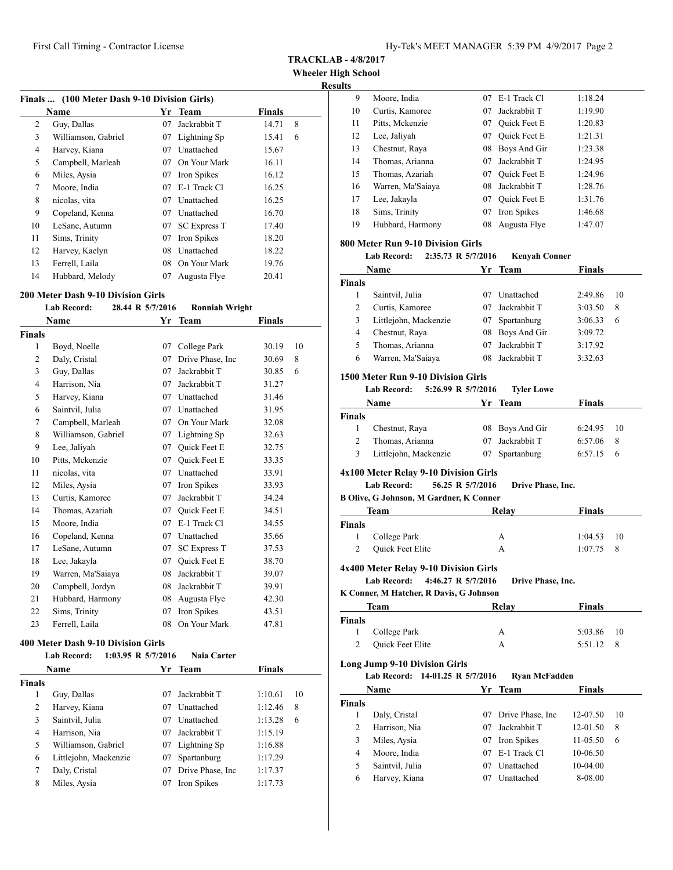**TRACKLAB - 4/8/2017**

**Wheeler High School**

## **Results**

| Finals  (100 Meter Dash 9-10 Division Girls) |                     |    |                     |               |   |
|----------------------------------------------|---------------------|----|---------------------|---------------|---|
|                                              | <b>Name</b>         | Yr | <b>Team</b>         | <b>Finals</b> |   |
| 2                                            | Guy, Dallas         | 07 | Jackrabbit T        | 14.71         | 8 |
| 3                                            | Williamson, Gabriel | 07 | Lightning Sp        | 15.41         | 6 |
| 4                                            | Harvey, Kiana       | 07 | Unattached          | 15.67         |   |
| 5                                            | Campbell, Marleah   | 07 | On Your Mark        | 16.11         |   |
| 6                                            | Miles, Aysia        | 07 | Iron Spikes         | 16.12         |   |
| 7                                            | Moore, India        | 07 | E-1 Track Cl        | 16.25         |   |
| 8                                            | nicolas, vita       | 07 | Unattached          | 16.25         |   |
| 9                                            | Copeland, Kenna     | 07 | Unattached          | 16.70         |   |
| 10                                           | LeSane, Autumn      | 07 | <b>SC Express T</b> | 17.40         |   |
| 11                                           | Sims, Trinity       | 07 | Iron Spikes         | 18.20         |   |
| 12                                           | Harvey, Kaelyn      | 08 | Unattached          | 18.22         |   |
| 13                                           | Ferrell, Laila      | 08 | On Your Mark        | 19.76         |   |
| 14                                           | Hubbard, Melody     | 07 | Augusta Flye        | 20.41         |   |

#### **200 Meter Dash 9-10 Division Girls**

|                | <b>Lab Record:</b>  | 28.44 R 5/7/2016 | <b>Ronniah Wright</b> |               |    |
|----------------|---------------------|------------------|-----------------------|---------------|----|
|                | Name                | Yr               | Team                  | <b>Finals</b> |    |
| Finals         |                     |                  |                       |               |    |
| 1              | Boyd, Noelle        | 07               | College Park          | 30.19         | 10 |
| 2              | Daly, Cristal       | 07               | Drive Phase, Inc.     | 30.69         | 8  |
| 3              | Guy, Dallas         | 07               | Jackrabbit T          | 30.85         | 6  |
| $\overline{4}$ | Harrison, Nia       | 07               | Jackrabbit T          | 31.27         |    |
| 5              | Harvey, Kiana       | 07               | Unattached            | 31.46         |    |
| 6              | Saintvil, Julia     | 07               | Unattached            | 31.95         |    |
| 7              | Campbell, Marleah   | 07               | On Your Mark          | 32.08         |    |
| 8              | Williamson, Gabriel | 07               | Lightning Sp          | 32.63         |    |
| 9              | Lee, Jaliyah        | 07               | Quick Feet E          | 32.75         |    |
| 10             | Pitts, Mckenzie     | 07               | <b>Ouick Feet E</b>   | 33.35         |    |
| 11             | nicolas, vita       | 07               | Unattached            | 33.91         |    |
| 12             | Miles, Aysia        | 07               | Iron Spikes           | 33.93         |    |
| 13             | Curtis, Kamoree     | 07               | Jackrabbit T          | 34.24         |    |
| 14             | Thomas, Azariah     | 07               | <b>Ouick Feet E</b>   | 34.51         |    |
| 15             | Moore, India        | 07               | E-1 Track Cl          | 34.55         |    |
| 16             | Copeland, Kenna     | 07               | Unattached            | 35.66         |    |
| 17             | LeSane, Autumn      | 07               | <b>SC Express T</b>   | 37.53         |    |
| 18             | Lee, Jakayla        | 07               | <b>Ouick Feet E</b>   | 38.70         |    |
| 19             | Warren, Ma'Saiaya   | 08               | Jackrabbit T          | 39.07         |    |
| 20             | Campbell, Jordyn    | 08               | Jackrabbit T          | 39.91         |    |
| 21             | Hubbard, Harmony    | 08               | Augusta Flye          | 42.30         |    |
| 22             | Sims, Trinity       | 07               | Iron Spikes           | 43.51         |    |
| 23             | Ferrell, Laila      | 08               | On Your Mark          | 47.81         |    |
|                |                     |                  |                       |               |    |

#### **400 Meter Dash 9-10 Division Girls**

|                | <b>Lab Record:</b>    | 1:03.95 R $5/7/2016$ | Naia Carter       |               |    |
|----------------|-----------------------|----------------------|-------------------|---------------|----|
|                | Name                  |                      | Yr Team           | <b>Finals</b> |    |
| <b>Finals</b>  |                       |                      |                   |               |    |
| 1              | Guy, Dallas           | 07                   | Jackrabbit T      | 1:10.61       | 10 |
| 2              | Harvey, Kiana         | 07                   | Unattached        | 1:12.46       | 8  |
| 3              | Saintvil, Julia       | 07                   | Unattached        | 1:13.28       | 6  |
| $\overline{4}$ | Harrison, Nia         | 07                   | Jackrabbit T      | 1:15.19       |    |
| 5              | Williamson, Gabriel   | 07                   | Lightning Sp      | 1:16.88       |    |
| 6              | Littlejohn, Mackenzie | 07                   | Spartanburg       | 1:17.29       |    |
| 7              | Daly, Cristal         | 07                   | Drive Phase, Inc. | 1:17.37       |    |
| 8              | Miles, Aysia          | 07                   | Iron Spikes       | 1:17.73       |    |

| шэ |                   |    |                     |         |
|----|-------------------|----|---------------------|---------|
| 9  | Moore, India      | 07 | E-1 Track C1        | 1:18.24 |
| 10 | Curtis, Kamoree   | 07 | Jackrabbit T        | 1:19.90 |
| 11 | Pitts, Mckenzie   | 07 | Quick Feet E        | 1:20.83 |
| 12 | Lee, Jaliyah      | 07 | Quick Feet E        | 1:21.31 |
| 13 | Chestnut, Raya    | 08 | Boys And Gir        | 1:23.38 |
| 14 | Thomas, Arianna   | 07 | Jackrabbit T        | 1:24.95 |
| 15 | Thomas, Azariah   | 07 | <b>Ouick Feet E</b> | 1:24.96 |
| 16 | Warren, Ma'Saiaya | 08 | Jackrabbit T        | 1:28.76 |
| 17 | Lee, Jakayla      | 07 | <b>Ouick Feet E</b> | 1:31.76 |
| 18 | Sims, Trinity     | 07 | Iron Spikes         | 1:46.68 |
| 19 | Hubbard, Harmony  | 08 | Augusta Flye        | 1:47.07 |
|    |                   |    |                     |         |

## **800 Meter Run 9-10 Division Girls**

## **Lab Record: 2:35.73 R 5/7/2016 Kenyah Conner**

|               | <b>Name</b>           | Yr Team         | <b>Finals</b> |    |
|---------------|-----------------------|-----------------|---------------|----|
| <b>Finals</b> |                       |                 |               |    |
|               | Saintvil, Julia       | Unattached      | 2:49.86       | 10 |
|               | Curtis, Kamoree       | Jackrabbit T    | 3:03.50       | 8  |
| 3             | Littlejohn, Mackenzie | 07 Spartanburg  | 3:06.33       | 6  |
| 4             | Chestnut, Raya        | 08 Boys And Gir | 3:09.72       |    |
| 5             | Thomas, Arianna       | Jackrabbit T    | 3:17.92       |    |
| 6             | Warren, Ma'Saiaya     | Jackrabbit T    | 3:32.63       |    |

#### **1500 Meter Run 9-10 Division Girls**

#### **Lab Record: 5:26.99 R 5/7/2016 Tyler Lowe**

|               | Name                  | Yr Team         | Finals       |     |
|---------------|-----------------------|-----------------|--------------|-----|
| <b>Finals</b> |                       |                 |              |     |
|               | Chestnut, Raya        | 08 Boys And Gir | $6:24.95$ 10 |     |
| 2             | Thomas, Arianna       | 07 Jackrabbit T | $6:57.06$ 8  |     |
| 3             | Littlejohn, Mackenzie | 07 Spartanburg  | 6:57.15      | - 6 |

#### **4x100 Meter Relay 9-10 Division Girls**

#### **Lab Record: 56.25 R 5/7/2016 Drive Phase, Inc.**

**B Olive, G Johnson, M Gardner, K Conner**

|               | Team             | Relay | <b>Finals</b> |
|---------------|------------------|-------|---------------|
| <b>Finals</b> |                  |       |               |
| 1             | College Park     | А     | $1:04.53$ 10  |
| 2             | Quick Feet Elite | А     | $1:07.75$ 8   |

#### **4x400 Meter Relay 9-10 Division Girls**

**Lab Record: 4:46.27 R 5/7/2016 Drive Phase, Inc.**

**K Conner, M Hatcher, R Davis, G Johnson**

| Team          |                  | Relav | <b>Finals</b> |  |
|---------------|------------------|-------|---------------|--|
| <b>Finals</b> |                  |       |               |  |
|               | 1 College Park   | А     | 5:03.86 10    |  |
| 2             | Quick Feet Elite |       | 5:51.12<br>-8 |  |

#### **Long Jump 9-10 Division Girls**

**Lab Record: 14-01.25 R 5/7/2016 Ryan McFadden**

| <b>Name</b>   |                 |     | Yr Team              | <b>Finals</b> |    |
|---------------|-----------------|-----|----------------------|---------------|----|
| <b>Finals</b> |                 |     |                      |               |    |
|               | Daly, Cristal   |     | 07 Drive Phase, Inc. | 12-07.50      | 10 |
| 2             | Harrison, Nia   | 07  | Jackrabbit T         | 12-01.50      | 8  |
| 3             | Miles, Aysia    | 07  | Iron Spikes          | 11-05.50      | 6  |
| 4             | Moore, India    | 07. | E-1 Track Cl         | 10-06.50      |    |
| 5             | Saintvil, Julia | 07  | Unattached           | 10-04.00      |    |
| 6             | Harvey, Kiana   | 07  | Unattached           | 8-08.00       |    |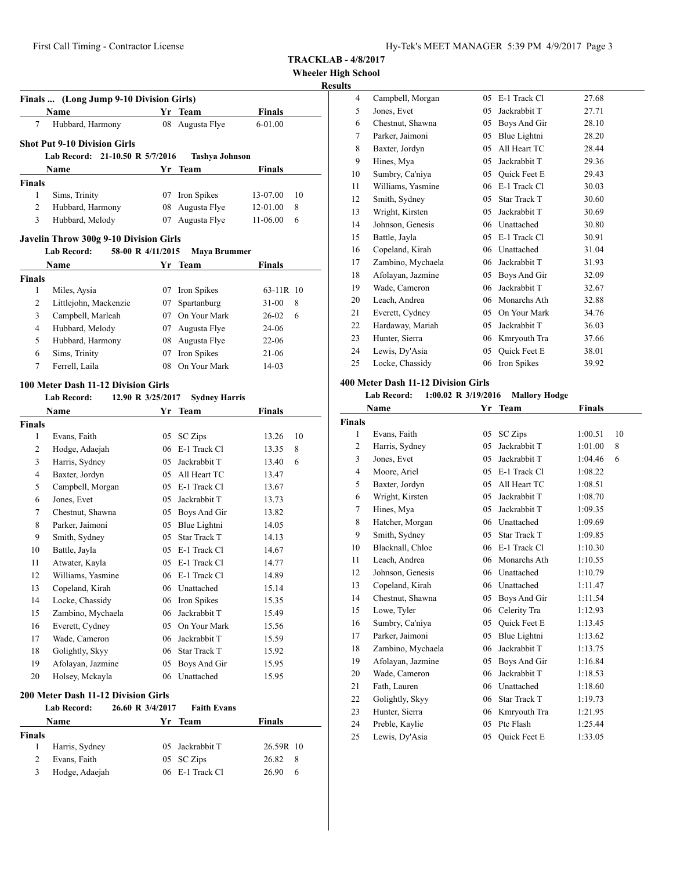**Wheeler High School**

## **Results**

|               | Finals  (Long Jump 9-10 Division Girls) |    |                       |               |    |
|---------------|-----------------------------------------|----|-----------------------|---------------|----|
|               | <b>Name</b>                             |    | Yr Team               | <b>Finals</b> |    |
| 7             | Hubbard, Harmony                        |    | 08 Augusta Flye       | 6-01.00       |    |
|               | <b>Shot Put 9-10 Division Girls</b>     |    |                       |               |    |
|               | Lab Record: 21-10.50 R 5/7/2016         |    | <b>Tashva Johnson</b> |               |    |
|               | Name                                    |    | Yr Team               | <b>Finals</b> |    |
| <b>Finals</b> |                                         |    |                       |               |    |
| 1             | Sims, Trinity                           | 07 | Iron Spikes           | 13-07.00      | 10 |
| 2             | Hubbard, Harmony                        | 08 | Augusta Flye          | $12 - 01.00$  | 8  |
| 3             | Hubbard, Melody                         | 07 | Augusta Flye          | $11-06.00$    | 6  |
|               | Javelin Throw 300g 9-10 Division Girls  |    |                       |               |    |

#### **Lab Record: 58-00 R 4/11/2015 Maya Brummer**

|               | <b>Name</b>           |    | Yr Team         | <b>Finals</b>  |
|---------------|-----------------------|----|-----------------|----------------|
| <b>Finals</b> |                       |    |                 |                |
|               | Miles, Aysia          |    | 07 Iron Spikes  | 63-11R 10      |
| 2             | Littlejohn, Mackenzie |    | 07 Spartanburg  | $31 - 00$<br>8 |
| 3             | Campbell, Marleah     | 07 | On Your Mark    | 26-02<br>6     |
| 4             | Hubbard, Melody       |    | 07 Augusta Flye | 24-06          |
| 5             | Hubbard, Harmony      |    | 08 Augusta Flye | $22 - 06$      |
| 6             | Sims, Trinity         |    | 07 Iron Spikes  | $21-06$        |
| 7             | Ferrell, Laila        | 08 | On Your Mark    | $14-03$        |
|               |                       |    |                 |                |

#### **100 Meter Dash 11-12 Division Girls**

#### **Lab Record: 12.90 R 3/25/2017 Sydney Harris**

|                | Name                                |    | Yr Team             | Finals |    |
|----------------|-------------------------------------|----|---------------------|--------|----|
| <b>Finals</b>  |                                     |    |                     |        |    |
| 1              | Evans, Faith                        | 05 | <b>SC</b> Zips      | 13.26  | 10 |
| 2              | Hodge, Adaejah                      | 06 | E-1 Track Cl        | 13.35  | 8  |
| 3              | Harris, Sydney                      | 05 | Jackrabbit T        | 13.40  | 6  |
| $\overline{4}$ | Baxter, Jordyn                      | 05 | All Heart TC        | 13.47  |    |
| 5              | Campbell, Morgan                    | 05 | E-1 Track Cl        | 13.67  |    |
| 6              | Jones, Evet                         | 05 | Jackrabbit T        | 13.73  |    |
| 7              | Chestnut, Shawna                    | 05 | Boys And Gir        | 13.82  |    |
| 8              | Parker, Jaimoni                     | 05 | Blue Lightni        | 14.05  |    |
| 9              | Smith, Sydney                       | 05 | Star Track T        | 14.13  |    |
| 10             | Battle, Jayla                       | 05 | E-1 Track Cl        | 14.67  |    |
| 11             | Atwater, Kayla                      | 05 | E-1 Track Cl        | 14.77  |    |
| 12             | Williams, Yasmine                   | 06 | E-1 Track Cl        | 14.89  |    |
| 13             | Copeland, Kirah                     | 06 | Unattached          | 15.14  |    |
| 14             | Locke, Chassidy                     | 06 | Iron Spikes         | 15.35  |    |
| 15             | Zambino, Mychaela                   | 06 | Jackrabbit T        | 15.49  |    |
| 16             | Everett, Cydney                     | 05 | On Your Mark        | 15.56  |    |
| 17             | Wade, Cameron                       | 06 | Jackrabbit T        | 15.59  |    |
| 18             | Golightly, Skyy                     | 06 | <b>Star Track T</b> | 15.92  |    |
| 19             | Afolayan, Jazmine                   | 05 | Boys And Gir        | 15.95  |    |
| 20             | Holsey, Mckayla                     | 06 | Unattached          | 15.95  |    |
|                | 200 Meter Dash 11-12 Division Girls |    |                     |        |    |

|        | Lab Record:    | 26.60 R 3/4/2017 | <b>Faith Evans</b> |           |    |
|--------|----------------|------------------|--------------------|-----------|----|
|        | Name           |                  | Yr Team            | Finals    |    |
| Finals |                |                  |                    |           |    |
|        | Harris, Sydney |                  | 05 Jackrabbit T    | 26.59R 10 |    |
|        | Evans, Faith   |                  | 05 SC Zips         | 26.82     | -8 |
|        | Hodge, Adaejah |                  | 06 E-1 Track Cl    | 26.90     | 6  |

| э              |                   |    |                     |       |
|----------------|-------------------|----|---------------------|-------|
| $\overline{4}$ | Campbell, Morgan  | 05 | E-1 Track Cl        | 27.68 |
| 5              | Jones, Evet       | 05 | Jackrabbit T        | 27.71 |
| 6              | Chestnut, Shawna  | 05 | Boys And Gir        | 28.10 |
| 7              | Parker, Jaimoni   | 05 | Blue Lightni        | 28.20 |
| 8              | Baxter, Jordyn    | 05 | All Heart TC        | 28.44 |
| 9              | Hines, Mya        | 05 | Jackrabbit T        | 29.36 |
| 10             | Sumbry, Ca'niya   | 05 | Quick Feet E        | 29.43 |
| 11             | Williams, Yasmine | 06 | E-1 Track Cl        | 30.03 |
| 12             | Smith, Sydney     | 05 | Star Track T        | 30.60 |
| 13             | Wright, Kirsten   | 05 | Jackrabbit T        | 30.69 |
| 14             | Johnson, Genesis  | 06 | Unattached          | 30.80 |
| 15             | Battle, Jayla     | 05 | E-1 Track Cl        | 30.91 |
| 16             | Copeland, Kirah   | 06 | Unattached          | 31.04 |
| 17             | Zambino, Mychaela | 06 | Jackrabbit T        | 31.93 |
| 18             | Afolayan, Jazmine | 05 | Boys And Gir        | 32.09 |
| 19             | Wade, Cameron     | 06 | Jackrabbit T        | 32.67 |
| 20             | Leach, Andrea     | 06 | Monarchs Ath        | 32.88 |
| 21             | Everett, Cydney   | 05 | On Your Mark        | 34.76 |
| 22             | Hardaway, Mariah  | 05 | Jackrabbit T        | 36.03 |
| 23             | Hunter, Sierra    | 06 | Kmryouth Tra        | 37.66 |
| 24             | Lewis, Dy'Asia    | 05 | <b>Ouick Feet E</b> | 38.01 |
| 25             | Locke, Chassidy   | 06 | Iron Spikes         | 39.92 |

## **400 Meter Dash 11-12 Division Girls**

## **Lab Record: 1:00.02 R 3/19/2016 Mallory Hodge**

| Name           |                   | Yr | <b>Team</b>         | <b>Finals</b> |    |
|----------------|-------------------|----|---------------------|---------------|----|
| <b>Finals</b>  |                   |    |                     |               |    |
| 1              | Evans, Faith      | 05 | <b>SC</b> Zips      | 1:00.51       | 10 |
| $\overline{c}$ | Harris, Sydney    | 05 | Jackrabbit T        | 1:01.00       | 8  |
| 3              | Jones, Evet       | 05 | Jackrabbit T        | 1:04.46       | 6  |
| $\overline{4}$ | Moore, Ariel      | 05 | E-1 Track Cl        | 1:08.22       |    |
| 5              | Baxter, Jordyn    | 05 | All Heart TC        | 1:08.51       |    |
| 6              | Wright, Kirsten   | 05 | Jackrabbit T        | 1:08.70       |    |
| 7              | Hines, Mya        | 05 | Jackrabbit T        | 1:09.35       |    |
| 8              | Hatcher, Morgan   | 06 | Unattached          | 1:09.69       |    |
| 9              | Smith, Sydney     | 05 | <b>Star Track T</b> | 1:09.85       |    |
| 10             | Blacknall, Chloe  | 06 | E-1 Track Cl        | 1:10.30       |    |
| 11             | Leach, Andrea     | 06 | Monarchs Ath        | 1:10.55       |    |
| 12             | Johnson, Genesis  | 06 | Unattached          | 1:10.79       |    |
| 13             | Copeland, Kirah   | 06 | Unattached          | 1:11.47       |    |
| 14             | Chestnut, Shawna  | 05 | Boys And Gir        | 1:11.54       |    |
| 15             | Lowe, Tyler       | 06 | Celerity Tra        | 1:12.93       |    |
| 16             | Sumbry, Ca'niya   | 05 | <b>Ouick Feet E</b> | 1:13.45       |    |
| 17             | Parker, Jaimoni   | 05 | Blue Lightni        | 1:13.62       |    |
| 18             | Zambino, Mychaela | 06 | Jackrabbit T        | 1:13.75       |    |
| 19             | Afolayan, Jazmine | 05 | Boys And Gir        | 1:16.84       |    |
| 20             | Wade, Cameron     | 06 | Jackrabbit T        | 1:18.53       |    |
| 21             | Fath, Lauren      | 06 | Unattached          | 1:18.60       |    |
| 22             | Golightly, Skyy   | 06 | <b>Star Track T</b> | 1:19.73       |    |
| 23             | Hunter, Sierra    | 06 | Kmryouth Tra        | 1:21.95       |    |
| 24             | Preble, Kaylie    | 05 | Ptc Flash           | 1:25.44       |    |
| 25             | Lewis, Dy'Asia    | 05 | Quick Feet E        | 1:33.05       |    |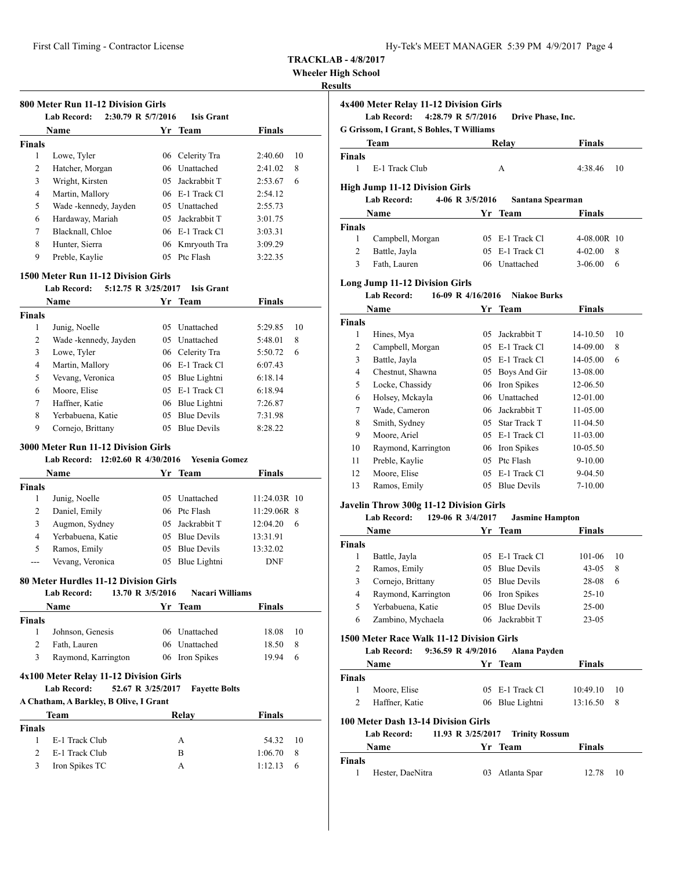**Wheeler High School**

## **Results**

| <b>Finals</b><br>1<br>2<br>3 | Lowe, Tyler<br>Hatcher, Morgan | 06  | Celerity Tra      |         |    |
|------------------------------|--------------------------------|-----|-------------------|---------|----|
|                              |                                |     |                   |         |    |
|                              |                                |     |                   | 2:40.60 | 10 |
|                              |                                | 06  | Unattached        | 2:41.02 | 8  |
|                              | Wright, Kirsten                | 05. | Jackrabbit T      | 2:53.67 | 6  |
| 4                            | Martin, Mallory                |     | 06 E-1 Track Cl   | 2:54.12 |    |
| 5                            | Wade -kennedy, Jayden          |     | 05 Unattached     | 2:55.73 |    |
| 6                            | Hardaway, Mariah               | 05  | Jackrabbit T      | 3:01.75 |    |
| 7                            | Blacknall, Chloe               |     | $06$ E-1 Track Cl | 3:03.31 |    |
| 8                            | Hunter, Sierra                 |     | 06 Kmryouth Tra   | 3:09.29 |    |
| 9                            | Preble, Kaylie                 | 05  | Ptc Flash         | 3:22.35 |    |

#### **1500 Meter Run 11-12 Division Girls**

|        | 5:12.75 R 3/25/2017<br><b>Lab Record:</b> |    | <b>Isis Grant</b>  |               |    |
|--------|-------------------------------------------|----|--------------------|---------------|----|
|        | Name                                      |    | Yr Team            | <b>Finals</b> |    |
| Finals |                                           |    |                    |               |    |
| 1      | Junig, Noelle                             | 05 | Unattached         | 5:29.85       | 10 |
| 2      | Wade -kennedy, Jayden                     |    | 05 Unattached      | 5:48.01       | 8  |
| 3      | Lowe, Tyler                               |    | 06 Celerity Tra    | 5:50.72       | 6  |
| 4      | Martin, Mallory                           |    | 06 E-1 Track Cl    | 6:07.43       |    |
| 5      | Vevang, Veronica                          |    | 05 Blue Lightni    | 6:18.14       |    |
| 6      | Moore, Elise                              |    | 05 E-1 Track Cl    | 6:18.94       |    |
| 7      | Haffner, Katie                            | 06 | Blue Lightni       | 7:26.87       |    |
| 8      | Yerbabuena. Katie                         | 05 | <b>Blue Devils</b> | 7:31.98       |    |
| 9      | Cornejo, Brittany                         | 05 | <b>Blue Devils</b> | 8:28.22       |    |

## **3000 Meter Run 11-12 Division Girls**

## **Lab Record: 12:02.60 R 4/30/2016 Yesenia Gomez**

| <b>Name</b> |                   |    | Yr Team         | <b>Finals</b> |
|-------------|-------------------|----|-----------------|---------------|
| Finals      |                   |    |                 |               |
|             | Junig, Noelle     |    | 05 Unattached   | 11:24.03R 10  |
| 2           | Daniel, Emily     |    | 06 Ptc Flash    | 11:29.06R 8   |
|             | Augmon, Sydney    |    | 05 Jackrabbit T | 12:04.20<br>6 |
| 4           | Yerbabuena, Katie |    | 05 Blue Devils  | 13:31.91      |
| 5           | Ramos, Emily      |    | 05 Blue Devils  | 13:32.02      |
|             | Vevang, Veronica  | 05 | Blue Lightni    | <b>DNF</b>    |

## **80 Meter Hurdles 11-12 Division Girls**

|                             | <b>Lab Record:</b><br>13.70 R 3/5/2016 |    | <b>Nacari Williams</b> |               |    |
|-----------------------------|----------------------------------------|----|------------------------|---------------|----|
|                             | Name                                   |    | Yr Team                | <b>Finals</b> |    |
| <b>Finals</b>               |                                        |    |                        |               |    |
| 1                           | Johnson, Genesis                       | 06 | Unattached             | 18.08         | 10 |
| $\overline{2}$              | Fath, Lauren                           |    | 06 Unattached          | 18.50         | 8  |
| 3                           | Raymond, Karrington                    |    | 06 Iron Spikes         | 19.94         | 6  |
|                             | A Chatham, A Barkley, B Olive, I Grant |    |                        |               |    |
|                             |                                        |    |                        |               |    |
|                             | <b>Team</b>                            |    | Relay                  | <b>Finals</b> |    |
| <b>Finals</b>               |                                        |    |                        |               |    |
| 1                           | E-1 Track Club                         |    | A                      | 54.32         | 10 |
| $\mathcal{D}_{\mathcal{L}}$ | E-1 Track Club                         |    | B                      | 1:06.70       | 8  |
| 3                           | Iron Spikes TC                         |    | A                      | 1:12.13       | 6  |

|               | 4x400 Meter Relay 11-12 Division Girls<br>Lab Record: 4:28.79 R 5/7/2016                                                                                                                                                                                                                                                                                                    |                                |                                                                         | Drive Phase, Inc. |                      |                |
|---------------|-----------------------------------------------------------------------------------------------------------------------------------------------------------------------------------------------------------------------------------------------------------------------------------------------------------------------------------------------------------------------------|--------------------------------|-------------------------------------------------------------------------|-------------------|----------------------|----------------|
|               | G Grissom, I Grant, S Bohles, T Williams                                                                                                                                                                                                                                                                                                                                    |                                |                                                                         |                   |                      |                |
|               | Team                                                                                                                                                                                                                                                                                                                                                                        |                                | Relay                                                                   |                   | <b>Finals</b>        |                |
| <b>Finals</b> |                                                                                                                                                                                                                                                                                                                                                                             |                                |                                                                         |                   |                      |                |
| 1             | E-1 Track Club                                                                                                                                                                                                                                                                                                                                                              |                                | A                                                                       |                   | 4:38.46              | 10             |
|               | <b>High Jump 11-12 Division Girls</b>                                                                                                                                                                                                                                                                                                                                       |                                |                                                                         |                   |                      |                |
|               | <b>Lab Record:</b>                                                                                                                                                                                                                                                                                                                                                          | 4-06 R 3/5/2016                |                                                                         | Santana Spearman  |                      |                |
|               | Name                                                                                                                                                                                                                                                                                                                                                                        |                                | Yr Team                                                                 |                   | Finals               |                |
| <b>Finals</b> |                                                                                                                                                                                                                                                                                                                                                                             |                                |                                                                         |                   |                      |                |
| 1             | Campbell, Morgan                                                                                                                                                                                                                                                                                                                                                            |                                | 05 E-1 Track Cl                                                         |                   | 4-08.00R 10          |                |
| 2             | Battle, Jayla                                                                                                                                                                                                                                                                                                                                                               |                                | 05 E-1 Track Cl                                                         |                   | $4-02.00$            | 8              |
| 3             | Fath, Lauren                                                                                                                                                                                                                                                                                                                                                                |                                | 06 Unattached                                                           |                   | 3-06.00              | 6              |
|               | <b>Long Jump 11-12 Division Girls</b>                                                                                                                                                                                                                                                                                                                                       |                                |                                                                         |                   |                      |                |
|               | <b>Lab Record:</b>                                                                                                                                                                                                                                                                                                                                                          | 16-09 R 4/16/2016 Niakoe Burks |                                                                         |                   |                      |                |
|               | Name                                                                                                                                                                                                                                                                                                                                                                        |                                | Yr Team                                                                 |                   | Finals               |                |
| <b>Finals</b> |                                                                                                                                                                                                                                                                                                                                                                             |                                |                                                                         |                   |                      |                |
|               | $1$ $\overline{1}$ $\overline{1}$ $\overline{1}$ $\overline{1}$ $\overline{1}$ $\overline{1}$ $\overline{1}$ $\overline{1}$ $\overline{1}$ $\overline{1}$ $\overline{1}$ $\overline{1}$ $\overline{1}$ $\overline{1}$ $\overline{1}$ $\overline{1}$ $\overline{1}$ $\overline{1}$ $\overline{1}$ $\overline{1}$ $\overline{1}$ $\overline{1}$ $\overline{1}$ $\overline{1}$ |                                | $\Delta \mathcal{L} = I_{\text{eff}} - I_{\text{eff}} + I_{\text{eff}}$ |                   | 1.4.10 $\epsilon$ 0. | 1 <sub>0</sub> |

| ,,,,,,,, |                     |     |                     |              |    |
|----------|---------------------|-----|---------------------|--------------|----|
| 1        | Hines, Mya          | 05  | Jackrabbit T        | $14 - 10.50$ | 10 |
| 2        | Campbell, Morgan    |     | $05$ E-1 Track Cl   | 14-09.00     | 8  |
| 3        | Battle, Jayla       |     | $05$ E-1 Track Cl   | 14-05.00     | 6  |
| 4        | Chestnut, Shawna    | 05  | Boys And Gir        | 13-08.00     |    |
| 5        | Locke, Chassidy     |     | 06 Iron Spikes      | 12-06.50     |    |
| 6        | Holsey, Mckayla     |     | 06 Unattached       | 12-01.00     |    |
| 7        | Wade, Cameron       |     | 06 Jackrabbit T     | 11-05.00     |    |
| 8        | Smith, Sydney       | 05. | <b>Star Track T</b> | 11-04.50     |    |
| 9        | Moore, Ariel        | 05  | E-1 Track Cl        | 11-03.00     |    |
| 10       | Raymond, Karrington |     | 06 Iron Spikes      | $10-05.50$   |    |
| 11       | Preble, Kaylie      | 05  | Ptc Flash           | $9-10.00$    |    |
| 12       | Moore, Elise        | 05  | E-1 Track Cl        | 9-04.50      |    |
| 13       | Ramos, Emily        | 05  | <b>Blue Devils</b>  | $7 - 10.00$  |    |
|          |                     |     |                     |              |    |

## **Javelin Throw 300g 11-12 Division Girls**

#### **Lab Record: 129-06 R 3/4/2017 Jasmine Hampton**

| <b>Name</b>   |                     | Yr Team           | <b>Finals</b> |    |
|---------------|---------------------|-------------------|---------------|----|
| <b>Finals</b> |                     |                   |               |    |
|               | Battle, Jayla       | $05$ E-1 Track Cl | 101-06        | 10 |
| 2             | Ramos, Emily        | 05 Blue Devils    | $43 - 05$     | 8  |
| 3             | Cornejo, Brittany   | 05 Blue Devils    | 28-08         | 6  |
| 4             | Raymond, Karrington | 06 Iron Spikes    | $25-10$       |    |
| 5             | Yerbabuena, Katie   | 05 Blue Devils    | $25-00$       |    |
| 6             | Zambino, Mychaela   | Jackrabbit T      | $23 - 05$     |    |

#### **1500 Meter Race Walk 11-12 Division Girls**

## **Lab Record: 9:36.59 R 4/9/2016 Alana Payden**

|               | Name           | Yr Team         | <b>Finals</b> |     |
|---------------|----------------|-----------------|---------------|-----|
| <b>Finals</b> |                |                 |               |     |
|               | Moore, Elise   | 05 E-1 Track Cl | 10:49.10      | -10 |
|               | Haffner, Katie | 06 Blue Lightni | 13:16.50      |     |

#### **100 Meter Dash 13-14 Division Girls**

#### **Lab Record: 11.93 R 3/25/2017 Trinity Rossum**

|        | <b>Name</b>      | Yr Team         | <b>Finals</b> |     |
|--------|------------------|-----------------|---------------|-----|
| Finals |                  |                 |               |     |
|        | Hester, DaeNitra | 03 Atlanta Spar | 12.78         | -10 |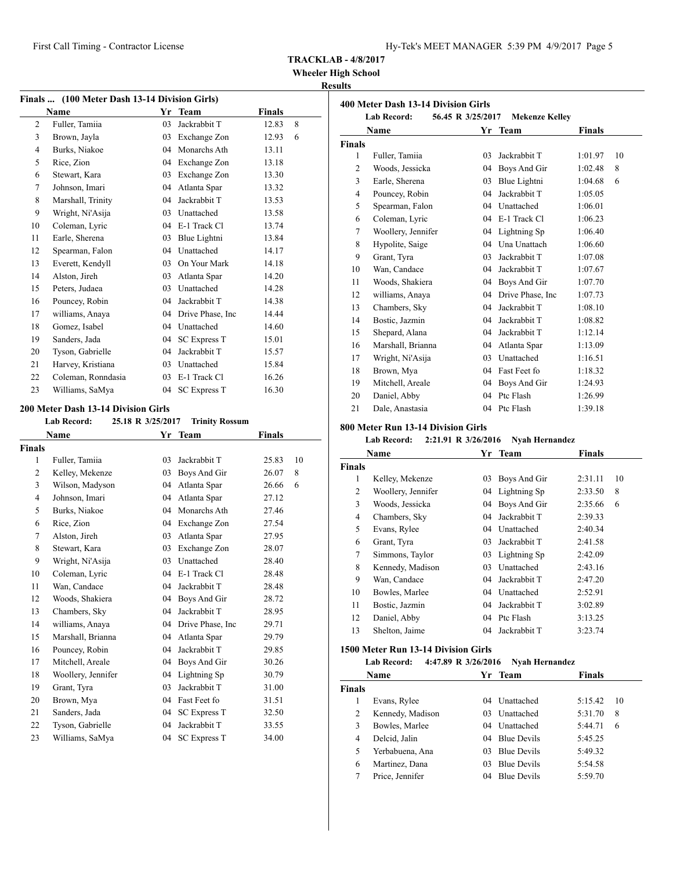**Wheeler High School**

## **Results**

| Finals  (100 Meter Dash 13-14 Division Girls) |                    |    |                     |               |   |
|-----------------------------------------------|--------------------|----|---------------------|---------------|---|
|                                               | Name               | Yr | <b>Team</b>         | <b>Finals</b> |   |
| 2                                             | Fuller, Tamiia     | 03 | Jackrabbit T        | 12.83         | 8 |
| 3                                             | Brown, Jayla       | 03 | Exchange Zon        | 12.93         | 6 |
| $\overline{4}$                                | Burks, Niakoe      | 04 | Monarchs Ath        | 13.11         |   |
| 5                                             | Rice, Zion         | 04 | Exchange Zon        | 13.18         |   |
| 6                                             | Stewart, Kara      | 03 | Exchange Zon        | 13.30         |   |
| 7                                             | Johnson, Imari     | 04 | Atlanta Spar        | 13.32         |   |
| 8                                             | Marshall, Trinity  | 04 | Jackrabbit T        | 13.53         |   |
| 9                                             | Wright, Ni'Asija   | 03 | Unattached          | 13.58         |   |
| 10                                            | Coleman, Lyric     | 04 | E-1 Track Cl        | 13.74         |   |
| 11                                            | Earle, Sherena     | 03 | Blue Lightni        | 13.84         |   |
| 12                                            | Spearman, Falon    | 04 | Unattached          | 14.17         |   |
| 13                                            | Everett, Kendyll   | 03 | On Your Mark        | 14.18         |   |
| 14                                            | Alston, Jireh      | 03 | Atlanta Spar        | 14.20         |   |
| 15                                            | Peters, Judaea     | 03 | Unattached          | 14.28         |   |
| 16                                            | Pouncey, Robin     | 04 | Jackrabbit T        | 14.38         |   |
| 17                                            | williams, Anaya    | 04 | Drive Phase, Inc.   | 14.44         |   |
| 18                                            | Gomez, Isabel      | 04 | Unattached          | 14.60         |   |
| 19                                            | Sanders, Jada      | 04 | <b>SC Express T</b> | 15.01         |   |
| 20                                            | Tyson, Gabrielle   | 04 | Jackrabbit T        | 15.57         |   |
| 21                                            | Harvey, Kristiana  | 03 | Unattached          | 15.84         |   |
| 22                                            | Coleman, Ronndasia | 03 | E-1 Track Cl        | 16.26         |   |
| 23                                            | Williams, SaMya    | 04 | <b>SC Express T</b> | 16.30         |   |

## **200 Meter Dash 13-14 Division Girls**

|  | <b>Lab Record:</b> | 25.18 R 3/25/2017 | <b>Trinity Rossum</b> |
|--|--------------------|-------------------|-----------------------|
|--|--------------------|-------------------|-----------------------|

|                | <b>Name</b>        | Yr | <b>Team</b>         | <b>Finals</b> |    |
|----------------|--------------------|----|---------------------|---------------|----|
| <b>Finals</b>  |                    |    |                     |               |    |
| 1              | Fuller, Tamiia     | 03 | Jackrabbit T        | 25.83         | 10 |
| $\overline{c}$ | Kelley, Mekenze    | 03 | Boys And Gir        | 26.07         | 8  |
| 3              | Wilson, Madyson    | 04 | Atlanta Spar        | 26.66         | 6  |
| $\overline{4}$ | Johnson, Imari     | 04 | Atlanta Spar        | 27.12         |    |
| 5              | Burks, Niakoe      | 04 | Monarchs Ath        | 27.46         |    |
| 6              | Rice, Zion         | 04 | Exchange Zon        | 27.54         |    |
| 7              | Alston, Jireh      | 03 | Atlanta Spar        | 27.95         |    |
| 8              | Stewart, Kara      | 03 | Exchange Zon        | 28.07         |    |
| 9              | Wright, Ni'Asija   | 03 | Unattached          | 28.40         |    |
| 10             | Coleman, Lyric     | 04 | E-1 Track Cl        | 28.48         |    |
| 11             | Wan, Candace       | 04 | Jackrabbit T        | 28.48         |    |
| 12             | Woods, Shakiera    | 04 | Boys And Gir        | 28.72         |    |
| 13             | Chambers, Sky      | 04 | Jackrabbit T        | 28.95         |    |
| 14             | williams, Anaya    | 04 | Drive Phase, Inc.   | 29.71         |    |
| 15             | Marshall, Brianna  | 04 | Atlanta Spar        | 29.79         |    |
| 16             | Pouncey, Robin     | 04 | Jackrabbit T        | 29.85         |    |
| 17             | Mitchell, Areale   | 04 | Boys And Gir        | 30.26         |    |
| 18             | Woollery, Jennifer | 04 | Lightning Sp        | 30.79         |    |
| 19             | Grant, Tyra        | 03 | Jackrabbit T        | 31.00         |    |
| 20             | Brown, Mya         | 04 | Fast Feet fo        | 31.51         |    |
| 21             | Sanders, Jada      | 04 | <b>SC Express T</b> | 32.50         |    |
| 22             | Tyson, Gabrielle   | 04 | Jackrabbit T        | 33.55         |    |
| 23             | Williams, SaMya    | 04 | <b>SC Express T</b> | 34.00         |    |
|                |                    |    |                     |               |    |

| 400 Meter Dash 13-14 Division Girls<br><b>Lab Record:</b><br>56.45 R 3/25/2017<br><b>Mekenze Kelley</b> |                    |    |                   |         |    |  |
|---------------------------------------------------------------------------------------------------------|--------------------|----|-------------------|---------|----|--|
|                                                                                                         |                    |    |                   |         |    |  |
| <b>Finals</b>                                                                                           |                    |    |                   |         |    |  |
| 1                                                                                                       | Fuller, Tamiia     | 03 | Jackrabbit T      | 1:01.97 | 10 |  |
| 2                                                                                                       | Woods, Jessicka    | 04 | Boys And Gir      | 1:02.48 | 8  |  |
| 3                                                                                                       | Earle, Sherena     | 03 | Blue Lightni      | 1:04.68 | 6  |  |
| $\overline{4}$                                                                                          | Pouncey, Robin     | 04 | Jackrabbit T      | 1:05.05 |    |  |
| 5                                                                                                       | Spearman, Falon    | 04 | Unattached        | 1:06.01 |    |  |
| 6                                                                                                       | Coleman, Lyric     | 04 | E-1 Track Cl      | 1:06.23 |    |  |
| 7                                                                                                       | Woollery, Jennifer | 04 | Lightning Sp      | 1:06.40 |    |  |
| 8                                                                                                       | Hypolite, Saige    | 04 | Una Unattach      | 1:06.60 |    |  |
| 9                                                                                                       | Grant, Tyra        | 03 | Jackrabbit T      | 1:07.08 |    |  |
| 10                                                                                                      | Wan, Candace       | 04 | Jackrabbit T      | 1:07.67 |    |  |
| 11                                                                                                      | Woods, Shakiera    | 04 | Boys And Gir      | 1:07.70 |    |  |
| 12                                                                                                      | williams, Anaya    | 04 | Drive Phase, Inc. | 1:07.73 |    |  |
| 13                                                                                                      | Chambers, Sky      | 04 | Jackrabbit T      | 1:08.10 |    |  |
| 14                                                                                                      | Bostic, Jazmin     | 04 | Jackrabbit T      | 1:08.82 |    |  |
| 15                                                                                                      | Shepard, Alana     | 04 | Jackrabbit T      | 1:12.14 |    |  |
| 16                                                                                                      | Marshall, Brianna  | 04 | Atlanta Spar      | 1:13.09 |    |  |
| 17                                                                                                      | Wright, Ni'Asija   | 03 | Unattached        | 1:16.51 |    |  |
| 18                                                                                                      | Brown, Mya         | 04 | Fast Feet fo      | 1:18.32 |    |  |
| 19                                                                                                      | Mitchell, Areale   | 04 | Boys And Gir      | 1:24.93 |    |  |
| 20                                                                                                      | Daniel, Abby       | 04 | Ptc Flash         | 1:26.99 |    |  |
| 21                                                                                                      | Dale, Anastasia    | 04 | Ptc Flash         | 1:39.18 |    |  |

## **800 Meter Run 13-14 Division Girls**

**Lab Record: 2:21.91 R 3/26/2016 Nyah Hernandez**

| Name          |                    | Yr | <b>Team</b>     | <b>Finals</b> |    |
|---------------|--------------------|----|-----------------|---------------|----|
| <b>Finals</b> |                    |    |                 |               |    |
| 1             | Kelley, Mekenze    | 03 | Boys And Gir    | 2:31.11       | 10 |
| 2             | Woollery, Jennifer |    | 04 Lightning Sp | 2:33.50       | 8  |
| 3             | Woods, Jessicka    | 04 | Boys And Gir    | 2:35.66       | 6  |
| 4             | Chambers, Sky      | 04 | Jackrabbit T    | 2:39.33       |    |
| 5             | Evans, Rylee       | 04 | Unattached      | 2:40.34       |    |
| 6             | Grant, Tyra        | 03 | Jackrabbit T    | 2:41.58       |    |
| 7             | Simmons, Taylor    | 03 | Lightning Sp    | 2:42.09       |    |
| 8             | Kennedy, Madison   | 03 | Unattached      | 2:43.16       |    |
| 9             | Wan, Candace       | 04 | Jackrabbit T    | 2:47.20       |    |
| 10            | Bowles, Marlee     | 04 | Unattached      | 2:52.91       |    |
| 11            | Bostic, Jazmin     | 04 | Jackrabbit T    | 3:02.89       |    |
| 12            | Daniel, Abby       | 04 | Ptc Flash       | 3:13.25       |    |
| 13            | Shelton, Jaime     | 04 | Jackrabbit T    | 3:23.74       |    |

## **1500 Meter Run 13-14 Division Girls**

**Lab Record: 4:47.89 R 3/26/2016 Nyah Hernandez**

| <b>Name</b>   |                  | Yr Team |                    | <b>Finals</b> |    |
|---------------|------------------|---------|--------------------|---------------|----|
| <b>Finals</b> |                  |         |                    |               |    |
|               | Evans, Rylee     | 04      | <b>Unattached</b>  | 5:15.42       | 10 |
| 2             | Kennedy, Madison | 03      | <b>Unattached</b>  | 5:31.70       | 8  |
| 3             | Bowles, Marlee   |         | 04 Unattached      | 5:44.71       | 6  |
| 4             | Delcid, Jalin    |         | 04 Blue Devils     | 5:45.25       |    |
| 5             | Yerbabuena, Ana  | 03      | <b>Blue Devils</b> | 5:49.32       |    |
| 6             | Martinez, Dana   | 03      | <b>Blue Devils</b> | 5:54.58       |    |
|               | Price, Jennifer  | 04      | <b>Blue Devils</b> | 5:59.70       |    |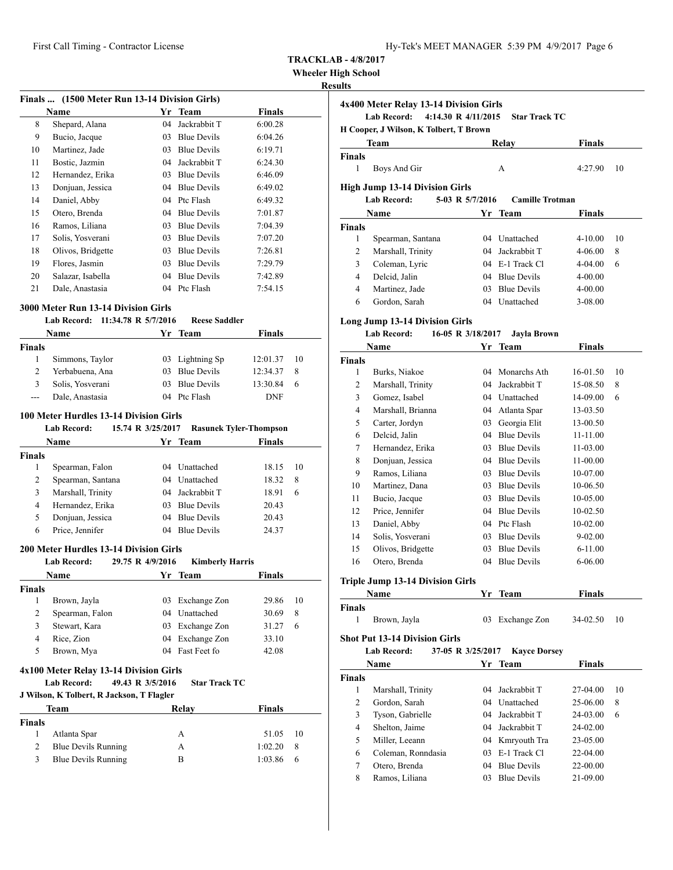### **Wheeler High School**

## **Results**

| Finals  (1500 Meter Run 13-14 Division Girls) |                   |    |                    |               |  |
|-----------------------------------------------|-------------------|----|--------------------|---------------|--|
|                                               | Name              | Yr | <b>Team</b>        | <b>Finals</b> |  |
| 8                                             | Shepard, Alana    | 04 | Jackrabbit T       | 6:00.28       |  |
| 9                                             | Bucio, Jacque     | 03 | <b>Blue Devils</b> | 6:04.26       |  |
| 10                                            | Martinez, Jade    | 03 | <b>Blue Devils</b> | 6:19.71       |  |
| 11                                            | Bostic, Jazmin    | 04 | Jackrabbit T       | 6:24.30       |  |
| 12                                            | Hernandez, Erika  | 03 | <b>Blue Devils</b> | 6:46.09       |  |
| 13                                            | Donjuan, Jessica  | 04 | <b>Blue Devils</b> | 6:49.02       |  |
| 14                                            | Daniel, Abby      | 04 | Ptc Flash          | 6:49.32       |  |
| 15                                            | Otero, Brenda     | 04 | <b>Blue Devils</b> | 7:01.87       |  |
| 16                                            | Ramos, Liliana    | 03 | <b>Blue Devils</b> | 7:04.39       |  |
| 17                                            | Solis, Yosverani  | 03 | <b>Blue Devils</b> | 7:07.20       |  |
| 18                                            | Olivos, Bridgette | 03 | <b>Blue Devils</b> | 7:26.81       |  |
| 19                                            | Flores, Jasmin    | 03 | <b>Blue Devils</b> | 7:29.79       |  |
| 20                                            | Salazar, Isabella | 04 | <b>Blue Devils</b> | 7:42.89       |  |
| 21                                            | Dale, Anastasia   | 04 | Ptc Flash          | 7:54.15       |  |

#### **3000 Meter Run 13-14 Division Girls**

#### **Lab Record: 11:34.78 R 5/7/2016 Reese Saddler**

|               | Name             | Yr Team         | <b>Finals</b> |                 |
|---------------|------------------|-----------------|---------------|-----------------|
| <b>Finals</b> |                  |                 |               |                 |
|               | Simmons, Taylor  | 03 Lightning Sp | 12:01.37      | $\overline{10}$ |
|               | Yerbabuena, Ana  | 03 Blue Devils  | 12:34.37      | 8               |
| 3             | Solis, Yosverani | 03 Blue Devils  | 13:30.84      | 6               |
| ---           | Dale, Anastasia  | 04 Ptc Flash    | <b>DNF</b>    |                 |

#### **100 Meter Hurdles 13-14 Division Girls**

|               | <b>Lab Record:</b> | 15.74 R 3/25/2017 |                    | <b>Rasunek Tyler-Thompson</b> |    |
|---------------|--------------------|-------------------|--------------------|-------------------------------|----|
|               | Name               |                   | Yr Team            | Finals                        |    |
| <b>Finals</b> |                    |                   |                    |                               |    |
| 1             | Spearman, Falon    | 04                | Unattached         | 18.15                         | 10 |
| 2             | Spearman, Santana  |                   | 04 Unattached      | 18.32                         | 8  |
| 3             | Marshall, Trinity  |                   | 04 Jackrabbit T    | 18.91                         | 6  |
| 4             | Hernandez, Erika   | 03                | <b>Blue Devils</b> | 20.43                         |    |
| 5             | Donjuan, Jessica   | 04                | <b>Blue Devils</b> | 20.43                         |    |
| 6             | Price, Jennifer    | 04                | <b>Blue Devils</b> | 24.37                         |    |

## **200 Meter Hurdles 13-14 Division Girls**

|               | <b>Lab Record:</b> | 29.75 R 4/9/2016 | <b>Kimberly Harris</b> |               |    |
|---------------|--------------------|------------------|------------------------|---------------|----|
|               | Name               |                  | Yr Team                | <b>Finals</b> |    |
| <b>Finals</b> |                    |                  |                        |               |    |
|               | Brown, Jayla       | 03               | Exchange Zon           | 29.86         | 10 |
| 2             | Spearman, Falon    |                  | 04 Unattached          | 30.69         | 8  |
| 3             | Stewart, Kara      | 03               | Exchange Zon           | 31.27         | 6  |
| 4             | Rice, Zion         |                  | 04 Exchange Zon        | 33.10         |    |
| 5             | Brown, Mya         |                  | 04 Fast Feet fo        | 42.08         |    |
|               |                    |                  |                        |               |    |

## **4x100 Meter Relay 13-14 Division Girls**

#### **Lab Record: 49.43 R 3/5/2016 Star Track TC J Wilson, K Tolbert, R Jackson, T Flagler**

|  | J Wilson, K Tolbert, R Jackson, T Flagler |  |  |  |  |  |  |  |
|--|-------------------------------------------|--|--|--|--|--|--|--|
|--|-------------------------------------------|--|--|--|--|--|--|--|

|        | Team                       | Relay | Finals  |                 |
|--------|----------------------------|-------|---------|-----------------|
| Finals |                            |       |         |                 |
|        | Atlanta Spar               | А     | 51.05   | $\overline{10}$ |
|        | <b>Blue Devils Running</b> | А     | 1:02.20 | -8              |
| 3.     | <b>Blue Devils Running</b> | в     | 1:03.86 | 6               |

| uns            | 4x400 Meter Relay 13-14 Division Girls                      |                   |                        |               |    |
|----------------|-------------------------------------------------------------|-------------------|------------------------|---------------|----|
|                | <b>Lab Record:</b><br>4:14.30 R 4/11/2015                   |                   | <b>Star Track TC</b>   |               |    |
|                | H Cooper, J Wilson, K Tolbert, T Brown                      |                   |                        |               |    |
|                | Team                                                        |                   | <b>Relay</b>           | Finals        |    |
| <b>Finals</b>  |                                                             |                   |                        |               |    |
| $\mathbf{1}$   | Boys And Gir                                                |                   | А                      | 4:27.90       | 10 |
|                |                                                             |                   |                        |               |    |
|                | <b>High Jump 13-14 Division Girls</b><br><b>Lab Record:</b> | 5-03 R 5/7/2016   | <b>Camille Trotman</b> |               |    |
|                | Name                                                        |                   | Yr Team                | Finals        |    |
| <b>Finals</b>  |                                                             |                   |                        |               |    |
| 1              | Spearman, Santana                                           |                   | 04 Unattached          | 4-10.00       | 10 |
| 2              | Marshall, Trinity                                           |                   | 04 Jackrabbit T        | 4-06.00       | 8  |
| 3              | Coleman, Lyric                                              |                   | 04 E-1 Track Cl        | 4-04.00       | 6  |
| $\overline{4}$ | Delcid, Jalin                                               |                   | 04 Blue Devils         | 4-00.00       |    |
| $\overline{4}$ | Martinez, Jade                                              |                   | 03 Blue Devils         | 4-00.00       |    |
| 6              | Gordon, Sarah                                               |                   | 04 Unattached          | 3-08.00       |    |
|                |                                                             |                   |                        |               |    |
|                | <b>Long Jump 13-14 Division Girls</b>                       |                   |                        |               |    |
|                | <b>Lab Record:</b>                                          | 16-05 R 3/18/2017 | Jayla Brown            |               |    |
|                | Name                                                        |                   | Yr Team                | <b>Finals</b> |    |
| <b>Finals</b>  |                                                             |                   |                        |               |    |
| 1              | Burks, Niakoe                                               |                   | 04 Monarchs Ath        | 16-01.50      | 10 |
| 2              | Marshall, Trinity                                           |                   | 04 Jackrabbit T        | 15-08.50      | 8  |
| 3              | Gomez, Isabel                                               |                   | 04 Unattached          | 14-09.00      | 6  |
| 4              | Marshall, Brianna                                           |                   | 04 Atlanta Spar        | 13-03.50      |    |
| 5              | Carter, Jordyn                                              |                   | 03 Georgia Elit        | 13-00.50      |    |
| 6              | Delcid, Jalin                                               |                   | 04 Blue Devils         | 11-11.00      |    |
| 7              | Hernandez, Erika                                            |                   | 03 Blue Devils         | 11-03.00      |    |
| 8              | Donjuan, Jessica                                            |                   | 04 Blue Devils         | 11-00.00      |    |
| 9              | Ramos, Liliana                                              |                   | 03 Blue Devils         | 10-07.00      |    |
| 10             | Martinez, Dana                                              |                   | 03 Blue Devils         | 10-06.50      |    |
| 11             | Bucio, Jacque                                               |                   | 03 Blue Devils         | 10-05.00      |    |
| 12             | Price, Jennifer                                             |                   | 04 Blue Devils         | 10-02.50      |    |
| 13             | Daniel, Abby                                                |                   | 04 Ptc Flash           | 10-02.00      |    |
| 14             | Solis, Yosverani                                            |                   | 03 Blue Devils         | $9 - 02.00$   |    |
| 15             | Olivos, Bridgette                                           |                   | 03 Blue Devils         | $6 - 11.00$   |    |
| 16             | Otero, Brenda                                               |                   | 04 Blue Devils         | 6-06.00       |    |
|                | Triple Jump 13-14 Division Girls                            |                   |                        |               |    |
|                | Name                                                        |                   | Yr Team                | <b>Finals</b> |    |
| <b>Finals</b>  |                                                             |                   |                        |               |    |
| 1              | Brown, Jayla                                                | 03                | Exchange Zon           | 34-02.50      | 10 |
|                |                                                             |                   |                        |               |    |
|                | <b>Shot Put 13-14 Division Girls</b>                        |                   |                        |               |    |
|                | <b>Lab Record:</b>                                          | 37-05 R 3/25/2017 | <b>Kayce Dorsey</b>    |               |    |
|                | Name                                                        | Yr                | Team                   | <b>Finals</b> |    |
| <b>Finals</b>  |                                                             |                   |                        |               |    |
| $\mathbf{1}$   | Marshall, Trinity                                           | 04                | Jackrabbit T           | 27-04.00      | 10 |
| 2              | Gordon, Sarah                                               |                   | 04 Unattached          | 25-06.00      | 8  |
| 3              | Tyson, Gabrielle                                            | 04                | Jackrabbit T           | 24-03.00      | 6  |
| $\overline{4}$ | Shelton, Jaime                                              |                   | 04 Jackrabbit T        | 24-02.00      |    |
| 5              | Miller, Leeann                                              |                   | 04 Kmryouth Tra        | 23-05.00      |    |
| 6              | Coleman, Ronndasia                                          |                   | 03 E-1 Track Cl        | 22-04.00      |    |
| 7              | Otero, Brenda                                               |                   | 04 Blue Devils         | 22-00.00      |    |
| 8              | Ramos, Liliana                                              | 03                | <b>Blue Devils</b>     | 21-09.00      |    |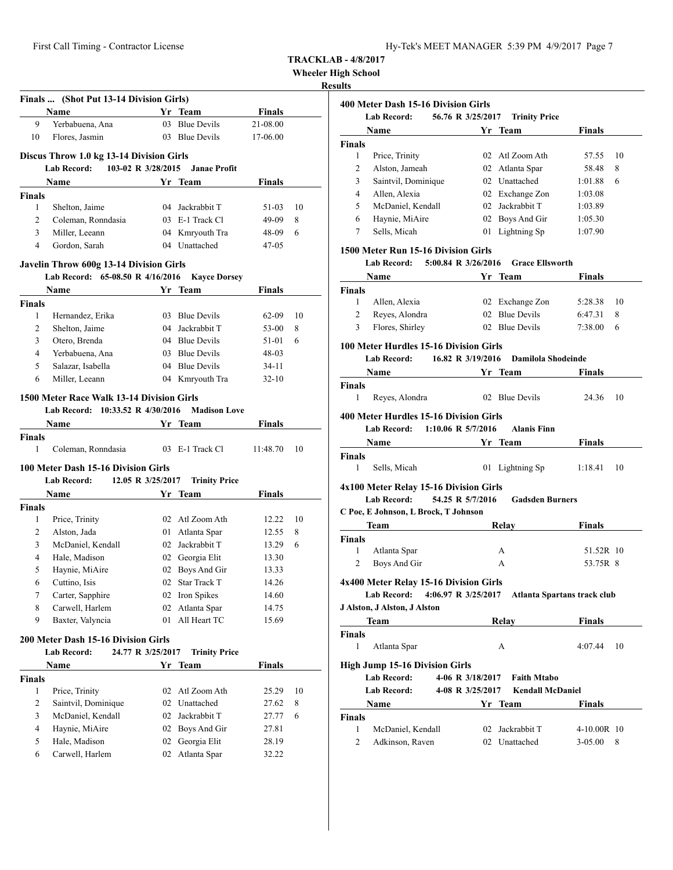**Wheeler High School**

|                    | Finals  (Shot Put 13-14 Division Girls)   |    |                              |               |    |
|--------------------|-------------------------------------------|----|------------------------------|---------------|----|
|                    | Name                                      |    | Yr Team                      | Finals        |    |
| 9                  | Yerbabuena, Ana                           |    | 03 Blue Devils               | 21-08.00      |    |
| 10                 | Flores, Jasmin                            |    | 03 Blue Devils               | 17-06.00      |    |
|                    | Discus Throw 1.0 kg 13-14 Division Girls  |    |                              |               |    |
|                    | 103-02 R 3/28/2015<br>Lab Record:         |    | <b>Janae Profit</b>          |               |    |
|                    | Name                                      |    | Yr Team                      | Finals        |    |
| <b>Finals</b>      |                                           |    |                              |               |    |
| 1                  | Shelton, Jaime                            |    | 04 Jackrabbit T              | 51-03         | 10 |
| $\overline{c}$     | Coleman, Ronndasia                        |    | 03 E-1 Track Cl              | 49-09         | 8  |
| 3                  | Miller, Leeann                            |    | 04 Kmryouth Tra              | 48-09         | 6  |
| 4                  | Gordon, Sarah                             |    | 04 Unattached                | 47-05         |    |
|                    |                                           |    |                              |               |    |
|                    | Javelin Throw 600g 13-14 Division Girls   |    |                              |               |    |
|                    | Lab Record: 65-08.50 R 4/16/2016          |    | <b>Kayce Dorsey</b>          |               |    |
|                    | Name                                      | Yr | Team                         | Finals        |    |
| <b>Finals</b><br>1 | Hernandez, Erika                          |    | 03 Blue Devils               | 62-09         | 10 |
| 2                  | Shelton, Jaime                            |    | 04 Jackrabbit T              | 53-00         | 8  |
| 3                  | Otero, Brenda                             |    | 04 Blue Devils               | 51-01         | 6  |
| 4                  | Yerbabuena, Ana                           |    | 03 Blue Devils               | 48-03         |    |
| 5                  | Salazar, Isabella                         |    | 04 Blue Devils               | 34-11         |    |
| 6                  | Miller, Leeann                            |    | 04 Kmryouth Tra              | $32 - 10$     |    |
|                    |                                           |    |                              |               |    |
|                    | 1500 Meter Race Walk 13-14 Division Girls |    |                              |               |    |
|                    | Lab Record: 10:33.52 R 4/30/2016          |    | <b>Madison Love</b>          |               |    |
|                    | Name                                      |    | Yr Team                      | <b>Finals</b> |    |
| <b>Finals</b>      |                                           |    |                              |               |    |
| 1                  | Coleman, Ronndasia                        |    | 03 E-1 Track Cl              | 11:48.70      | 10 |
|                    | 100 Meter Dash 15-16 Division Girls       |    |                              |               |    |
|                    | Lab Record:<br>12.05 R 3/25/2017          |    | <b>Trinity Price</b>         |               |    |
|                    | Name                                      |    | Yr Team                      | Finals        |    |
| <b>Finals</b>      |                                           |    |                              |               |    |
| 1                  | Price, Trinity                            |    | 02 Atl Zoom Ath              | 12.22         | 10 |
| 2                  | Alston, Jada                              |    | 01 Atlanta Spar              | 12.55         | 8  |
| 3                  | McDaniel, Kendall                         |    | 02 Jackrabbit T              | 13.29         | 6  |
| 4                  | Hale, Madison                             |    | 02 Georgia Elit              | 13.30         |    |
| 5                  | Haynie, MiAire                            |    | 02 Boys And Gir              | 13.33         |    |
| 6                  | Cuttino, Isis                             |    | 02 Star Track T              | 14.26         |    |
| 7                  | Carter, Sapphire                          | 02 | Iron Spikes                  | 14.60         |    |
| 8                  | Carwell, Harlem                           | 02 | Atlanta Spar<br>All Heart TC | 14.75         |    |
| 9                  | Baxter, Valyncia                          | 01 |                              | 15.69         |    |
|                    | 200 Meter Dash 15-16 Division Girls       |    |                              |               |    |
|                    | Lab Record:<br>24.77 R 3/25/2017          |    | <b>Trinity Price</b>         |               |    |
|                    | Name                                      |    | Yr Team                      | Finals        |    |
| <b>Finals</b>      |                                           |    |                              |               |    |
| 1                  | Price, Trinity                            | 02 | Atl Zoom Ath                 | 25.29         | 10 |
| 2                  | Saintvil, Dominique                       | 02 | Unattached                   | 27.62         | 8  |
| 3                  | McDaniel, Kendall                         |    | 02 Jackrabbit T              | 27.77         | 6  |
| 4                  | Haynie, MiAire                            |    | 02 Boys And Gir              | 27.81         |    |
| 5                  | Hale, Madison                             | 02 | Georgia Elit                 | 28.19         |    |
| 6                  | Carwell, Harlem                           | 02 | Atlanta Spar                 | 32.22         |    |

|                | 400 Meter Dash 15-16 Division Girls<br>56.76 R 3/25/2017<br><b>Lab Record:</b> | <b>Trinity Price</b>        |               |    |
|----------------|--------------------------------------------------------------------------------|-----------------------------|---------------|----|
|                | <b>Name</b>                                                                    | Yr Team                     | Finals        |    |
| Finals         |                                                                                |                             |               |    |
| 1              | Price, Trinity                                                                 | 02 Atl Zoom Ath             | 57.55         | 10 |
| 2              | Alston, Jameah                                                                 | 02 Atlanta Spar             | 58.48         | 8  |
| 3              | Saintvil, Dominique                                                            | 02 Unattached               | 1:01.88       | 6  |
| 4              | Allen, Alexia                                                                  | 02 Exchange Zon             | 1:03.08       |    |
| 5              | McDaniel, Kendall                                                              | 02 Jackrabbit T             | 1:03.89       |    |
| 6              | Haynie, MiAire                                                                 | 02 Boys And Gir             | 1:05.30       |    |
| 7              | Sells, Micah                                                                   | 01 Lightning Sp             | 1:07.90       |    |
|                | 1500 Meter Run 15-16 Division Girls                                            |                             |               |    |
|                | <b>Lab Record:</b><br>5:00.84 R 3/26/2016                                      | <b>Grace Ellsworth</b>      |               |    |
|                | Name                                                                           | Yr Team                     | Finals        |    |
| <b>Finals</b>  |                                                                                |                             |               |    |
| 1              | Allen, Alexia                                                                  | 02 Exchange Zon             | 5:28.38       | 10 |
| 2              | Reyes, Alondra                                                                 | 02 Blue Devils              | 6:47.31       | 8  |
| 3              | Flores, Shirley                                                                | 02 Blue Devils              | 7:38.00       | 6  |
|                | 100 Meter Hurdles 15-16 Division Girls                                         |                             |               |    |
|                | 16.82 R 3/19/2016<br><b>Lab Record:</b>                                        | <b>Damilola Shodeinde</b>   |               |    |
|                | Name                                                                           | Yr Team                     | <b>Finals</b> |    |
| <b>Finals</b>  |                                                                                |                             |               |    |
| 1              | Reyes, Alondra                                                                 | 02 Blue Devils              | 24.36         | 10 |
|                | <b>400 Meter Hurdles 15-16 Division Girls</b>                                  |                             |               |    |
|                | <b>Lab Record:</b><br>1:10.06 R $5/7/2016$                                     | <b>Alanis Finn</b>          |               |    |
|                | <b>Name</b>                                                                    | Yr Team                     | Finals        |    |
| Finals         |                                                                                |                             |               |    |
| 1              | Sells, Micah                                                                   | 01 Lightning Sp             | 1:18.41       | 10 |
|                | 4x100 Meter Relay 15-16 Division Girls                                         |                             |               |    |
|                | 54.25 R 5/7/2016<br><b>Lab Record:</b>                                         | <b>Gadsden Burners</b>      |               |    |
|                | C Poe, E Johnson, L Brock, T Johnson                                           |                             |               |    |
|                | Team                                                                           | <b>Relay</b>                | <b>Finals</b> |    |
| <b>Finals</b>  |                                                                                |                             |               |    |
| 1              | Atlanta Spar                                                                   | А                           | 51.52R 10     |    |
| $\overline{2}$ | Boys And Gir                                                                   | А                           | 53.75R 8      |    |
|                |                                                                                |                             |               |    |
|                | 4x400 Meter Relay 15-16 Division Girls                                         |                             |               |    |
|                | Lab Record: 4:06.97 R 3/25/2017                                                | Atlanta Spartans track club |               |    |
|                | J Alston, J Alston, J Alston                                                   |                             |               |    |
|                | Team                                                                           | Relay                       | <b>Finals</b> |    |
| <b>Finals</b>  |                                                                                |                             |               |    |
| 1              | Atlanta Spar                                                                   | А                           | 4:07.44       | 10 |
|                | <b>High Jump 15-16 Division Girls</b>                                          |                             |               |    |
|                | Lab Record:<br>4-06 R 3/18/2017                                                | <b>Faith Mtabo</b>          |               |    |
|                | Lab Record:<br>4-08 R 3/25/2017                                                | <b>Kendall McDaniel</b>     |               |    |
|                | Name                                                                           | Yr Team                     | Finals        |    |
|                |                                                                                |                             |               |    |
| Finals<br>1    | McDaniel, Kendall                                                              | 02 Jackrabbit T             | $4-10.00R$ 10 |    |
|                |                                                                                |                             |               |    |
| 2              | Adkinson, Raven                                                                | 02 Unattached               | $3 - 05.00$   | 8  |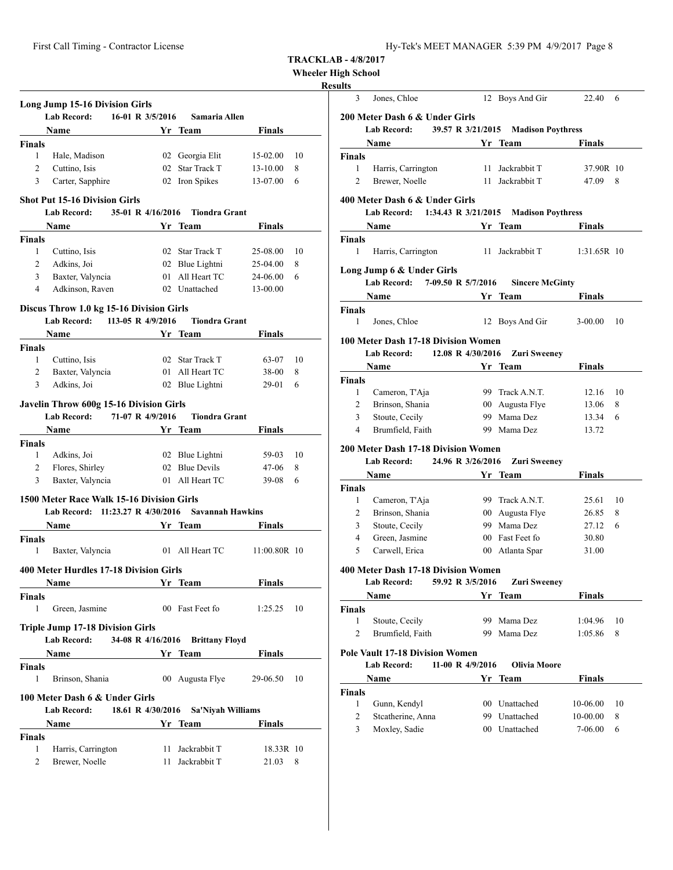| Hy-Tek's MEET MANAGER 5:39 PM 4/9/2017 Page 8 |  |  |  |
|-----------------------------------------------|--|--|--|
|-----------------------------------------------|--|--|--|

## **Wheeler High School**

## **Resul**

|                              | <b>Lab Record:</b>                        | 16-01 R 3/5/2016                 | Samaria Allen                   |               |    |
|------------------------------|-------------------------------------------|----------------------------------|---------------------------------|---------------|----|
|                              | Name                                      |                                  | Yr Team                         | <b>Finals</b> |    |
| <b>Finals</b>                |                                           |                                  |                                 |               |    |
| 1                            | Hale, Madison                             |                                  | 02 Georgia Elit                 | 15-02.00      | 10 |
| $\overline{2}$               | Cuttino, Isis                             |                                  | 02 Star Track T                 | 13-10.00      | 8  |
| 3                            | Carter, Sapphire                          |                                  | 02 Iron Spikes                  | 13-07.00      | 6  |
|                              | <b>Shot Put 15-16 Division Girls</b>      |                                  |                                 |               |    |
|                              | <b>Lab Record:</b><br>Name                | 35-01 R 4/16/2016                | <b>Tiondra Grant</b><br>Yr Team | <b>Finals</b> |    |
| <b>Finals</b>                |                                           |                                  |                                 |               |    |
| $\mathbf{1}$                 | Cuttino, Isis                             |                                  | 02 Star Track T                 | 25-08.00      | 10 |
| 2                            | Adkins, Joi                               |                                  | 02 Blue Lightni                 | 25-04.00      | 8  |
| 3                            | Baxter, Valyncia                          |                                  | 01 All Heart TC                 | 24-06.00      | 6  |
| 4                            | Adkinson, Raven                           |                                  | 02 Unattached                   | 13-00.00      |    |
|                              | Discus Throw 1.0 kg 15-16 Division Girls  |                                  |                                 |               |    |
|                              | Lab Record: 113-05 R 4/9/2016             |                                  | <b>Tiondra Grant</b>            |               |    |
|                              | <b>Name</b>                               |                                  | Yr Team                         | Finals        |    |
| Finals                       |                                           |                                  |                                 |               |    |
| 1                            | Cuttino, Isis                             |                                  | 02 Star Track T                 | 63-07         | 10 |
| 2                            | Baxter, Valyncia                          |                                  | 01 All Heart TC                 | 38-00         | 8  |
| 3                            | Adkins, Joi                               |                                  | 02 Blue Lightni                 | 29-01         | 6  |
|                              | Javelin Throw 600g 15-16 Division Girls   |                                  |                                 |               |    |
|                              | <b>Lab Record:</b>                        | 71-07 R 4/9/2016                 | <b>Tiondra Grant</b>            |               |    |
|                              | Name                                      | <b>Solution Strategy</b> Team    |                                 | Finals        |    |
| <b>Finals</b>                |                                           |                                  |                                 |               |    |
| 1                            | Adkins, Joi                               |                                  | 02 Blue Lightni                 | 59-03         | 10 |
| 2                            | Flores, Shirley                           |                                  | 02 Blue Devils                  | 47-06         | 8  |
| 3                            | Baxter, Valyncia                          |                                  | 01 All Heart TC                 | 39-08         | 6  |
|                              | 1500 Meter Race Walk 15-16 Division Girls |                                  |                                 |               |    |
|                              | Lab Record: 11:23.27 R 4/30/2016          |                                  | <b>Savannah Hawkins</b>         |               |    |
|                              | <b>Name</b>                               | <b>Example 18 Yr Team</b>        |                                 | Finals        |    |
| <b>Finals</b>                |                                           |                                  |                                 |               |    |
| 1                            | Baxter, Valyncia                          |                                  | 01 All Heart TC                 | 11:00.80R 10  |    |
|                              | 400 Meter Hurdles 17-18 Division Girls    |                                  |                                 |               |    |
|                              | <b>Name</b>                               |                                  | Yr Team                         | <b>Finals</b> |    |
| <b>Finals</b>                |                                           |                                  |                                 |               |    |
| 1                            | Green, Jasmine                            |                                  | 00 Fast Feet fo                 | 1:25.25       | 10 |
|                              | <b>Triple Jump 17-18 Division Girls</b>   |                                  |                                 |               |    |
|                              | <b>Lab Record:</b>                        | 34-08 R 4/16/2016                | <b>Brittany Floyd</b>           |               |    |
|                              | Name                                      | <b>Solution Start Start Team</b> |                                 | <b>Finals</b> |    |
|                              |                                           |                                  |                                 |               |    |
|                              | Brinson, Shania                           |                                  | 00 Augusta Flye                 | 29-06.50      | 10 |
| 1                            |                                           |                                  |                                 |               |    |
|                              | 100 Meter Dash 6 & Under Girls            |                                  |                                 |               |    |
|                              | <b>Lab Record:</b>                        | 18.61 R 4/30/2016                | Sa'Niyah Williams               |               |    |
|                              | Name                                      |                                  | Yr Team                         | Finals        |    |
|                              |                                           |                                  |                                 |               |    |
| <b>Finals</b><br>Finals<br>1 | Harris, Carrington                        | 11                               | Jackrabbit T                    | 18.33R 10     |    |

| 3                                                    | Jones, Chloe                                                                                                                                                                                                            |                  | 12 Boys And Gir                | 22.40               | 6      |
|------------------------------------------------------|-------------------------------------------------------------------------------------------------------------------------------------------------------------------------------------------------------------------------|------------------|--------------------------------|---------------------|--------|
|                                                      | 200 Meter Dash 6 & Under Girls                                                                                                                                                                                          |                  |                                |                     |        |
|                                                      | Lab Record: 39.57 R 3/21/2015 Madison Poythress                                                                                                                                                                         |                  |                                |                     |        |
|                                                      | Name Yr Team                                                                                                                                                                                                            |                  |                                | Finals              |        |
| <b>Finals</b>                                        |                                                                                                                                                                                                                         |                  |                                |                     |        |
| $\mathbf{1}$                                         | Harris, Carrington                                                                                                                                                                                                      |                  | 11 Jackrabbit T                | 37.90R 10           |        |
| $\overline{2}$                                       | Brewer, Noelle                                                                                                                                                                                                          |                  | 11 Jackrabbit T                | 47.09               | 8      |
|                                                      |                                                                                                                                                                                                                         |                  |                                |                     |        |
|                                                      | 400 Meter Dash 6 & Under Girls<br>Lab Record: 1:34.43 R 3/21/2015 Madison Poythress                                                                                                                                     |                  |                                |                     |        |
|                                                      |                                                                                                                                                                                                                         |                  |                                |                     |        |
|                                                      | <b>Name</b><br><u><b>1986</b></u> <b>Property Property Property Property Property Property Property Property Property Property Property Property Property Property Property Property Property Property Property Pro</b> |                  |                                | Finals              |        |
| <b>Finals</b><br>1                                   |                                                                                                                                                                                                                         |                  | 11 Jackrabbit T                | 1:31.65R 10         |        |
|                                                      | Harris, Carrington                                                                                                                                                                                                      |                  |                                |                     |        |
|                                                      | Long Jump 6 & Under Girls                                                                                                                                                                                               |                  |                                |                     |        |
|                                                      | 7-09.50 R 5/7/2016<br><b>Lab Record:</b>                                                                                                                                                                                |                  | <b>Sincere McGinty</b>         |                     |        |
|                                                      | <b>Name</b>                                                                                                                                                                                                             |                  | Yr Team                        | Finals              |        |
| <b>Finals</b>                                        |                                                                                                                                                                                                                         |                  |                                |                     |        |
| 1                                                    | Jones, Chloe                                                                                                                                                                                                            |                  | 12 Boys And Gir                | $3-00.00$           | 10     |
|                                                      | 100 Meter Dash 17-18 Division Women                                                                                                                                                                                     |                  |                                |                     |        |
|                                                      | Lab Record: 12.08 R 4/30/2016                                                                                                                                                                                           |                  | <b>Zuri Sweeney</b>            |                     |        |
|                                                      | <b>Name</b>                                                                                                                                                                                                             |                  | <b>Samuel Stringer Team</b>    | <b>Finals</b>       |        |
| <b>Finals</b>                                        |                                                                                                                                                                                                                         |                  |                                |                     |        |
| $\mathbf{1}$                                         | Cameron, T'Aja                                                                                                                                                                                                          |                  | 99 Track A.N.T.                | 12.16               | -10    |
| 2                                                    | Brinson, Shania                                                                                                                                                                                                         |                  | 00 Augusta Flye                | 13.06               | 8      |
| 3                                                    | Stoute, Cecily                                                                                                                                                                                                          |                  | 99 Mama Dez                    | 13.34               | 6      |
| 4                                                    | Brumfield, Faith                                                                                                                                                                                                        |                  | 99 Mama Dez                    | 13.72               |        |
|                                                      |                                                                                                                                                                                                                         |                  |                                |                     |        |
|                                                      |                                                                                                                                                                                                                         |                  |                                |                     |        |
|                                                      | <b>200 Meter Dash 17-18 Division Women</b>                                                                                                                                                                              |                  |                                |                     |        |
|                                                      | Lab Record: 24.96 R 3/26/2016                                                                                                                                                                                           |                  | <b>Zuri Sweeney</b>            |                     |        |
|                                                      | Name                                                                                                                                                                                                                    |                  | Yr Team                        | Finals              |        |
|                                                      |                                                                                                                                                                                                                         |                  |                                |                     |        |
| 1                                                    | Cameron, T'Aja                                                                                                                                                                                                          |                  | 99 Track A.N.T.                | 25.61               | 10     |
| 2                                                    | Brinson, Shania                                                                                                                                                                                                         |                  | 00 Augusta Flye                | 26.85               | 8      |
| 3                                                    | Stoute, Cecily                                                                                                                                                                                                          |                  | 99 Mama Dez                    | 27.12               | 6      |
| 4                                                    | Green, Jasmine                                                                                                                                                                                                          |                  | 00 Fast Feet fo                | 30.80               |        |
| 5                                                    | Carwell, Erica                                                                                                                                                                                                          |                  | 00 Atlanta Spar                | 31.00               |        |
|                                                      | 400 Meter Dash 17-18 Division Women                                                                                                                                                                                     |                  |                                |                     |        |
|                                                      | <b>Lab Record:</b>                                                                                                                                                                                                      | 59.92 R 3/5/2016 |                                |                     |        |
|                                                      | Name                                                                                                                                                                                                                    |                  | <b>Zuri Sweeney</b><br>Yr Team | <b>Finals</b>       |        |
|                                                      |                                                                                                                                                                                                                         |                  |                                |                     |        |
| 1                                                    | Stoute, Cecily                                                                                                                                                                                                          | 99               | Mama Dez                       | 1:04.96             | 10     |
| 2                                                    | Brumfield, Faith                                                                                                                                                                                                        |                  | 99 Mama Dez                    | 1:05.86             | 8      |
|                                                      |                                                                                                                                                                                                                         |                  |                                |                     |        |
|                                                      | <b>Pole Vault 17-18 Division Women</b>                                                                                                                                                                                  |                  |                                |                     |        |
|                                                      | <b>Lab Record:</b>                                                                                                                                                                                                      | 11-00 R 4/9/2016 | <b>Olivia Moore</b>            |                     |        |
|                                                      | Name                                                                                                                                                                                                                    |                  | Yr Team                        | Finals              |        |
|                                                      |                                                                                                                                                                                                                         |                  |                                |                     |        |
| <b>Finals</b><br><b>Finals</b><br><b>Finals</b><br>1 | Gunn, Kendyl                                                                                                                                                                                                            |                  | 00 Unattached                  | 10-06.00            | 10     |
| $\overline{c}$<br>3                                  | Stcatherine, Anna<br>Moxley, Sadie                                                                                                                                                                                      |                  | 99 Unattached<br>00 Unattached | 10-00.00<br>7-06.00 | 8<br>6 |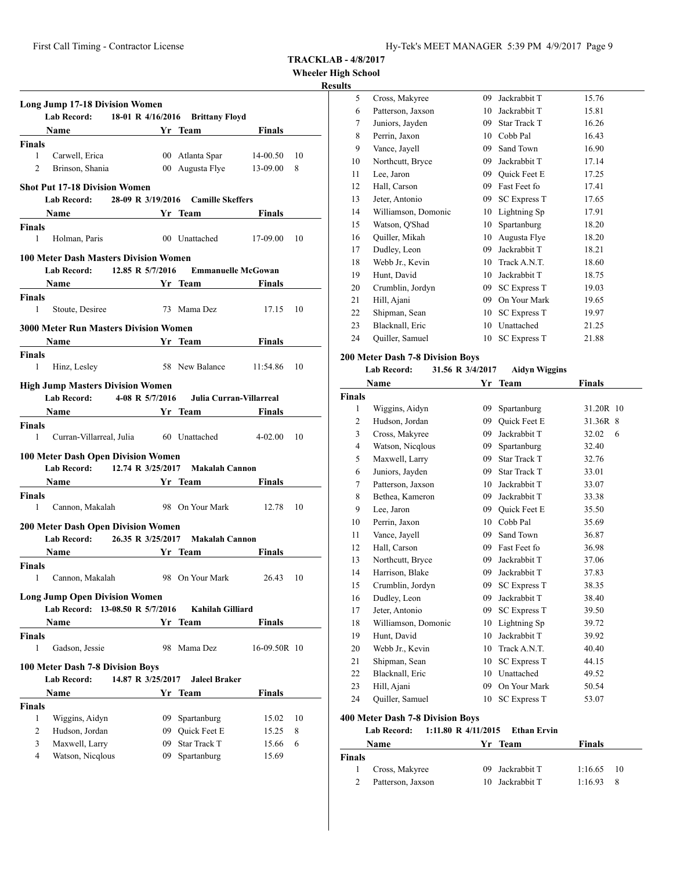**Wheeler High School**

## **Results**

|                                               | <b>Long Jump 17-18 Division Women</b>               |                   |    |                                                   |               |    |
|-----------------------------------------------|-----------------------------------------------------|-------------------|----|---------------------------------------------------|---------------|----|
|                                               | <b>Lab Record:</b>                                  |                   |    | 18-01 R 4/16/2016 Brittany Floyd                  |               |    |
|                                               |                                                     |                   |    |                                                   |               |    |
| <b>Finals</b>                                 |                                                     |                   |    |                                                   |               |    |
| $1 \quad$                                     | Carwell, Erica                                      |                   |    | 00 Atlanta Spar 14-00.50                          |               | 10 |
| $\overline{2}$                                | Brinson, Shania                                     |                   |    | 00 Augusta Flye 13-09.00                          |               | 8  |
|                                               |                                                     |                   |    |                                                   |               |    |
|                                               | <b>Shot Put 17-18 Division Women</b>                |                   |    |                                                   |               |    |
|                                               | Lab Record: 28-09 R 3/19/2016 Camille Skeffers      |                   |    |                                                   |               |    |
|                                               | Name Yr Team                                        |                   |    |                                                   | <b>Finals</b> |    |
| <b>Finals</b>                                 |                                                     |                   |    |                                                   |               |    |
| 1                                             | Holman, Paris                                       |                   |    | 00 Unattached                                     | 17-09.00 10   |    |
|                                               | <b>100 Meter Dash Masters Division Women</b>        |                   |    |                                                   |               |    |
|                                               | <b>Lab Record:</b>                                  | 12.85 R 5/7/2016  |    | <b>Emmanuelle McGowan</b>                         |               |    |
|                                               | Name Yr Team                                        |                   |    |                                                   | Finals        |    |
| <b>Finals</b>                                 |                                                     |                   |    |                                                   |               |    |
| 1                                             | Stoute, Desiree                                     |                   |    | 73 Mama Dez                                       | 17.15 10      |    |
|                                               | <b>3000 Meter Run Masters Division Women</b>        |                   |    |                                                   |               |    |
|                                               |                                                     |                   |    |                                                   |               |    |
|                                               | Name Yr Team                                        |                   |    |                                                   | Finals        |    |
| Finals<br>1                                   |                                                     |                   |    | 58 New Balance 11:54.86                           |               | 10 |
|                                               | Hinz, Lesley                                        |                   |    |                                                   |               |    |
|                                               | <b>High Jump Masters Division Women</b>             |                   |    |                                                   |               |    |
|                                               | Lab Record: 4-08 R 5/7/2016 Julia Curran-Villarreal |                   |    |                                                   |               |    |
|                                               | Name Yr Team                                        |                   |    |                                                   | Finals        |    |
| <b>Finals</b>                                 |                                                     |                   |    |                                                   |               |    |
| $\mathbf{1}$                                  |                                                     |                   |    | Curran-Villarreal, Julia 60 Unattached 4-02.00 10 |               |    |
|                                               | 100 Meter Dash Open Division Women                  |                   |    |                                                   |               |    |
|                                               | Lab Record: 12.74 R 3/25/2017 Makalah Cannon        |                   |    |                                                   |               |    |
|                                               | Name Yr Team                                        |                   |    |                                                   | <b>Finals</b> |    |
| Finals                                        |                                                     |                   |    |                                                   |               |    |
|                                               |                                                     |                   |    | Cannon, Makalah 98 On Your Mark 12.78 10          |               |    |
|                                               |                                                     |                   |    |                                                   |               |    |
| 1                                             |                                                     |                   |    |                                                   |               |    |
|                                               | 200 Meter Dash Open Division Women                  |                   |    |                                                   |               |    |
|                                               | Lab Record: 26.35 R 3/25/2017 Makalah Cannon        |                   |    |                                                   |               |    |
|                                               | Name Yr Team                                        |                   |    |                                                   | Finals        |    |
|                                               |                                                     |                   |    |                                                   |               |    |
|                                               | 1 Cannon, Makalah 98 On Your Mark 26.43 10          |                   |    |                                                   |               |    |
|                                               |                                                     |                   |    |                                                   |               |    |
|                                               | <b>Long Jump Open Division Women</b>                |                   |    |                                                   |               |    |
|                                               | Lab Record: 13-08.50 R 5/7/2016                     |                   |    | Kahilah Gilliard                                  |               |    |
|                                               | <b>Name</b>                                         |                   |    | Yr Team                                           | Finals        |    |
|                                               |                                                     |                   |    |                                                   |               |    |
| 1                                             | Gadson, Jessie                                      |                   | 98 | Mama Dez                                          | 16-09.50R 10  |    |
|                                               | 100 Meter Dash 7-8 Division Boys                    |                   |    |                                                   |               |    |
|                                               | <b>Lab Record:</b>                                  | 14.87 R 3/25/2017 |    | <b>Jaleel Braker</b>                              |               |    |
|                                               | Name                                                |                   |    | Yr Team                                           | <b>Finals</b> |    |
|                                               |                                                     |                   |    |                                                   |               |    |
| 1                                             | Wiggins, Aidyn                                      |                   |    | 09 Spartanburg                                    | 15.02         | 10 |
| 2                                             | Hudson, Jordan                                      |                   |    | 09 Quick Feet E                                   | 15.25         | 8  |
| <b>Finals</b><br><b>Finals</b><br>Finals<br>3 | Maxwell, Larry                                      |                   |    | 09 Star Track T                                   | 15.66         | 6  |

| 5  | Cross, Makyree      | 09 | Jackrabbit T        | 15.76 |
|----|---------------------|----|---------------------|-------|
| 6  | Patterson, Jaxson   | 10 | Jackrabbit T        | 15.81 |
| 7  | Juniors, Jayden     | 09 | Star Track T        | 16.26 |
| 8  | Perrin, Jaxon       | 10 | Cobb Pal            | 16.43 |
| 9  | Vance, Jayell       | 09 | Sand Town           | 16.90 |
| 10 | Northcutt, Bryce    | 09 | Jackrabbit T        | 17.14 |
| 11 | Lee, Jaron          | 09 | <b>Ouick Feet E</b> | 17.25 |
| 12 | Hall, Carson        | 09 | Fast Feet fo        | 17.41 |
| 13 | Jeter, Antonio      | 09 | <b>SC Express T</b> | 17.65 |
| 14 | Williamson, Domonic | 10 | Lightning Sp        | 17.91 |
| 15 | Watson, Q'Shad      | 10 | Spartanburg         | 18.20 |
| 16 | Quiller, Mikah      | 10 | Augusta Flye        | 18.20 |
| 17 | Dudley, Leon        | 09 | Jackrabbit T        | 18.21 |
| 18 | Webb Jr., Kevin     | 10 | Track A.N.T.        | 18.60 |
| 19 | Hunt, David         | 10 | Jackrabbit T        | 18.75 |
| 20 | Crumblin, Jordyn    | 09 | <b>SC Express T</b> | 19.03 |
| 21 | Hill, Ajani         | 09 | On Your Mark        | 19.65 |
| 22 | Shipman, Sean       | 10 | <b>SC Express T</b> | 19.97 |
| 23 | Blacknall, Eric     | 10 | Unattached          | 21.25 |
| 24 | Quiller, Samuel     | 10 | <b>SC Express T</b> | 21.88 |
|    |                     |    |                     |       |

## **200 Meter Dash 7-8 Division Boys**

## **Lab Record: 31.56 R 3/4/2017 Aidyn Wiggins**

| Name           |                     | Yr  | <b>Team</b>         | <b>Finals</b> |
|----------------|---------------------|-----|---------------------|---------------|
| <b>Finals</b>  |                     |     |                     |               |
| 1              | Wiggins, Aidyn      | 09  | Spartanburg         | 31.20R 10     |
| 2              | Hudson, Jordan      | 09  | <b>Ouick Feet E</b> | 31.36R 8      |
| 3              | Cross, Makyree      | 09  | Jackrabbit T        | 32.02<br>6    |
| $\overline{4}$ | Watson, Nicqlous    | 09  | Spartanburg         | 32.40         |
| 5              | Maxwell, Larry      | 09  | <b>Star Track T</b> | 32.76         |
| 6              | Juniors, Jayden     | 09  | Star Track T        | 33.01         |
| 7              | Patterson, Jaxson   | 10  | Jackrabbit T        | 33.07         |
| 8              | Bethea, Kameron     | 09  | Jackrabbit T        | 33.38         |
| 9              | Lee, Jaron          | 09  | <b>Ouick Feet E</b> | 35.50         |
| 10             | Perrin, Jaxon       | 10  | Cobb Pal            | 35.69         |
| 11             | Vance, Jayell       | 09  | Sand Town           | 36.87         |
| 12             | Hall, Carson        | 09. | Fast Feet fo        | 36.98         |
| 13             | Northcutt, Bryce    | 09  | Jackrabbit T        | 37.06         |
| 14             | Harrison, Blake     | 09  | Jackrabbit T        | 37.83         |
| 15             | Crumblin, Jordyn    | 09  | <b>SC Express T</b> | 38.35         |
| 16             | Dudley, Leon        | 09  | Jackrabbit T        | 38.40         |
| 17             | Jeter, Antonio      | 09  | <b>SC Express T</b> | 39.50         |
| 18             | Williamson, Domonic | 10  | Lightning Sp        | 39.72         |
| 19             | Hunt, David         | 10  | Jackrabbit T        | 39.92         |
| 20             | Webb Jr., Kevin     | 10  | Track A.N.T.        | 40.40         |
| 21             | Shipman, Sean       | 10  | <b>SC Express T</b> | 44.15         |
| 22             | Blacknall, Eric     | 10  | Unattached          | 49.52         |
| 23             | Hill, Ajani         | 09  | On Your Mark        | 50.54         |
| 24             | Quiller, Samuel     | 10  | <b>SC Express T</b> | 53.07         |
|                |                     |     |                     |               |

## **400 Meter Dash 7-8 Division Boys**

# **Lab Record: 1:11.80 R 4/11/2015 Ethan Ervin**

| Name          |                   | Yr Team         | <b>Finals</b> |     |
|---------------|-------------------|-----------------|---------------|-----|
| <b>Finals</b> |                   |                 |               |     |
|               | Cross, Makyree    | 09 Jackrabbit T | $1:16.65$ 10  |     |
|               | Patterson, Jaxson | 10 Jackrabbit T | 1:16.93       | - 8 |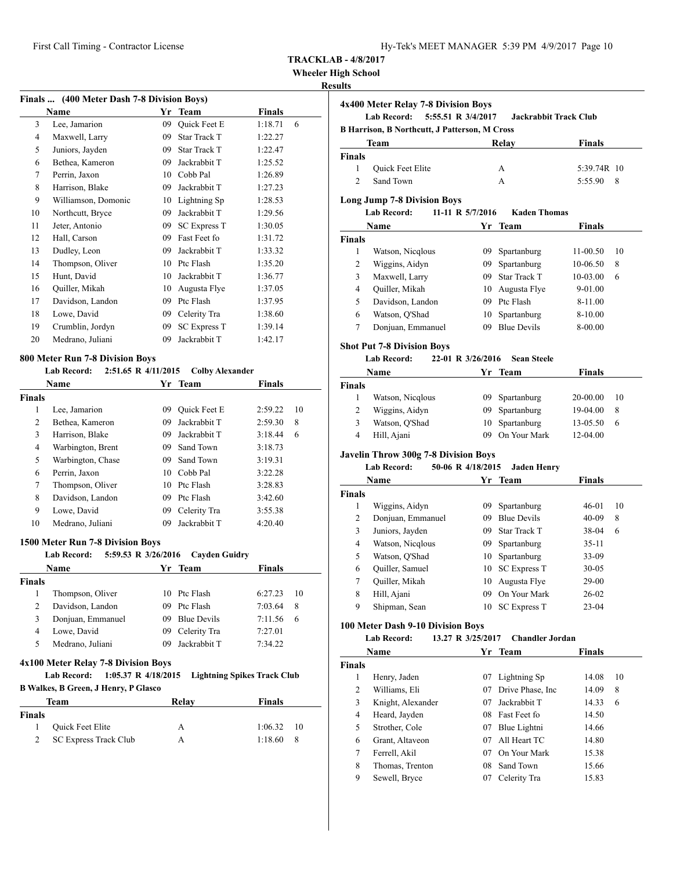#### **Wheeler High School**

## **Results**

| Finals  (400 Meter Dash 7-8 Division Boys) |                     |    |                     |              |  |  |
|--------------------------------------------|---------------------|----|---------------------|--------------|--|--|
| Name<br>Yr                                 |                     |    | <b>Team</b>         | Finals       |  |  |
| 3                                          | Lee, Jamarion       | 09 | Quick Feet E        | 1:18.71<br>6 |  |  |
| 4                                          | Maxwell, Larry      | 09 | <b>Star Track T</b> | 1:22.27      |  |  |
| 5                                          | Juniors, Jayden     | 09 | <b>Star Track T</b> | 1:22.47      |  |  |
| 6                                          | Bethea, Kameron     | 09 | Jackrabbit T        | 1:25.52      |  |  |
| 7                                          | Perrin, Jaxon       | 10 | Cobb Pal            | 1:26.89      |  |  |
| 8                                          | Harrison, Blake     | 09 | Jackrabbit T        | 1:27.23      |  |  |
| 9                                          | Williamson, Domonic | 10 | Lightning Sp        | 1:28.53      |  |  |
| 10                                         | Northcutt, Bryce    | 09 | Jackrabbit T        | 1:29.56      |  |  |
| 11                                         | Jeter, Antonio      | 09 | <b>SC Express T</b> | 1:30.05      |  |  |
| 12                                         | Hall, Carson        | 09 | Fast Feet fo        | 1:31.72      |  |  |
| 13                                         | Dudley, Leon        | 09 | Jackrabbit T        | 1:33.32      |  |  |
| 14                                         | Thompson, Oliver    | 10 | Ptc Flash           | 1:35.20      |  |  |
| 15                                         | Hunt, David         | 10 | Jackrabbit T        | 1:36.77      |  |  |
| 16                                         | Quiller, Mikah      | 10 | Augusta Flye        | 1:37.05      |  |  |
| 17                                         | Davidson, Landon    | 09 | Ptc Flash           | 1:37.95      |  |  |
| 18                                         | Lowe, David         | 09 | Celerity Tra        | 1:38.60      |  |  |
| 19                                         | Crumblin, Jordyn    | 09 | <b>SC Express T</b> | 1:39.14      |  |  |
| 20                                         | Medrano, Juliani    | 09 | Jackrabbit T        | 1:42.17      |  |  |

## **800 Meter Run 7-8 Division Boys**

#### **Lab Record: 2:51.65 R 4/11/2015 Colby Alexander**

|        | <b>Name</b>       | Yr ' | Team                | <b>Finals</b> |    |
|--------|-------------------|------|---------------------|---------------|----|
| Finals |                   |      |                     |               |    |
| 1      | Lee, Jamarion     | 09   | <b>Ouick Feet E</b> | 2:59.22       | 10 |
| 2      | Bethea, Kameron   | 09   | Jackrabbit T        | 2:59.30       | 8  |
| 3      | Harrison, Blake   | 09   | Jackrabbit T        | 3:18.44       | 6  |
| 4      | Warbington, Brent | 09   | Sand Town           | 3:18.73       |    |
| 5      | Warbington, Chase | 09   | Sand Town           | 3:19.31       |    |
| 6      | Perrin, Jaxon     | 10   | Cobb Pal            | 3:22.28       |    |
| 7      | Thompson, Oliver  | 10   | Ptc Flash           | 3:28.83       |    |
| 8      | Davidson, Landon  | 09   | Ptc Flash           | 3:42.60       |    |
| 9      | Lowe, David       | 09   | Celerity Tra        | 3:55.38       |    |
| 10     | Medrano, Juliani  | 09   | Jackrabbit T        | 4:20.40       |    |

#### **1500 Meter Run 7-8 Division Boys**

| <b>Lab Record:</b> |  | 5:59.53 R 3/26/2016 | <b>Cayden Guidry</b> |  |
|--------------------|--|---------------------|----------------------|--|
|--------------------|--|---------------------|----------------------|--|

| Name   |                   |     | Yr Team         | <b>Finals</b> |    |  |
|--------|-------------------|-----|-----------------|---------------|----|--|
| Finals |                   |     |                 |               |    |  |
|        | Thompson, Oliver  |     | 10 Ptc Flash    | 6:27.23       | 10 |  |
| 2      | Davidson, Landon  | 09. | Ptc Flash       | 7:03.64       | 8  |  |
| 3      | Donjuan, Emmanuel |     | 09 Blue Devils  | 7:11.56       | 6  |  |
| 4      | Lowe, David       |     | 09 Celerity Tra | 7:27.01       |    |  |
| 5      | Medrano, Juliani  |     | 09 Jackrabbit T | 7:34.22       |    |  |
|        |                   |     |                 |               |    |  |

#### **4x100 Meter Relay 7-8 Division Boys**

**Lab Record: 1:05.37 R 4/18/2015 Lightning Spikes Track Club B Walkes, B Green, J Henry, P Glasco**

| Team          |                       | Relay | <b>Finals</b>      |
|---------------|-----------------------|-------|--------------------|
| <b>Finals</b> |                       |       |                    |
| $\mathbf{1}$  | Quick Feet Elite      |       | $1:06.32 \quad 10$ |
|               | SC Express Track Club |       | 1:18.60<br>- 8     |

| 4x400 Meter Relay 7-8 Division Boys                  |                  |                    |                       |               |     |  |  |
|------------------------------------------------------|------------------|--------------------|-----------------------|---------------|-----|--|--|
|                                                      | Lab Record:      | 5:55.51 R 3/4/2017 | Jackrabbit Track Club |               |     |  |  |
| <b>B Harrison, B Northcutt, J Patterson, M Cross</b> |                  |                    |                       |               |     |  |  |
| Team                                                 |                  |                    | Relav                 | <b>Finals</b> |     |  |  |
| Finals                                               |                  |                    |                       |               |     |  |  |
|                                                      | Quick Feet Elite |                    | A                     | 5:39.74R 10   |     |  |  |
|                                                      | Sand Town        |                    | А                     | 5:55.90       | - 8 |  |  |
|                                                      |                  |                    |                       |               |     |  |  |

#### **Long Jump 7-8 Division Boys**

|               | <b>Lab Record:</b> | 11-11 R 5/7/2016 | <b>Kaden Thomas</b> |          |    |
|---------------|--------------------|------------------|---------------------|----------|----|
|               | Name               | Yr.              | Team                | Finals   |    |
| <b>Finals</b> |                    |                  |                     |          |    |
| 1             | Watson, Nicqlous   | 09               | Spartanburg         | 11-00.50 | 10 |
| 2             | Wiggins, Aidyn     | 09.              | Spartanburg         | 10-06.50 | 8  |
| 3             | Maxwell, Larry     | 09               | <b>Star Track T</b> | 10-03.00 | 6  |
| 4             | Quiller, Mikah     | 10               | Augusta Flye        | 9-01.00  |    |
| 5             | Davidson, Landon   | 09               | Ptc Flash           | 8-11.00  |    |
| 6             | Watson, O'Shad     | 10               | Spartanburg         | 8-10.00  |    |
|               | Donjuan, Emmanuel  | 09               | <b>Blue Devils</b>  | 8-00.00  |    |

## **Shot Put 7-8 Division Boys**

## **Lab Record: 22-01 R 3/26/2016 Sean Steele**

| <b>Name</b>   |                  |     | Yr Team        | <b>Finals</b> |    |
|---------------|------------------|-----|----------------|---------------|----|
| <b>Finals</b> |                  |     |                |               |    |
|               | Watson, Nicqlous |     | 09 Spartanburg | 20-00.00      | 10 |
|               | Wiggins, Aidyn   |     | 09 Spartanburg | 19-04.00      | -8 |
| 3             | Watson, O'Shad   |     | 10 Spartanburg | 13-05.50      | 6  |
| 4             | Hill, Ajani      | 09. | On Your Mark   | 12-04.00      |    |

## **Javelin Throw 300g 7-8 Division Boys**

### **Lab Record: 50-06 R 4/18/2015 Jaden Henry**

|               | Name              |    | Yr Team             | Finals    |    |
|---------------|-------------------|----|---------------------|-----------|----|
| <b>Finals</b> |                   |    |                     |           |    |
| 1             | Wiggins, Aidyn    | 09 | Spartanburg         | $46-01$   | 10 |
| 2             | Donjuan, Emmanuel | 09 | <b>Blue Devils</b>  | $40-09$   | 8  |
| 3             | Juniors, Jayden   | 09 | Star Track T        | 38-04     | 6  |
| 4             | Watson, Nicqlous  | 09 | Spartanburg         | $35-11$   |    |
| 5             | Watson, O'Shad    |    | 10 Spartanburg      | 33-09     |    |
| 6             | Quiller, Samuel   |    | 10 SC Express T     | $30 - 05$ |    |
| 7             | Quiller, Mikah    | 10 | Augusta Flye        | $29-00$   |    |
| 8             | Hill, Ajani       | 09 | On Your Mark        | $26-02$   |    |
| 9             | Shipman, Sean     | 10 | <b>SC</b> Express T | $23-04$   |    |

#### **100 Meter Dash 9-10 Division Boys**

#### **Lab Record: 13.27 R 3/25/2017 Chandler Jordan**

|               | Name              |    | Yr Team           | <b>Finals</b> |    |
|---------------|-------------------|----|-------------------|---------------|----|
| <b>Finals</b> |                   |    |                   |               |    |
| 1             | Henry, Jaden      | 07 | Lightning Sp      | 14.08         | 10 |
| 2             | Williams, Eli     | 07 | Drive Phase, Inc. | 14.09         | 8  |
| 3             | Knight, Alexander | 07 | Jackrabbit T      | 14.33         | 6  |
| 4             | Heard, Jayden     | 08 | Fast Feet fo      | 14.50         |    |
| 5             | Strother, Cole    | 07 | Blue Lightni      | 14.66         |    |
| 6             | Grant, Altaveon   | 07 | All Heart TC      | 14.80         |    |
| 7             | Ferrell, Akil     | 07 | On Your Mark      | 15.38         |    |
| 8             | Thomas, Trenton   | 08 | Sand Town         | 15.66         |    |
| 9             | Sewell, Bryce     | 07 | Celerity Tra      | 15.83         |    |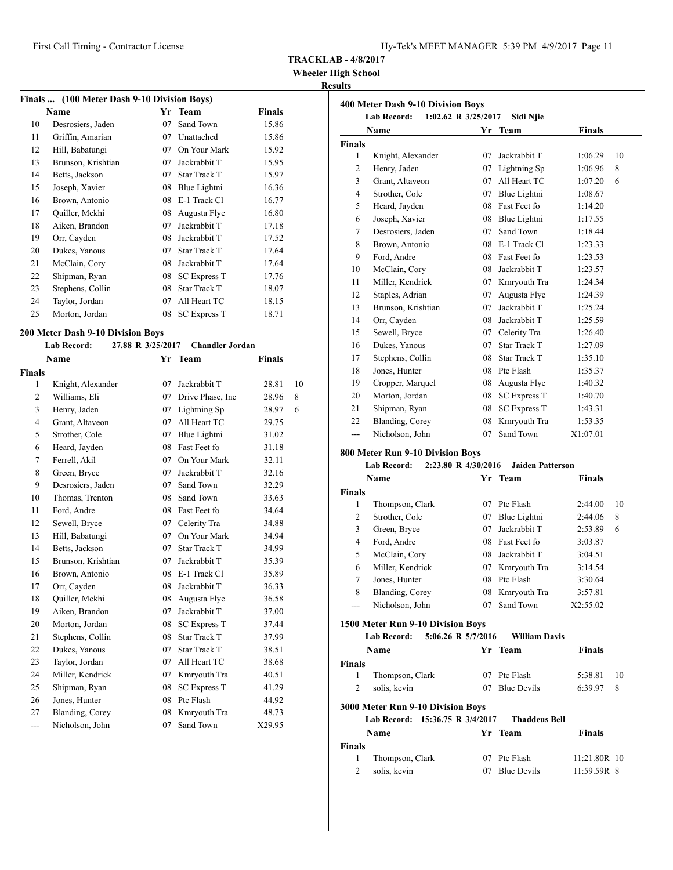**Wheeler High School**

## **Results**

|    | Finals  (100 Meter Dash 9-10 Division Boys) |    |                     |        |  |  |  |
|----|---------------------------------------------|----|---------------------|--------|--|--|--|
|    | Name                                        | Yr | <b>Team</b>         | Finals |  |  |  |
| 10 | Desrosiers, Jaden                           | 07 | Sand Town           | 15.86  |  |  |  |
| 11 | Griffin, Amarian                            | 07 | Unattached          | 15.86  |  |  |  |
| 12 | Hill, Babatungi                             | 07 | On Your Mark        | 15.92  |  |  |  |
| 13 | Brunson, Krishtian                          | 07 | Jackrabbit T        | 15.95  |  |  |  |
| 14 | Betts, Jackson                              | 07 | <b>Star Track T</b> | 15.97  |  |  |  |
| 15 | Joseph, Xavier                              | 08 | Blue Lightni        | 16.36  |  |  |  |
| 16 | Brown, Antonio                              | 08 | E-1 Track Cl        | 16.77  |  |  |  |
| 17 | Quiller, Mekhi                              | 08 | Augusta Flye        | 16.80  |  |  |  |
| 18 | Aiken, Brandon                              | 07 | Jackrabbit T        | 17.18  |  |  |  |
| 19 | Orr, Cayden                                 | 08 | Jackrabbit T        | 17.52  |  |  |  |
| 20 | Dukes, Yanous                               | 07 | Star Track T        | 17.64  |  |  |  |
| 21 | McClain, Cory                               | 08 | Jackrabbit T        | 17.64  |  |  |  |
| 22 | Shipman, Ryan                               | 08 | <b>SC Express T</b> | 17.76  |  |  |  |
| 23 | Stephens, Collin                            | 08 | Star Track T        | 18.07  |  |  |  |
| 24 | Taylor, Jordan                              | 07 | All Heart TC        | 18.15  |  |  |  |
| 25 | Morton, Jordan                              | 08 | <b>SC</b> Express T | 18.71  |  |  |  |
|    |                                             |    |                     |        |  |  |  |

## **200 Meter Dash 9-10 Division Boys**

|                | <b>Lab Record:</b> | 27.88 R 3/25/2017 | <b>Chandler Jordan</b> |               |    |
|----------------|--------------------|-------------------|------------------------|---------------|----|
|                | Name               |                   | Yr Team                | <b>Finals</b> |    |
| Finals         |                    |                   |                        |               |    |
| $\mathbf{1}$   | Knight, Alexander  | 07                | Jackrabbit T           | 28.81         | 10 |
| 2              | Williams, Eli      | 07                | Drive Phase, Inc.      | 28.96         | 8  |
| 3              | Henry, Jaden       | 07                | Lightning Sp           | 28.97         | 6  |
| $\overline{4}$ | Grant, Altaveon    | 07                | All Heart TC           | 29.75         |    |
| 5              | Strother, Cole     | 07                | Blue Lightni           | 31.02         |    |
| 6              | Heard, Jayden      | 08                | Fast Feet fo           | 31.18         |    |
| 7              | Ferrell, Akil      | 07                | On Your Mark           | 32.11         |    |
| 8              | Green, Bryce       | 07                | Jackrabbit T           | 32.16         |    |
| 9              | Desrosiers, Jaden  |                   | 07 Sand Town           | 32.29         |    |
| 10             | Thomas, Trenton    | 08                | Sand Town              | 33.63         |    |
| 11             | Ford, Andre        | 08                | Fast Feet fo           | 34.64         |    |
| 12             | Sewell, Bryce      | 07                | Celerity Tra           | 34.88         |    |
| 13             | Hill, Babatungi    | 07                | On Your Mark           | 34.94         |    |
| 14             | Betts, Jackson     | 07                | <b>Star Track T</b>    | 34.99         |    |
| 15             | Brunson, Krishtian | 07                | Jackrabbit T           | 35.39         |    |
| 16             | Brown, Antonio     | 08                | E-1 Track Cl           | 35.89         |    |
| 17             | Orr, Cayden        | 08                | Jackrabbit T           | 36.33         |    |
| 18             | Quiller, Mekhi     | 08                | Augusta Flye           | 36.58         |    |
| 19             | Aiken, Brandon     | 07                | Jackrabbit T           | 37.00         |    |
| 20             | Morton, Jordan     | 08                | <b>SC Express T</b>    | 37.44         |    |
| 21             | Stephens, Collin   | 08                | <b>Star Track T</b>    | 37.99         |    |
| 22             | Dukes, Yanous      | 07                | <b>Star Track T</b>    | 38.51         |    |
| 23             | Taylor, Jordan     | 07                | All Heart TC           | 38.68         |    |
| 24             | Miller, Kendrick   | 07                | Kmryouth Tra           | 40.51         |    |
| 25             | Shipman, Ryan      | 08                | <b>SC Express T</b>    | 41.29         |    |
| 26             | Jones, Hunter      | 08                | Ptc Flash              | 44.92         |    |
| 27             | Blanding, Corey    | 08                | Kmryouth Tra           | 48.73         |    |
| ---            | Nicholson, John    | 07                | Sand Town              | X29.95        |    |

| 400 Meter Dash 9-10 Division Boys |                    |                     |                     |               |    |  |
|-----------------------------------|--------------------|---------------------|---------------------|---------------|----|--|
|                                   | <b>Lab Record:</b> | 1:02.62 R 3/25/2017 | Sidi Njie           |               |    |  |
|                                   | Name               | Yr                  | Team                | <b>Finals</b> |    |  |
| <b>Finals</b>                     |                    |                     |                     |               |    |  |
| 1                                 | Knight, Alexander  | 07                  | Jackrabbit T        | 1:06.29       | 10 |  |
| 2                                 | Henry, Jaden       | 07                  | Lightning Sp        | 1:06.96       | 8  |  |
| 3                                 | Grant, Altaveon    | 07                  | All Heart TC        | 1:07.20       | 6  |  |
| 4                                 | Strother, Cole     | 07                  | Blue Lightni        | 1:08.67       |    |  |
| 5                                 | Heard, Jayden      | 08                  | Fast Feet fo        | 1:14.20       |    |  |
| 6                                 | Joseph, Xavier     | 08                  | Blue Lightni        | 1:17.55       |    |  |
| 7                                 | Desrosiers, Jaden  | 07                  | Sand Town           | 1:18.44       |    |  |
| 8                                 | Brown, Antonio     | 08                  | E-1 Track Cl        | 1:23.33       |    |  |
| 9                                 | Ford, Andre        | 08                  | Fast Feet fo        | 1:23.53       |    |  |
| 10                                | McClain, Cory      | 08                  | Jackrabbit T        | 1:23.57       |    |  |
| 11                                | Miller, Kendrick   | 07                  | Kmryouth Tra        | 1:24.34       |    |  |
| 12                                | Staples, Adrian    | 07                  | Augusta Flye        | 1:24.39       |    |  |
| 13                                | Brunson, Krishtian | 07                  | Jackrabbit T        | 1:25.24       |    |  |
| 14                                | Orr, Cayden        | 08                  | Jackrabbit T        | 1:25.59       |    |  |
| 15                                | Sewell, Bryce      | 07                  | Celerity Tra        | 1:26.40       |    |  |
| 16                                | Dukes, Yanous      | 07                  | <b>Star Track T</b> | 1:27.09       |    |  |
| 17                                | Stephens, Collin   | 08                  | <b>Star Track T</b> | 1:35.10       |    |  |
| 18                                | Jones, Hunter      | 08                  | Ptc Flash           | 1:35.37       |    |  |
| 19                                | Cropper, Marquel   | 08                  | Augusta Flye        | 1:40.32       |    |  |
| 20                                | Morton, Jordan     | 08                  | <b>SC Express T</b> | 1:40.70       |    |  |
| 21                                | Shipman, Ryan      | 08                  | <b>SC Express T</b> | 1:43.31       |    |  |
| 22                                | Blanding, Corey    | 08                  | Kmryouth Tra        | 1:53.35       |    |  |
| ---                               | Nicholson, John    | 07                  | Sand Town           | X1:07.01      |    |  |
|                                   |                    |                     |                     |               |    |  |

## **800 Meter Run 9-10 Division Boys**

## **Lab Record: 2:23.80 R 4/30/2016 Jaiden Patterson**

| Name          |                  |    | Yr Team             | <b>Finals</b> |    |
|---------------|------------------|----|---------------------|---------------|----|
| <b>Finals</b> |                  |    |                     |               |    |
| 1             | Thompson, Clark  | 07 | Ptc Flash           | 2:44.00       | 10 |
| 2             | Strother, Cole   | 07 | Blue Lightni        | 2:44.06       | 8  |
| 3             | Green, Bryce     | 07 | Jackrabbit T        | 2:53.89       | 6  |
| 4             | Ford, Andre      | 08 | <b>Fast Feet fo</b> | 3:03.87       |    |
| 5             | McClain, Cory    | 08 | Jackrabbit T        | 3:04.51       |    |
| 6             | Miller, Kendrick | 07 | Kmryouth Tra        | 3:14.54       |    |
| 7             | Jones, Hunter    | 08 | Ptc Flash           | 3:30.64       |    |
| 8             | Blanding, Corey  | 08 | Kmryouth Tra        | 3:57.81       |    |
|               | Nicholson, John  | 07 | Sand Town           | X2:55.02      |    |

## **1500 Meter Run 9-10 Division Boys**

#### **Lab Record: 5:06.26 R 5/7/2016 William Davis**

|               | Name                                     |    | Yr Team              | <b>Finals</b> |    |  |  |
|---------------|------------------------------------------|----|----------------------|---------------|----|--|--|
| <b>Finals</b> |                                          |    |                      |               |    |  |  |
|               | Thompson, Clark                          | 07 | Ptc Flash            | 5:38.81       | 10 |  |  |
| 2             | solis, kevin                             | 07 | <b>Blue Devils</b>   | 6:39.97       | 8  |  |  |
|               | <b>3000 Meter Run 9-10 Division Boys</b> |    |                      |               |    |  |  |
|               | Lab Record: 15:36.75 R 3/4/2017          |    | <b>Thaddeus Bell</b> |               |    |  |  |
|               | Name                                     |    | Yr Team              | <b>Finals</b> |    |  |  |
| <b>Finals</b> |                                          |    |                      |               |    |  |  |

 Thompson, Clark 07 Ptc Flash 11:21.80R 10 2 solis, kevin 07 Blue Devils 11:59.59R 8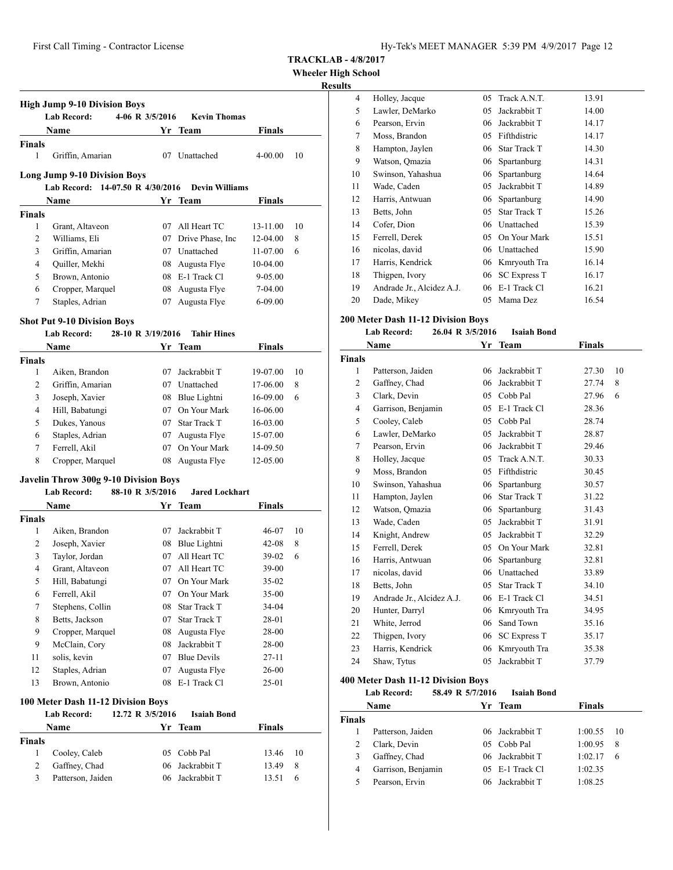**Wheeler High School**

## **Results**

|                | <b>High Jump 9-10 Division Boys</b><br><b>Lab Record:</b> | 4-06 R 3/5/2016   | <b>Kevin Thomas</b>   |               |    |
|----------------|-----------------------------------------------------------|-------------------|-----------------------|---------------|----|
|                | Name                                                      |                   | Yr Team               | <b>Finals</b> |    |
| <b>Finals</b>  |                                                           |                   |                       |               |    |
| 1              | Griffin, Amarian                                          |                   | 07 Unattached         | $4 - 00.00$   | 10 |
|                | <b>Long Jump 9-10 Division Boys</b>                       |                   |                       |               |    |
|                | Lab Record: 14-07.50 R 4/30/2016                          |                   | <b>Devin Williams</b> |               |    |
|                | Name                                                      | Yr                | Team                  | Finals        |    |
| <b>Finals</b>  |                                                           |                   |                       |               |    |
| 1              | Grant, Altaveon                                           |                   | 07 All Heart TC       | 13-11.00      | 10 |
| 2              | Williams, Eli                                             |                   | 07 Drive Phase, Inc   | 12-04.00      | 8  |
| 3              | Griffin, Amarian                                          |                   | 07 Unattached         | 11-07.00      | 6  |
| 4              | Quiller, Mekhi                                            |                   | 08 Augusta Flye       | 10-04.00      |    |
| 5              | Brown, Antonio                                            |                   | 08 E-1 Track Cl       | 9-05.00       |    |
| 6              | Cropper, Marquel                                          | 08                | Augusta Flye          | 7-04.00       |    |
| 7              | Staples, Adrian                                           | 07                | Augusta Flye          | $6 - 09.00$   |    |
|                | <b>Shot Put 9-10 Division Boys</b>                        |                   |                       |               |    |
|                | <b>Lab Record:</b>                                        | 28-10 R 3/19/2016 | <b>Tahir Hines</b>    |               |    |
|                | Name                                                      |                   | Yr Team               | <b>Finals</b> |    |
| Finals         |                                                           |                   |                       |               |    |
| 1              | Aiken, Brandon                                            | 07                | Jackrabbit T          | 19-07.00      | 10 |
| 2              | Griffin, Amarian                                          |                   | 07 Unattached         | 17-06.00      | 8  |
| 3              | Joseph, Xavier                                            |                   | 08 Blue Lightni       | 16-09.00      | 6  |
| $\overline{4}$ | Hill, Babatungi                                           |                   | 07 On Your Mark       | 16-06.00      |    |
| 5              | Dukes, Yanous                                             |                   | 07 Star Track T       | 16-03.00      |    |
| 6              | Staples, Adrian                                           |                   | 07 Augusta Flye       | 15-07.00      |    |
| 7              | Ferrell, Akil                                             |                   | 07 On Your Mark       | 14-09.50      |    |
| 8              | Cropper, Marquel                                          |                   | 08 Augusta Flye       | 12-05.00      |    |
|                | Javelin Throw 300g 9-10 Division Boys                     |                   |                       |               |    |
|                | <b>Lab Record:</b>                                        | 88-10 R 3/5/2016  | <b>Jared Lockhart</b> |               |    |
|                | Name                                                      |                   | Yr Team               | Finals        |    |
| <b>Finals</b>  |                                                           |                   |                       |               |    |
| 1              | Aiken, Brandon                                            |                   | 07 Jackrabbit T       | 46-07         | 10 |
| 2              | Joseph, Xavier                                            | 08                | Blue Lightni          | 42-08         | 8  |
| 3              | Taylor, Jordan                                            | 07                | All Heart TC          | $39-02$       | 6  |
| 4              | Grant, Altaveon                                           |                   | 07 All Heart TC       | $39-00$       |    |
| 5              | Hill, Babatungi                                           |                   | 07 On Your Mark       | 35-02         |    |
| 6              | Ferrell, Akil                                             |                   | 07 On Your Mark       | 35-00         |    |
| $\tau$         | Stephens, Collin                                          | 08                | Star Track T          | 34-04         |    |
| 8              | Betts, Jackson                                            | 07                | Star Track T          | 28-01         |    |
| 9              | Cropper, Marquel                                          | 08                | Augusta Flye          | 28-00         |    |
| 9              | McClain, Cory                                             | 08                | Jackrabbit T          | 28-00         |    |
| 11             | solis, kevin                                              | 07                | <b>Blue Devils</b>    | $27 - 11$     |    |
| 12             | Staples, Adrian                                           | 07                | Augusta Flye          | 26-00         |    |
| 13             | Brown, Antonio                                            | 08                | E-1 Track Cl          | 25-01         |    |
|                | 100 Meter Dash 11-12 Division Boys                        |                   |                       |               |    |
|                | <b>Lab Record:</b>                                        | 12.72 R 3/5/2016  | <b>Isaiah Bond</b>    |               |    |
|                | Name                                                      |                   | Yr Team               | <b>Finals</b> |    |
| Finals         |                                                           |                   |                       |               |    |
| 1              | Cooley, Caleb                                             | 05                | Cobb Pal              | 13.46         | 10 |

2 Gaffney, Chad 06 Jackrabbit T 13.49 8 Patterson, Jaiden 06 Jackrabbit T 13.51 6

| 4  | Holley, Jacque            | 05 | Track A.N.T.        | 13.91 |
|----|---------------------------|----|---------------------|-------|
| 5  | Lawler, DeMarko           | 05 | Jackrabbit T        | 14.00 |
| 6  | Pearson, Ervin            | 06 | Jackrabbit T        | 14.17 |
| 7  | Moss, Brandon             | 05 | Fifthdistric        | 14.17 |
| 8  | Hampton, Jaylen           | 06 | Star Track T        | 14.30 |
| 9  | Watson, Omazia            | 06 | Spartanburg         | 14.31 |
| 10 | Swinson, Yahashua         | 06 | Spartanburg         | 14.64 |
| 11 | Wade, Caden               | 05 | Jackrabbit T        | 14.89 |
| 12 | Harris, Antwuan           | 06 | Spartanburg         | 14.90 |
| 13 | Betts, John               | 05 | <b>Star Track T</b> | 15.26 |
| 14 | Cofer, Dion               |    | 06 Unattached       | 15.39 |
| 15 | Ferrell, Derek            | 05 | On Your Mark        | 15.51 |
| 16 | nicolas, david            |    | 06 Unattached       | 15.90 |
| 17 | Harris, Kendrick          |    | 06 Kmryouth Tra     | 16.14 |
| 18 | Thigpen, Ivory            |    | 06 SC Express T     | 16.17 |
| 19 | Andrade Jr., Alcidez A.J. | 06 | E-1 Track Cl        | 16.21 |
| 20 | Dade, Mikey               | 05 | Mama Dez            | 16.54 |
|    |                           |    |                     |       |

## **200 Meter Dash 11-12 Division Boys**

#### **Lab Record: 26.04 R 3/5/2016 Isaiah Bond**

|               | Name                      | Yr | <b>Team</b>         | <b>Finals</b> |    |
|---------------|---------------------------|----|---------------------|---------------|----|
| <b>Finals</b> |                           |    |                     |               |    |
| 1             | Patterson, Jaiden         | 06 | Jackrabbit T        | 27.30         | 10 |
| 2             | Gaffney, Chad             | 06 | Jackrabbit T        | 27.74         | 8  |
| 3             | Clark, Devin              | 05 | Cobb Pal            | 27.96         | 6  |
| 4             | Garrison, Benjamin        | 05 | E-1 Track Cl        | 28.36         |    |
| 5             | Cooley, Caleb             | 05 | Cobb Pal            | 28.74         |    |
| 6             | Lawler, DeMarko           | 05 | Jackrabbit T        | 28.87         |    |
| 7             | Pearson, Ervin            | 06 | Jackrabbit T        | 29.46         |    |
| 8             | Holley, Jacque            | 05 | Track A.N.T.        | 30.33         |    |
| 9             | Moss, Brandon             | 05 | Fifthdistric        | 30.45         |    |
| 10            | Swinson, Yahashua         | 06 | Spartanburg         | 30.57         |    |
| 11            | Hampton, Jaylen           | 06 | <b>Star Track T</b> | 31.22         |    |
| 12            | Watson, Qmazia            | 06 | Spartanburg         | 31.43         |    |
| 13            | Wade, Caden               | 05 | Jackrabbit T        | 31.91         |    |
| 14            | Knight, Andrew            | 05 | Jackrabbit T        | 32.29         |    |
| 15            | Ferrell, Derek            | 05 | On Your Mark        | 32.81         |    |
| 16            | Harris, Antwuan           | 06 | Spartanburg         | 32.81         |    |
| 17            | nicolas, david            | 06 | Unattached          | 33.89         |    |
| 18            | Betts, John               | 05 | Star Track T        | 34.10         |    |
| 19            | Andrade Jr., Alcidez A.J. | 06 | E-1 Track Cl        | 34.51         |    |
| 20            | Hunter, Darryl            | 06 | Kmryouth Tra        | 34.95         |    |
| 21            | White, Jerrod             | 06 | Sand Town           | 35.16         |    |
| 22            | Thigpen, Ivory            | 06 | <b>SC Express T</b> | 35.17         |    |
| 23            | Harris, Kendrick          | 06 | Kmryouth Tra        | 35.38         |    |
| 24            | Shaw, Tytus               | 05 | Jackrabbit T        | 37.79         |    |
|               |                           |    |                     |               |    |

#### **400 Meter Dash 11-12 Division Boys**

#### **Lab Record: 58.49 R 5/7/2016 Isaiah Bond**

| <b>Name</b>   |                    |     | Yr Team           | <b>Finals</b> |     |
|---------------|--------------------|-----|-------------------|---------------|-----|
| <b>Finals</b> |                    |     |                   |               |     |
|               | Patterson, Jaiden  |     | 06 Jackrabbit T   | 1:00.55       | -10 |
|               | Clark, Devin       | 05. | Cobb Pal          | 1:00.95       | 8   |
| 3             | Gaffney, Chad      |     | 06 Jackrabbit T   | 1:02.17       | 6   |
| 4             | Garrison, Benjamin |     | $05$ E-1 Track Cl | 1:02.35       |     |
| 5             | Pearson, Ervin     |     | 06 Jackrabbit T   | 1:08.25       |     |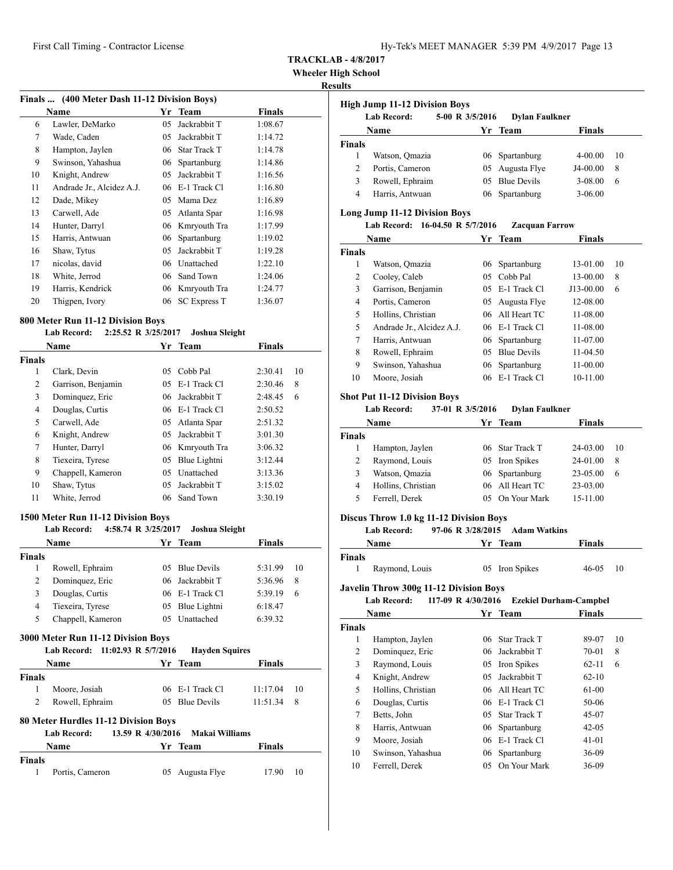**Wheeler High School**

#### **Results**

|    | Finals  (400 Meter Dash 11-12 Division Boys) |    |                     |               |  |  |  |  |  |
|----|----------------------------------------------|----|---------------------|---------------|--|--|--|--|--|
|    | Name                                         | Yr | Team                | <b>Finals</b> |  |  |  |  |  |
| 6  | Lawler, DeMarko                              | 05 | Jackrabbit T        | 1:08.67       |  |  |  |  |  |
| 7  | Wade, Caden                                  | 05 | Jackrabbit T        | 1:14.72       |  |  |  |  |  |
| 8  | Hampton, Jaylen                              | 06 | <b>Star Track T</b> | 1:14.78       |  |  |  |  |  |
| 9  | Swinson, Yahashua                            | 06 | Spartanburg         | 1:14.86       |  |  |  |  |  |
| 10 | Knight, Andrew                               | 05 | Jackrabbit T        | 1:16.56       |  |  |  |  |  |
| 11 | Andrade Jr., Alcidez A.J.                    | 06 | E-1 Track Cl        | 1:16.80       |  |  |  |  |  |
| 12 | Dade, Mikey                                  | 05 | Mama Dez            | 1:16.89       |  |  |  |  |  |
| 13 | Carwell, Ade                                 | 05 | Atlanta Spar        | 1:16.98       |  |  |  |  |  |
| 14 | Hunter, Darryl                               | 06 | Kmryouth Tra        | 1:17.99       |  |  |  |  |  |
| 15 | Harris, Antwuan                              | 06 | Spartanburg         | 1:19.02       |  |  |  |  |  |
| 16 | Shaw, Tytus                                  | 05 | Jackrabbit T        | 1:19.28       |  |  |  |  |  |
| 17 | nicolas, david                               | 06 | Unattached          | 1:22.10       |  |  |  |  |  |
| 18 | White, Jerrod                                | 06 | Sand Town           | 1:24.06       |  |  |  |  |  |
| 19 | Harris, Kendrick                             | 06 | Kmryouth Tra        | 1:24.77       |  |  |  |  |  |
| 20 | Thigpen, Ivory                               | 06 | <b>SC Express T</b> | 1:36.07       |  |  |  |  |  |

#### **800 Meter Run 11-12 Division Boys**

|        | 2:25.52 R 3/25/2017<br><b>Lab Record:</b> |     | Joshua Sleight  |               |    |
|--------|-------------------------------------------|-----|-----------------|---------------|----|
|        | <b>Name</b>                               |     | Yr Team         | <b>Finals</b> |    |
| Finals |                                           |     |                 |               |    |
| 1      | Clark, Devin                              | 05  | Cobb Pal        | 2:30.41       | 10 |
| 2      | Garrison, Benjamin                        |     | 05 E-1 Track Cl | 2:30.46       | 8  |
| 3      | Dominquez, Eric                           |     | 06 Jackrabbit T | 2:48.45       | 6  |
| 4      | Douglas, Curtis                           |     | 06 E-1 Track Cl | 2:50.52       |    |
| 5      | Carwell, Ade                              | 05  | Atlanta Spar    | 2:51.32       |    |
| 6      | Knight, Andrew                            |     | 05 Jackrabbit T | 3:01.30       |    |
| 7      | Hunter, Darryl                            |     | 06 Kmryouth Tra | 3:06.32       |    |
| 8      | Tiexeira, Tyrese                          | 05  | Blue Lightni    | 3:12.44       |    |
| 9      | Chappell, Kameron                         | 05  | Unattached      | 3:13.36       |    |
| 10     | Shaw, Tytus                               | 05  | Jackrabbit T    | 3:15.02       |    |
| 11     | White, Jerrod                             | 06. | Sand Town       | 3:30.19       |    |

#### **1500 Meter Run 11-12 Division Boys**

#### **Lab Record: 4:58.74 R 3/25/2017 Joshua Sleight**

|               | Name              | Yr Team         | <b>Finals</b> |    |
|---------------|-------------------|-----------------|---------------|----|
| <b>Finals</b> |                   |                 |               |    |
|               | Rowell, Ephraim   | 05 Blue Devils  | 5:31.99       | 10 |
|               | Dominquez, Eric   | 06 Jackrabbit T | 5:36.96       | 8  |
| 3             | Douglas, Curtis   | 06 E-1 Track Cl | 5:39.19       | 6  |
| 4             | Tiexeira, Tyrese  | 05 Blue Lightni | 6:18.47       |    |
| 5             | Chappell, Kameron | 05 Unattached   | 6:39.32       |    |

#### **3000 Meter Run 11-12 Division Boys**

#### **Lab Record: 11:02.93 R 5/7/2016 Hayden Squires**

|               | <b>Name</b>     | Yr Team         | Finals       |                 |
|---------------|-----------------|-----------------|--------------|-----------------|
| <b>Finals</b> |                 |                 |              |                 |
| 1.            | Moore, Josiah   | 06 E-1 Track Cl | 11:17.04     | $\overline{10}$ |
| 2             | Rowell, Ephraim | 05 Blue Devils  | $11:51.34$ 8 |                 |

## **80 Meter Hurdles 11-12 Division Boys**

|        | Lab Record:     | 13.59 R 4/30/2016 Makai Williams |             |  |
|--------|-----------------|----------------------------------|-------------|--|
|        | Name            | Yr Team                          | Finals      |  |
| Finals |                 |                                  |             |  |
| 1.     | Portis, Cameron | 05 Augusta Flye                  | 17.90<br>10 |  |

|               | <b>High Jump 11-12 Division Boys</b> |                 |                       |               |    |
|---------------|--------------------------------------|-----------------|-----------------------|---------------|----|
|               | <b>Lab Record:</b>                   | 5-00 R 3/5/2016 | <b>Dylan Faulkner</b> |               |    |
|               | <b>Name</b>                          | Yr Team         |                       | <b>Finals</b> |    |
| <b>Finals</b> |                                      |                 |                       |               |    |
|               | Watson, Omazia                       |                 | 06 Spartanburg        | 4-00.00       | 10 |
| $\mathcal{L}$ | Portis, Cameron                      |                 | 05 Augusta Flye       | J4-00.00      | 8  |
| 3             | Rowell, Ephraim                      |                 | 05 Blue Devils        | 3-08.00       | 6  |
| 4             | Harris, Antwuan                      |                 | 06 Spartanburg        | $3-06.00$     |    |

## **Long Jump 11-12 Division Boys**

## **Lab Record: 16-04.50 R 5/7/2016 Zacquan Farrow**

|               | <b>Name</b>               | Yr  | <b>Team</b>        | <b>Finals</b> |    |
|---------------|---------------------------|-----|--------------------|---------------|----|
| <b>Finals</b> |                           |     |                    |               |    |
| 1             | Watson, Omazia            |     | 06 Spartanburg     | 13-01.00      | 10 |
| 2             | Cooley, Caleb             | 05  | Cobb Pal           | 13-00.00      | 8  |
| 3             | Garrison, Benjamin        |     | $05$ E-1 Track Cl  | J13-00.00     | 6  |
| 4             | Portis, Cameron           | 05  | Augusta Flye       | 12-08.00      |    |
| 5             | Hollins, Christian        |     | 06 All Heart TC    | 11-08.00      |    |
| 5             | Andrade Jr., Alcidez A.J. |     | $06$ E-1 Track Cl  | 11-08.00      |    |
| 7             | Harris, Antwuan           |     | 06 Spartanburg     | $11-07.00$    |    |
| 8             | Rowell, Ephraim           | 05  | <b>Blue Devils</b> | 11-04.50      |    |
| 9             | Swinson, Yahashua         |     | 06 Spartanburg     | $11-00.00$    |    |
| 10            | Moore, Josiah             | 06. | E-1 Track Cl       | 10-11.00      |    |

#### **Shot Put 11-12 Division Boys**

#### **Lab Record: 37-01 R 3/5/2016 Dylan Faulkner**

|               | <b>Name</b>        | Yr Team |                 | <b>Finals</b> |    |
|---------------|--------------------|---------|-----------------|---------------|----|
| <b>Finals</b> |                    |         |                 |               |    |
|               | Hampton, Jaylen    |         | 06 Star Track T | 24-03.00      | 10 |
|               | Raymond, Louis     |         | 05 Iron Spikes  | 24-01.00      | 8  |
| 3             | Watson, Omazia     |         | 06 Spartanburg  | 23-05.00      | 6  |
| 4             | Hollins, Christian |         | 06 All Heart TC | 23-03.00      |    |
| 5             | Ferrell, Derek     |         | 05 On Your Mark | 15-11.00      |    |

## **Discus Throw 1.0 kg 11-12 Division Boys**

#### **Lab Record: 97-06 R 3/28/2015 Adam Watkins**

| Name   |                | Yr Team        | <b>Finals</b> |     |  |
|--------|----------------|----------------|---------------|-----|--|
| Finals |                |                |               |     |  |
|        | Raymond, Louis | 05 Iron Spikes | 46-05         | -10 |  |

#### **Javelin Throw 300g 11-12 Division Boys**

#### **Lab Record: 117-09 R 4/30/2016 Ezekiel Durham-Campbel**

|               | Name               | Yr  | Team                | <b>Finals</b> |    |
|---------------|--------------------|-----|---------------------|---------------|----|
| <b>Finals</b> |                    |     |                     |               |    |
| 1             | Hampton, Jaylen    | 06. | <b>Star Track T</b> | 89-07         | 10 |
| 2             | Dominquez, Eric    |     | 06 Jackrabbit T     | 70-01         | 8  |
| 3             | Raymond, Louis     |     | 05 Iron Spikes      | $62 - 11$     | 6  |
| 4             | Knight, Andrew     | 05  | Jackrabbit T        | $62 - 10$     |    |
| 5             | Hollins, Christian |     | 06 All Heart TC     | 61-00         |    |
| 6             | Douglas, Curtis    |     | $06$ E-1 Track Cl   | 50-06         |    |
| 7             | Betts, John        |     | 05 Star Track T     | 45-07         |    |
| 8             | Harris, Antwuan    |     | 06 Spartanburg      | $42 - 05$     |    |
| 9             | Moore, Josiah      |     | 06 E-1 Track Cl     | $41-01$       |    |
| 10            | Swinson, Yahashua  |     | 06 Spartanburg      | 36-09         |    |
| 10            | Ferrell, Derek     | 05  | On Your Mark        | 36-09         |    |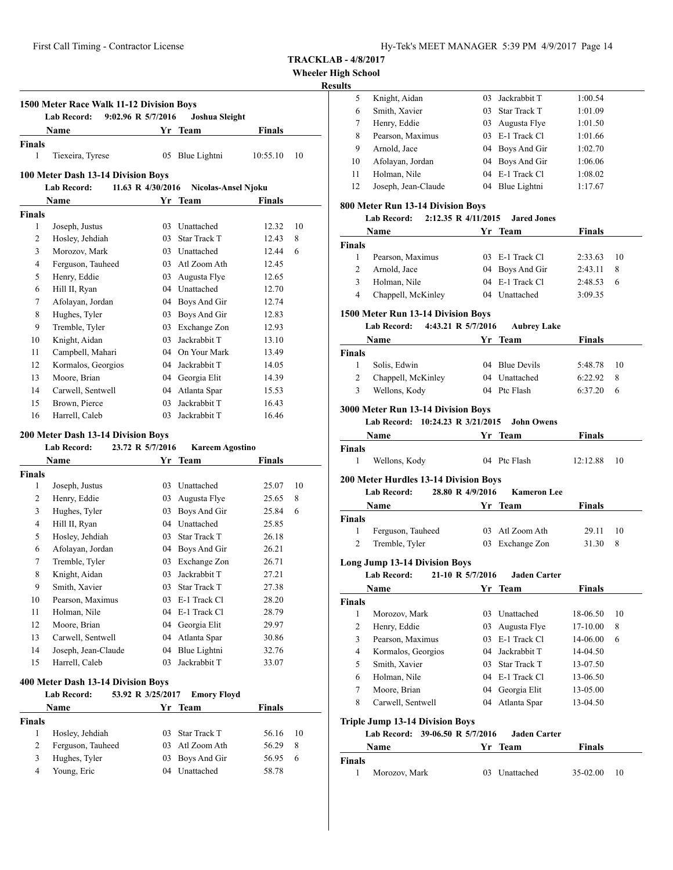#### **TRACKLAB - 4/8/2017**

**Wheeler High School**

|                  |                                                                 |                    |                              |               |    | <b>Results</b>     |                                                         |                     |                                      |                                |      |
|------------------|-----------------------------------------------------------------|--------------------|------------------------------|---------------|----|--------------------|---------------------------------------------------------|---------------------|--------------------------------------|--------------------------------|------|
|                  |                                                                 |                    |                              |               |    | 5                  | Knight, Aidan                                           |                     | 03 Jackrabbit T                      | 1:00.54                        |      |
|                  | 1500 Meter Race Walk 11-12 Division Boys                        |                    |                              |               |    | 6                  | Smith, Xavier                                           |                     | 03 Star Track T                      | 1:01.09                        |      |
|                  | <b>Lab Record:</b>                                              | 9:02.96 R 5/7/2016 | Joshua Sleight               |               |    | $\tau$             | Henry, Eddie                                            |                     | 03 Augusta Flye                      | 1:01.50                        |      |
|                  | <b>Name</b>                                                     |                    | Yr Team                      | <b>Finals</b> |    | 8                  | Pearson, Maximus                                        |                     | 03 E-1 Track Cl                      | 1:01.66                        |      |
| Finals           |                                                                 |                    |                              |               |    | 9                  | Arnold, Jace                                            |                     | 04 Boys And Gir                      | 1:02.70                        |      |
| $\mathbf{1}$     | Tiexeira, Tyrese                                                |                    | 05 Blue Lightni              | 10:55.10      | 10 | 10                 | Afolayan, Jordan                                        |                     | 04 Boys And Gir                      | 1:06.06                        |      |
|                  | 100 Meter Dash 13-14 Division Boys                              |                    |                              |               |    | 11                 | Holman, Nile                                            | 04                  | E-1 Track Cl                         | 1:08.02                        |      |
|                  | <b>Lab Record:</b>                                              | 11.63 R 4/30/2016  | <b>Nicolas-Ansel Njoku</b>   |               |    | 12                 | Joseph, Jean-Claude                                     |                     | 04 Blue Lightni                      | 1:17.67                        |      |
|                  | Name                                                            |                    | Yr Team                      | Finals        |    |                    |                                                         |                     |                                      |                                |      |
| <b>Finals</b>    |                                                                 |                    |                              |               |    |                    | 800 Meter Run 13-14 Division Boys<br><b>Lab Record:</b> | 2:12.35 R 4/11/2015 | <b>Jared Jones</b>                   |                                |      |
| $\mathbf{1}$     | Joseph, Justus                                                  |                    | 03 Unattached                | 12.32         | 10 |                    | Name                                                    |                     | Yr Team                              |                                |      |
| $\overline{c}$   | Hosley, Jehdiah                                                 | 03                 | <b>Star Track T</b>          | 12.43         | 8  |                    |                                                         |                     |                                      | <b>Finals</b>                  |      |
| 3                | Morozov, Mark                                                   | 03                 | Unattached                   | 12.44         | 6  | <b>Finals</b>      |                                                         |                     |                                      |                                |      |
| 4                | Ferguson, Tauheed                                               | 03                 | Atl Zoom Ath                 | 12.45         |    | $\mathbf{1}$       | Pearson, Maximus                                        |                     | 03 E-1 Track Cl                      | 2:33.63                        | 10   |
| 5                | Henry, Eddie                                                    | 03                 | Augusta Flye                 | 12.65         |    | $\overline{2}$     | Arnold, Jace                                            |                     | 04 Boys And Gir                      | 2:43.11                        | 8    |
| 6                | Hill II, Ryan                                                   | 04                 | Unattached                   | 12.70         |    | 3                  | Holman, Nile                                            |                     | 04 E-1 Track Cl                      | 2:48.53                        | - 6  |
| $\boldsymbol{7}$ | Afolayan, Jordan                                                | 04                 | Boys And Gir                 | 12.74         |    | $\overline{4}$     | Chappell, McKinley                                      |                     | 04 Unattached                        | 3:09.35                        |      |
| $\,$ 8 $\,$      | Hughes, Tyler                                                   | 03                 | Boys And Gir                 | 12.83         |    |                    | 1500 Meter Run 13-14 Division Boys                      |                     |                                      |                                |      |
| 9                | Tremble, Tyler                                                  |                    | 03 Exchange Zon              | 12.93         |    |                    | <b>Lab Record:</b>                                      | 4:43.21 R 5/7/2016  | <b>Aubrey Lake</b>                   |                                |      |
| 10               | Knight, Aidan                                                   | 03                 | Jackrabbit T                 | 13.10         |    |                    | Name                                                    |                     | Yr Team                              | <b>Finals</b>                  |      |
| 11               | Campbell, Mahari                                                | 04                 | On Your Mark                 | 13.49         |    | <b>Finals</b>      |                                                         |                     |                                      |                                |      |
| 12               | Kormalos, Georgios                                              | 04                 | Jackrabbit T                 | 14.05         |    | 1                  | Solis, Edwin                                            |                     | 04 Blue Devils                       | 5:48.78                        | 10   |
| 13               | Moore, Brian                                                    | 04                 | Georgia Elit                 | 14.39         |    | $\mathfrak{2}$     | Chappell, McKinley                                      |                     | 04 Unattached                        | 6:22.92                        | 8    |
| 14               | Carwell, Sentwell                                               | 04                 | Atlanta Spar                 | 15.53         |    | 3                  | Wellons, Kody                                           |                     | 04 Ptc Flash                         | 6:37.20                        | - 6  |
| 15               | Brown, Pierce                                                   | 03                 | Jackrabbit T                 | 16.43         |    |                    |                                                         |                     |                                      |                                |      |
| 16               | Harrell, Caleb                                                  | 03                 | Jackrabbit T                 | 16.46         |    |                    | <b>3000 Meter Run 13-14 Division Boys</b>               |                     | <b>John Owens</b>                    |                                |      |
|                  |                                                                 |                    |                              |               |    |                    | Lab Record: 10:24.23 R 3/21/2015                        |                     |                                      |                                |      |
|                  | <b>200 Meter Dash 13-14 Division Boys</b><br><b>Lab Record:</b> | 23.72 R 5/7/2016   | <b>Kareem Agostino</b>       |               |    |                    | Name                                                    |                     | Yr Team                              | <b>Finals</b>                  |      |
|                  | Name                                                            |                    | Yr Team                      | <b>Finals</b> |    | <b>Finals</b><br>1 |                                                         |                     | 04 Ptc Flash                         | 12:12.88                       | 10   |
|                  |                                                                 |                    |                              |               |    |                    | Wellons, Kody                                           |                     |                                      |                                |      |
| Finals<br>1      | Joseph, Justus                                                  |                    | 03 Unattached                | 25.07         | 10 |                    | <b>200 Meter Hurdles 13-14 Division Boys</b>            |                     |                                      |                                |      |
| $\overline{2}$   |                                                                 | 03                 |                              | 25.65         | 8  |                    | <b>Lab Record:</b>                                      | 28.80 R 4/9/2016    | <b>Kameron</b> Lee                   |                                |      |
| $\mathfrak{Z}$   | Henry, Eddie<br>Hughes, Tyler                                   | 03                 | Augusta Flye<br>Boys And Gir | 25.84         | 6  |                    | Name                                                    |                     | Yr Team                              | <b>Finals</b>                  |      |
| $\overline{4}$   | Hill II, Ryan                                                   | 04                 | Unattached                   | 25.85         |    | <b>Finals</b>      |                                                         |                     |                                      |                                |      |
| 5                | Hosley, Jehdiah                                                 | 03                 | Star Track T                 | 26.18         |    | 1                  | Ferguson, Tauheed                                       |                     | 03 Atl Zoom Ath                      | 29.11                          | 10   |
| 6                | Afolayan, Jordan                                                | 04                 | Boys And Gir                 | 26.21         |    | $\overline{2}$     | Tremble, Tyler                                          |                     | 03 Exchange Zon                      | 31.30                          | 8    |
| $\tau$           | Tremble, Tyler                                                  |                    | 03 Exchange Zon              | 26.71         |    |                    |                                                         |                     |                                      |                                |      |
| $\,$ 8 $\,$      |                                                                 | 03                 | Jackrabbit T                 | 27.21         |    |                    | <b>Long Jump 13-14 Division Boys</b>                    | 21-10 R 5/7/2016    |                                      |                                |      |
| 9                | Knight, Aidan<br>Smith, Xavier                                  | 03                 | Star Track T                 | 27.38         |    |                    | <b>Lab Record:</b>                                      |                     | <b>Jaden Carter</b>                  |                                |      |
| 10               | Pearson, Maximus                                                |                    | 03 E-1 Track Cl              | 28.20         |    |                    | Name                                                    |                     | Yr Team                              | <b>Finals</b>                  |      |
| 11               | Holman, Nile                                                    |                    | 04 E-1 Track Cl              | 28.79         |    | <b>Finals</b>      |                                                         |                     |                                      |                                |      |
| 12               | Moore, Brian                                                    |                    | 04 Georgia Elit              | 29.97         |    | 1<br>$\mathcal{L}$ | Morozov, Mark<br>Henry Eddie                            |                     | 03 Unattached<br>$03$ Augusta $Flve$ | 18-06.50<br>$17-10.00 \quad$ 8 | - 10 |
|                  |                                                                 |                    |                              |               |    |                    |                                                         |                     |                                      |                                |      |

|        | -----------       |                 |               |    |  |
|--------|-------------------|-----------------|---------------|----|--|
|        | <b>Name</b>       | Yr Team         | <b>Finals</b> |    |  |
| ∛inals |                   |                 |               |    |  |
|        | Ferguson, Tauheed | 03 Atl Zoom Ath | 29.11         | 10 |  |
|        | Tremble, Tyler    | 03 Exchange Zon | 31.30         | 8  |  |
|        |                   |                 |               |    |  |

|        | <b>Lab Record:</b> | 21-10 R 5/7/2016 | <b>Jaden Carter</b> |               |    |
|--------|--------------------|------------------|---------------------|---------------|----|
|        | Name               |                  | Yr Team             | <b>Finals</b> |    |
| ∛inals |                    |                  |                     |               |    |
| 1      | Morozov, Mark      | 03.              | Unattached          | 18-06.50      | 10 |
| 2      | Henry, Eddie       | 03               | Augusta Flye        | 17-10.00      | 8  |
| 3      | Pearson, Maximus   |                  | $03$ E-1 Track Cl   | 14-06.00      | 6  |
| 4      | Kormalos, Georgios |                  | 04 Jackrabbit T     | 14-04.50      |    |
| 5      | Smith, Xavier      |                  | 03 Star Track T     | 13-07.50      |    |
| 6      | Holman, Nile       |                  | 04 E-1 Track Cl     | 13-06.50      |    |
| 7      | Moore, Brian       |                  | 04 Georgia Elit     | 13-05.00      |    |
| 8      | Carwell, Sentwell  | 04               | Atlanta Spar        | 13-04.50      |    |

## **Triple Jump 13-14 Division Boys**

**Lab Record: 39-06.50 R 5/7/2016 Jaden Carter**

|        | Name          | Yr Team       | <b>Finals</b> |    |  |
|--------|---------------|---------------|---------------|----|--|
| Finals |               |               |               |    |  |
|        | Morozov, Mark | 03 Unattached | $35-02.00$    | 10 |  |

| 400 Meter Dash 13-14 Division Boys |                               |  |
|------------------------------------|-------------------------------|--|
| Lab Record:                        | 53.92 R 3/25/2017 Emory Floyd |  |

|               | <b>Name</b>       | Yr Team         | <b>Finals</b> |      |  |
|---------------|-------------------|-----------------|---------------|------|--|
| <b>Finals</b> |                   |                 |               |      |  |
|               | Hosley, Jehdiah   | 03 Star Track T | 56.16         | - 10 |  |
| 2             | Ferguson, Tauheed | 03 Atl Zoom Ath | 56.29         | -8   |  |
| 3             | Hughes, Tyler     | 03 Boys And Gir | 56.95         | - 6  |  |
| 4             | Young, Eric       | 04 Unattached   | 58.78         |      |  |
|               |                   |                 |               |      |  |

13 Carwell, Sentwell 04 Atlanta Spar 30.86 14 Joseph, Jean-Claude 04 Blue Lightni 32.76 15 Harrell, Caleb 03 Jackrabbit T 33.07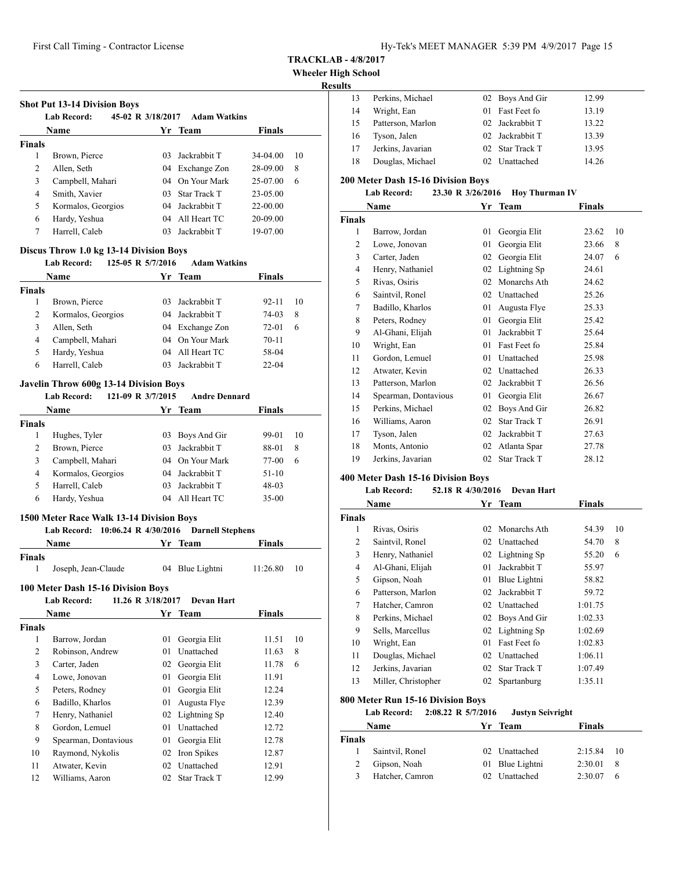**Wheeler High School**

## **Results**

| .  |                   |                 |       |
|----|-------------------|-----------------|-------|
| 13 | Perkins, Michael  | 02 Boys And Gir | 12.99 |
| 14 | Wright, Ean       | 01 Fast Feet fo | 13.19 |
| 15 | Patterson, Marlon | 02 Jackrabbit T | 13.22 |
| 16 | Tyson, Jalen      | 02 Jackrabbit T | 13.39 |
| 17 | Jerkins, Javarian | 02 Star Track T | 13.95 |
| 18 | Douglas, Michael  | 02 Unattached   | 14.26 |

### **200 Meter Dash 15-16 Division Boys**

## **Lab Record: 23.30 R 3/26/2016 Hoy Thurman IV**

|        | Name                 | Yr | <b>Team</b>         | <b>Finals</b> |    |
|--------|----------------------|----|---------------------|---------------|----|
| Finals |                      |    |                     |               |    |
| 1      | Barrow, Jordan       | 01 | Georgia Elit        | 23.62         | 10 |
| 2      | Lowe, Jonovan        | 01 | Georgia Elit        | 23.66         | 8  |
| 3      | Carter, Jaden        | 02 | Georgia Elit        | 24.07         | 6  |
| 4      | Henry, Nathaniel     | 02 | Lightning Sp        | 24.61         |    |
| 5      | Rivas, Osiris        | 02 | Monarchs Ath        | 24.62         |    |
| 6      | Saintvil, Ronel      | 02 | Unattached          | 25.26         |    |
| 7      | Badillo, Kharlos     | 01 | Augusta Flye        | 25.33         |    |
| 8      | Peters, Rodney       | 01 | Georgia Elit        | 25.42         |    |
| 9      | Al-Ghani, Elijah     | 01 | Jackrabbit T        | 25.64         |    |
| 10     | Wright, Ean          | 01 | Fast Feet fo        | 25.84         |    |
| 11     | Gordon, Lemuel       | 01 | Unattached          | 25.98         |    |
| 12     | Atwater, Kevin       | 02 | Unattached          | 26.33         |    |
| 13     | Patterson, Marlon    | 02 | Jackrabbit T        | 26.56         |    |
| 14     | Spearman, Dontavious | 01 | Georgia Elit        | 26.67         |    |
| 15     | Perkins, Michael     | 02 | Boys And Gir        | 26.82         |    |
| 16     | Williams, Aaron      | 02 | Star Track T        | 26.91         |    |
| 17     | Tyson, Jalen         | 02 | Jackrabbit T        | 27.63         |    |
| 18     | Monts, Antonio       | 02 | Atlanta Spar        | 27.78         |    |
| 19     | Jerkins, Javarian    | 02 | <b>Star Track T</b> | 28.12         |    |

### **400 Meter Dash 15-16 Division Boys**

## **Lab Record: 52.18 R 4/30/2016 Devan Hart**

|                | Name                                                                                                         | Yr | Team                | Finals  |    |  |  |
|----------------|--------------------------------------------------------------------------------------------------------------|----|---------------------|---------|----|--|--|
| <b>Finals</b>  |                                                                                                              |    |                     |         |    |  |  |
| 1              | Rivas, Osiris                                                                                                | 02 | Monarchs Ath        | 54.39   | 10 |  |  |
| $\overline{c}$ | Saintvil, Ronel                                                                                              | 02 | Unattached          | 54.70   | 8  |  |  |
| 3              | Henry, Nathaniel                                                                                             | 02 | Lightning Sp        | 55.20   | 6  |  |  |
| 4              | Al-Ghani, Elijah                                                                                             | 01 | Jackrabbit T        | 55.97   |    |  |  |
| 5              | Gipson, Noah                                                                                                 | 01 | Blue Lightni        | 58.82   |    |  |  |
| 6              | Patterson, Marlon                                                                                            | 02 | Jackrabbit T        | 59.72   |    |  |  |
| 7              | Hatcher, Camron                                                                                              | 02 | Unattached          | 1:01.75 |    |  |  |
| 8              | Perkins, Michael                                                                                             | 02 | Boys And Gir        | 1:02.33 |    |  |  |
| 9              | Sells, Marcellus                                                                                             | 02 | Lightning Sp        | 1:02.69 |    |  |  |
| 10             | Wright, Ean                                                                                                  | 01 | Fast Feet fo        | 1:02.83 |    |  |  |
| 11             | Douglas, Michael                                                                                             | 02 | Unattached          | 1:06.11 |    |  |  |
| 12             | Jerkins, Javarian                                                                                            | 02 | <b>Star Track T</b> | 1:07.49 |    |  |  |
| 13             | Miller, Christopher                                                                                          | 02 | Spartanburg         | 1:35.11 |    |  |  |
|                | 800 Meter Run 15-16 Division Boys<br><b>Lab Record:</b><br>$2:08.22$ R $5/7/2016$<br><b>Justyn Seivright</b> |    |                     |         |    |  |  |

|               | Name            | Yr Team         | <b>Finals</b> |      |
|---------------|-----------------|-----------------|---------------|------|
| <b>Finals</b> |                 |                 |               |      |
|               | Saintvil, Ronel | 02 Unattached   | 2:15.84       | - 10 |
|               | Gipson, Noah    | 01 Blue Lightni | 2:30.01       | 8    |
| $\mathcal{R}$ | Hatcher, Camron | 02 Unattached   | 2:30.07       | 6    |

| <b>Shot Put 13-14 Division Boys</b><br>45-02 R 3/18/2017<br><b>Lab Record:</b><br><b>Adam Watkins</b> |                    |         |                 |               |    |  |  |
|-------------------------------------------------------------------------------------------------------|--------------------|---------|-----------------|---------------|----|--|--|
|                                                                                                       | Name               |         | Yr Team         | <b>Finals</b> |    |  |  |
| <b>Finals</b>                                                                                         |                    |         |                 |               |    |  |  |
| 1                                                                                                     | Brown, Pierce      | 03.     | Jackrabbit T    | $34 - 04.00$  | 10 |  |  |
| $\overline{2}$                                                                                        | Allen, Seth        |         | 04 Exchange Zon | 28-09.00      | 8  |  |  |
| 3                                                                                                     | Campbell, Mahari   |         | 04 On Your Mark | 25-07.00      | 6  |  |  |
| 4                                                                                                     | Smith, Xavier      |         | 03 Star Track T | 23-05.00      |    |  |  |
| 5                                                                                                     | Kormalos, Georgios | $^{04}$ | Jackrabbit T    | $22 - 00.00$  |    |  |  |
| 6                                                                                                     | Hardy, Yeshua      | 04      | All Heart TC    | 20-09.00      |    |  |  |
| 7                                                                                                     | Harrell, Caleb     | 03      | Jackrabbit T    | 19-07.00      |    |  |  |

## **Discus Throw 1.0 kg 13-14 Division Boys**

|               | <b>Lab Record:</b> | 125-05 R 5/7/2016 | <b>Adam Watkins</b> |               |    |
|---------------|--------------------|-------------------|---------------------|---------------|----|
|               | <b>Name</b>        |                   | Yr Team             | <b>Finals</b> |    |
| <b>Finals</b> |                    |                   |                     |               |    |
|               | Brown, Pierce      |                   | 03 Jackrabbit T     | 92-11         | 10 |
| 2             | Kormalos, Georgios |                   | 04 Jackrabbit T     | 74-03         | 8  |
| 3             | Allen, Seth        |                   | 04 Exchange Zon     | 72-01         | 6  |
| 4             | Campbell, Mahari   |                   | 04 On Your Mark     | $70 - 11$     |    |
| 5             | Hardy, Yeshua      |                   | 04 All Heart TC     | 58-04         |    |

Harrell, Caleb 03 Jackrabbit T 22-04

## **Javelin Throw 600g 13-14 Division Boys**

#### **Lab Record: 121-09 R 3/7/2015 Andre Dennard**

|        | <b>Name</b>        |    | Yr Team         | <b>Finals</b> |    |  |
|--------|--------------------|----|-----------------|---------------|----|--|
| Finals |                    |    |                 |               |    |  |
|        | Hughes, Tyler      |    | 03 Boys And Gir | 99-01         | 10 |  |
|        | Brown, Pierce      | 03 | Jackrabbit T    | 88-01         | 8  |  |
| 3      | Campbell, Mahari   |    | 04 On Your Mark | 77-00         | 6  |  |
| 4      | Kormalos, Georgios |    | 04 Jackrabbit T | $51-10$       |    |  |
| 5      | Harrell, Caleb     | 03 | Jackrabbit T    | $48-03$       |    |  |
| 6      | Hardy, Yeshua      |    | 04 All Heart TC | $35 - 00$     |    |  |
|        |                    |    |                 |               |    |  |

#### **1500 Meter Race Walk 13-14 Division Boys**

#### **Lab Record: 10:06.24 R 4/30/2016 Darnell Stephens**

| <b>Name</b> |                     | Yr Team         | Finals   |     |  |
|-------------|---------------------|-----------------|----------|-----|--|
| Finals      |                     |                 |          |     |  |
|             | Joseph, Jean-Claude | 04 Blue Lightni | 11:26.80 | -10 |  |

#### **100 Meter Dash 15-16 Division Boys**

| <b>Finals</b> |
|---------------|
|               |
|               |
| 10<br>11.51   |
| 8<br>11.63    |
| 11.78<br>6    |
| 11.91         |
| 12.24         |
| 12.39         |
| 12.40         |
| 12.72         |
| 12.78         |
| 12.87         |
| 12.91         |
| 12.99         |
|               |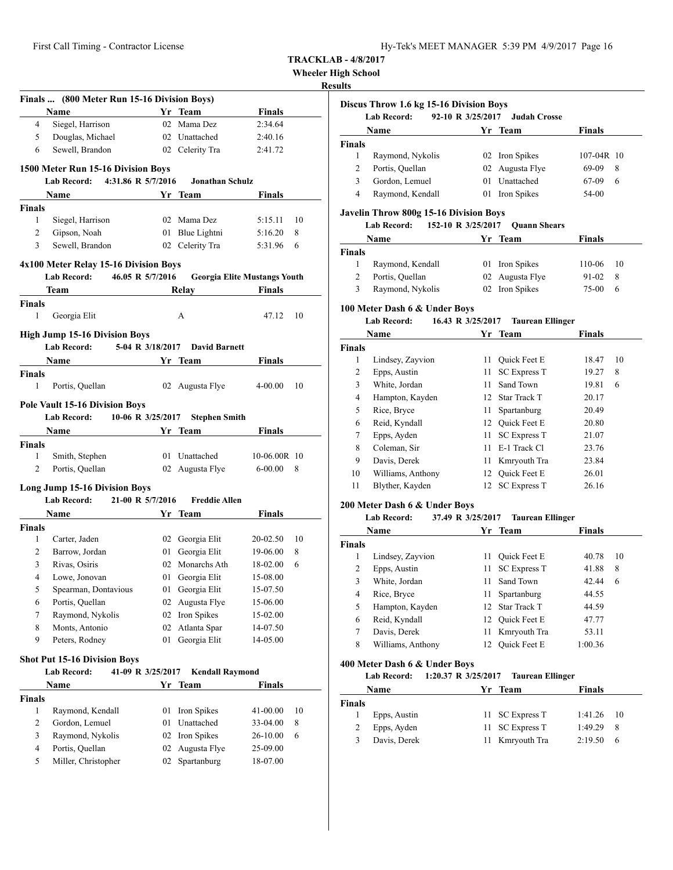**Wheeler High School**

## **Results**

|                                  | Finals  (800 Meter Run 15-16 Division Boys) |    |                        |                                     |    |
|----------------------------------|---------------------------------------------|----|------------------------|-------------------------------------|----|
|                                  | Name                                        |    | Yr Team                | <b>Finals</b>                       |    |
| 4                                | Siegel, Harrison                            |    | 02 Mama Dez            | 2:34.64                             |    |
| 5                                | Douglas, Michael                            |    | 02 Unattached          | 2:40.16                             |    |
| 6                                | Sewell, Brandon                             |    | 02 Celerity Tra        | 2:41.72                             |    |
|                                  | 1500 Meter Run 15-16 Division Boys          |    |                        |                                     |    |
|                                  | 4:31.86 R 5/7/2016<br><b>Lab Record:</b>    |    | <b>Jonathan Schulz</b> |                                     |    |
|                                  | Name                                        |    | Yr Team                | <b>Finals</b>                       |    |
| Finals                           |                                             |    |                        |                                     |    |
| 1                                | Siegel, Harrison                            |    | 02 Mama Dez            | 5:15.11                             | 10 |
| 2                                | Gipson, Noah                                |    | 01 Blue Lightni        | 5:16.20                             | 8  |
| 3                                | Sewell, Brandon                             |    | 02 Celerity Tra        | 5:31.96                             | 6  |
|                                  |                                             |    |                        |                                     |    |
|                                  | 4x100 Meter Relay 15-16 Division Boys       |    |                        |                                     |    |
|                                  | <b>Lab Record:</b><br>46.05 R 5/7/2016      |    |                        | <b>Georgia Elite Mustangs Youth</b> |    |
|                                  | Team                                        |    | Relay                  | <b>Finals</b>                       |    |
| Finals                           |                                             |    |                        |                                     |    |
| 1                                | Georgia Elit                                |    | А                      | 47.12                               | 10 |
|                                  | <b>High Jump 15-16 Division Boys</b>        |    |                        |                                     |    |
|                                  | 5-04 R 3/18/2017<br>Lab Record:             |    | <b>David Barnett</b>   |                                     |    |
|                                  | <b>Name</b>                                 |    | Yr Team                | Finals                              |    |
| Finals                           |                                             |    |                        |                                     |    |
| 1                                | Portis, Quellan                             |    | 02 Augusta Flye        | $4 - 00.00$                         | 10 |
|                                  |                                             |    |                        |                                     |    |
|                                  | <b>Pole Vault 15-16 Division Boys</b>       |    |                        |                                     |    |
|                                  | <b>Lab Record:</b><br>10-06 R 3/25/2017     |    | <b>Stephen Smith</b>   |                                     |    |
|                                  | Name                                        |    | Yr Team                | Finals                              |    |
| Finals<br>1                      | Smith, Stephen                              |    | 01 Unattached          | 10-06.00R 10                        |    |
| 2                                | Portis, Quellan                             |    | 02 Augusta Flye        | $6 - 00.00$                         | 8  |
|                                  |                                             |    |                        |                                     |    |
|                                  | Long Jump 15-16 Division Boys               |    |                        |                                     |    |
|                                  | <b>Lab Record:</b><br>21-00 R 5/7/2016      |    | <b>Freddie Allen</b>   |                                     |    |
|                                  |                                             |    |                        |                                     |    |
|                                  | Name                                        |    | Yr Team                | Finals                              |    |
|                                  |                                             |    |                        |                                     |    |
| 1                                | Carter, Jaden                               | 02 | Georgia Elit           | 20-02.50                            | 10 |
| $\overline{c}$                   | Barrow, Jordan                              | 01 | Georgia Elit           | 19-06.00                            | 8  |
| 3                                | Rivas, Osiris                               |    | 02 Monarchs Ath        | 18-02.00                            | 6  |
| 4                                | Lowe, Jonovan                               |    | 01 Georgia Elit        | 15-08.00                            |    |
| 5                                | Spearman, Dontavious                        | 01 | Georgia Elit           | 15-07.50                            |    |
| 6                                | Portis, Quellan                             | 02 | Augusta Flye           | 15-06.00                            |    |
| 7                                | Raymond, Nykolis                            | 02 | Iron Spikes            | 15-02.00                            |    |
| 8                                | Monts, Antonio                              | 02 | Atlanta Spar           | 14-07.50                            |    |
| 9                                | Peters, Rodney                              | 01 | Georgia Elit           | 14-05.00                            |    |
|                                  | <b>Shot Put 15-16 Division Boys</b>         |    |                        |                                     |    |
|                                  | Lab Record:<br>41-09 R 3/25/2017            |    | <b>Kendall Raymond</b> |                                     |    |
|                                  | Name                                        |    | Yr Team                | <b>Finals</b>                       |    |
|                                  |                                             |    |                        |                                     |    |
| 1                                | Raymond, Kendall                            | 01 | Iron Spikes            | 41-00.00                            | 10 |
| Finals<br>Finals<br>$\mathbf{2}$ | Gordon, Lemuel                              | 01 | Unattached             | 33-04.00                            | 8  |
| 3                                | Raymond, Nykolis                            | 02 | Iron Spikes            | 26-10.00                            | 6  |
| $\overline{\mathcal{L}}$         | Portis, Quellan                             | 02 | Augusta Flye           | 25-09.00                            |    |

|               | Discus Throw 1.6 kg 15-16 Division Boys<br><b>Lab Record:</b> | 92-10 R 3/25/2017 | <b>Judah Crosse</b> |               |   |
|---------------|---------------------------------------------------------------|-------------------|---------------------|---------------|---|
|               | <b>Name</b>                                                   |                   | Yr Team             | <b>Finals</b> |   |
| <b>Finals</b> |                                                               |                   |                     |               |   |
|               | Raymond, Nykolis                                              |                   | 02 Iron Spikes      | 107-04R 10    |   |
| 2             | Portis, Quellan                                               |                   | 02 Augusta Flye     | 69-09         | 8 |
| 3             | Gordon, Lemuel                                                | 01                | Unattached          | 67-09         | 6 |
| 4             | Raymond, Kendall                                              |                   | 01 Iron Spikes      | 54-00         |   |

## **Javelin Throw 800g 15-16 Division Boys**

| Lab Record: |  | 152-10 R 3/25/2017 | <b>Ouann Shears</b> |  |
|-------------|--|--------------------|---------------------|--|
|-------------|--|--------------------|---------------------|--|

|               | Name             | Yr Team         | <b>Finals</b> |      |
|---------------|------------------|-----------------|---------------|------|
| <b>Finals</b> |                  |                 |               |      |
|               | Raymond, Kendall | 01 Iron Spikes  | 110-06        | - 10 |
| 2             | Portis, Quellan  | 02 Augusta Flye | $91 - 02$     | - 8  |
| 3             | Raymond, Nykolis | 02 Iron Spikes  | 75-00         | 6    |

## **100 Meter Dash 6 & Under Boys**

## **Lab Record: 16.43 R 3/25/2017 Taurean Ellinger**

|               | Name              | Yr   | <b>Team</b>         | <b>Finals</b> |    |
|---------------|-------------------|------|---------------------|---------------|----|
| <b>Finals</b> |                   |      |                     |               |    |
| 1             | Lindsey, Zayvion  | 11   | Quick Feet E        | 18.47         | 10 |
| 2             | Epps, Austin      | 11 - | <b>SC Express T</b> | 19.27         | 8  |
| 3             | White, Jordan     | 11.  | Sand Town           | 19.81         | 6  |
| 4             | Hampton, Kayden   |      | 12 Star Track T     | 20.17         |    |
| 5             | Rice, Bryce       | 11 - | Spartanburg         | 20.49         |    |
| 6             | Reid, Kyndall     |      | 12 Ouick Feet E     | 20.80         |    |
| 7             | Epps, Ayden       |      | 11 SC Express T     | 21.07         |    |
| 8             | Coleman, Sir      | 11   | E-1 Track Cl        | 23.76         |    |
| 9             | Davis, Derek      | 11.  | Kmryouth Tra        | 23.84         |    |
| 10            | Williams, Anthony | 12.  | Quick Feet E        | 26.01         |    |
| 11            | Blyther, Kayden   | 12.  | <b>SC Express T</b> | 26.16         |    |

#### **200 Meter Dash 6 & Under Boys**

#### **Lab Record: 37.49 R 3/25/2017 Taurean Ellinger**

|               |                   |    |                     | o             |    |
|---------------|-------------------|----|---------------------|---------------|----|
|               | Name              |    | Yr Team             | <b>Finals</b> |    |
| <b>Finals</b> |                   |    |                     |               |    |
| 1             | Lindsey, Zayvion  | 11 | <b>Ouick Feet E</b> | 40.78         | 10 |
| 2             | Epps, Austin      | 11 | <b>SC Express T</b> | 41.88         | 8  |
| 3             | White, Jordan     | 11 | Sand Town           | 42.44         | 6  |
| 4             | Rice, Bryce       | 11 | Spartanburg         | 44.55         |    |
| 5             | Hampton, Kayden   |    | 12 Star Track T     | 44.59         |    |
| 6             | Reid, Kyndall     |    | 12 Ouick Feet E     | 47.77         |    |
| 7             | Davis, Derek      | 11 | Kmryouth Tra        | 53.11         |    |
| 8             | Williams, Anthony |    | <b>Ouick Feet E</b> | 1:00.36       |    |

#### **400 Meter Dash 6 & Under Boys**

#### **Lab Record: 1:20.37 R 3/25/2017 Taurean Ellinger**

|               | <b>Name</b>  |  | Yr Team         | <b>Finals</b> |     |
|---------------|--------------|--|-----------------|---------------|-----|
| <b>Finals</b> |              |  |                 |               |     |
|               | Epps, Austin |  | 11 SC Express T | $1:41.26$ 10  |     |
|               | Epps, Ayden  |  | 11 SC Express T | 1:49.29       | - 8 |
|               | Davis, Derek |  | 11 Kmryouth Tra | 2:19.50       | 6   |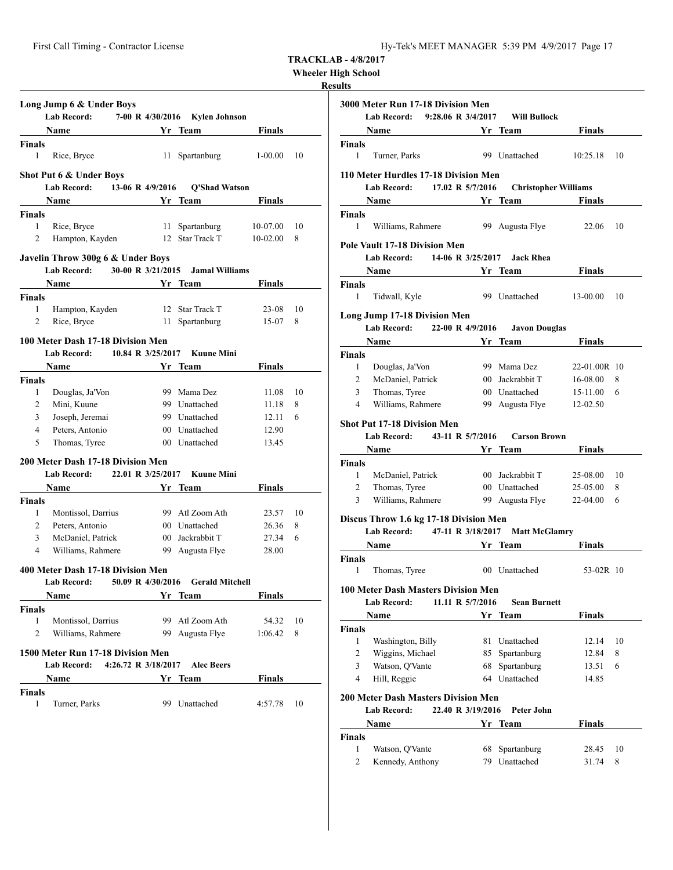| Wheeler High School |  |  |
|---------------------|--|--|
|---------------------|--|--|

|                       | Long Jump 6 & Under Boys<br><b>Lab Record:</b> |                               | 7-00 R 4/30/2016 Kylen Johnson |               |    |
|-----------------------|------------------------------------------------|-------------------------------|--------------------------------|---------------|----|
|                       | <b>Name</b>                                    |                               | Yr Team                        | Finals        |    |
| <b>Finals</b>         |                                                |                               |                                |               |    |
| $\mathbf{1}$          | Rice, Bryce                                    | 11 -                          | Spartanburg                    | $1-00.00$     | 10 |
|                       | <b>Shot Put 6 &amp; Under Boys</b>             |                               |                                |               |    |
|                       | Lab Record: 13-06 R 4/9/2016                   |                               | <b>Q'Shad Watson</b>           |               |    |
|                       |                                                |                               | Yr Team                        | <b>Finals</b> |    |
| <b>Finals</b>         |                                                |                               |                                |               |    |
| 1                     | Rice, Bryce                                    |                               | 11 Spartanburg                 | 10-07.00      | 10 |
| 2                     | Hampton, Kayden                                |                               | 12 Star Track T                | $10-02.00$    | 8  |
|                       | Javelin Throw 300g 6 & Under Boys              |                               |                                |               |    |
|                       | Lab Record: 30-00 R 3/21/2015                  |                               | <b>Jamal Williams</b>          |               |    |
|                       | Name                                           | <b>Solution Strategy</b> Team |                                | Finals        |    |
| <b>Finals</b>         |                                                |                               |                                |               |    |
| 1                     | Hampton, Kayden                                |                               | 12 Star Track T                | 23-08         | 10 |
| 2                     | Rice, Bryce                                    |                               | 11 Spartanburg                 | 15-07         | 8  |
|                       | 100 Meter Dash 17-18 Division Men              |                               |                                |               |    |
|                       | Lab Record:                                    | 10.84 R 3/25/2017             | <b>Kuune Mini</b>              |               |    |
|                       | Name                                           |                               | Yr Team                        | Finals        |    |
| <b>Finals</b>         |                                                |                               |                                |               |    |
| $\mathbf{1}$          | Douglas, Ja'Von                                |                               | 99 Mama Dez                    | 11.08         | 10 |
| 2                     | Mini, Kuune                                    |                               | 99 Unattached                  | 11.18         | 8  |
| 3                     | Joseph, Jeremai                                |                               | 99 Unattached                  | 12.11         | 6  |
| 4                     | Peters, Antonio                                |                               | 00 Unattached                  | 12.90         |    |
| 5                     | Thomas, Tyree                                  |                               | 00 Unattached                  | 13.45         |    |
|                       | 200 Meter Dash 17-18 Division Men              |                               |                                |               |    |
|                       | Lab Record: 22.01 R 3/25/2017                  |                               | <b>Kuune Mini</b>              |               |    |
|                       | Name                                           |                               | Yr Team                        | Finals        |    |
| <b>Finals</b>         |                                                |                               |                                |               |    |
| 1                     | Montissol, Darrius                             |                               | 99 Atl Zoom Ath                | 23.57         | 10 |
| $\mathbf{2}^{\prime}$ | Peters, Antonio                                |                               | 00 Unattached                  | 26.36         | 8  |
| 3                     | McDaniel, Patrick                              |                               | 00 Jackrabbit T                | 27.34         | 6  |
| 4                     | Williams, Rahmere                              |                               | 99 Augusta Flye                | 28.00         |    |
|                       | 400 Meter Dash 17-18 Division Men              |                               |                                |               |    |
|                       | Lab Record:                                    | 50.09 R 4/30/2016             | <b>Gerald Mitchell</b>         |               |    |
|                       | Name                                           |                               | Yr Team                        | <b>Finals</b> |    |
| Finals                |                                                |                               |                                |               |    |
| 1                     | Montissol, Darrius                             |                               | 99 Atl Zoom Ath                | 54.32         | 10 |
| 2                     | Williams, Rahmere                              |                               | 99 Augusta Flye                | 1:06.42       | 8  |
|                       | 1500 Meter Run 17-18 Division Men              |                               |                                |               |    |
|                       | <b>Lab Record:</b>                             | 4:26.72 R 3/18/2017           | <b>Alec Beers</b>              |               |    |
|                       | Name                                           | Yr                            | Team                           | Finals        |    |
| Finals<br>1           | Turner, Parks                                  | 99                            | Unattached                     | 4:57.78       | 10 |

|                | 3000 Meter Run 17-18 Division Men<br>Lab Record: 9:28.06 R 3/4/2017                                                                |    | <b>Will Bullock</b>                     |               |    |
|----------------|------------------------------------------------------------------------------------------------------------------------------------|----|-----------------------------------------|---------------|----|
|                |                                                                                                                                    |    |                                         | <b>Finals</b> |    |
| Finals         | Name                                                                                                                               |    | Yr Team                                 |               |    |
| 1              | Turner, Parks                                                                                                                      |    | 99 Unattached                           | 10:25.18      | 10 |
|                | 110 Meter Hurdles 17-18 Division Men                                                                                               |    |                                         |               |    |
|                | Lab Record: 17.02 R 5/7/2016                                                                                                       |    | <b>Christopher Williams</b>             |               |    |
|                | Name                                                                                                                               |    | <b>Solution Secure 2 Yr Team Finals</b> |               |    |
| Finals         |                                                                                                                                    |    |                                         |               |    |
| 1              | Williams, Rahmere                                                                                                                  |    | 99 Augusta Flye                         | 22.06         | 10 |
|                | Pole Vault 17-18 Division Men                                                                                                      |    |                                         |               |    |
|                | Lab Record: 14-06 R 3/25/2017 Jack Rhea                                                                                            |    |                                         |               |    |
|                | <b>Name</b><br><b>Example 18 Service Street Service Street Service Street Service Street Service Street Service Street Service</b> |    |                                         | Finals        |    |
| Finals         |                                                                                                                                    |    |                                         |               |    |
| 1              | Tidwall, Kyle                                                                                                                      |    | 99 Unattached                           | 13-00.00      | 10 |
|                | <b>Long Jump 17-18 Division Men</b>                                                                                                |    |                                         |               |    |
|                | <b>Lab Record:</b><br>22-00 R 4/9/2016                                                                                             |    | <b>Javon Douglas</b>                    |               |    |
|                | Name                                                                                                                               |    | Yr Team                                 | <b>Finals</b> |    |
| Finals         |                                                                                                                                    |    |                                         |               |    |
| 1              | Douglas, Ja'Von                                                                                                                    |    | 99 Mama Dez                             | 22-01.00R 10  |    |
| 2              | McDaniel, Patrick                                                                                                                  |    | 00 Jackrabbit T                         | 16-08.00      | 8  |
| 3              | Thomas, Tyree                                                                                                                      |    | 00 Unattached                           | 15-11.00      | 6  |
| $\overline{4}$ | Williams, Rahmere                                                                                                                  |    | 99 Augusta Flye                         | 12-02.50      |    |
|                | <b>Shot Put 17-18 Division Men</b>                                                                                                 |    |                                         |               |    |
|                | Lab Record: 43-11 R 5/7/2016                                                                                                       |    | <b>Carson Brown</b>                     |               |    |
|                | Name                                                                                                                               |    | Yr Team                                 | <b>Finals</b> |    |
| Finals         |                                                                                                                                    |    |                                         |               |    |
| 1              | McDaniel, Patrick                                                                                                                  |    | 00 Jackrabbit T                         | 25-08.00      | 10 |
| 2              | Thomas, Tyree                                                                                                                      |    | 00 Unattached                           | 25-05.00      | 8  |
| 3              | Williams, Rahmere                                                                                                                  |    | 99 Augusta Flye                         | 22-04.00      | 6  |
|                | Discus Throw 1.6 kg 17-18 Division Men                                                                                             |    |                                         |               |    |
|                | Lab Record: 47-11 R 3/18/2017 Matt McGlamry                                                                                        |    |                                         |               |    |
|                | Name                                                                                                                               |    | Yr Team                                 | Finals        |    |
| Finals<br>1    |                                                                                                                                    |    | 00 Unattached                           | $53-02R$ 10   |    |
|                | Thomas, Tyree                                                                                                                      |    |                                         |               |    |
|                | <b>100 Meter Dash Masters Division Men</b>                                                                                         |    |                                         |               |    |
|                | <b>Lab Record:</b><br>11.11 R 5/7/2016                                                                                             |    | <b>Sean Burnett</b>                     |               |    |
|                | Name                                                                                                                               |    | Yr Team                                 | <b>Finals</b> |    |
| Finals         |                                                                                                                                    |    |                                         |               |    |
| 1              | Washington, Billy                                                                                                                  | 81 | Unattached                              | 12.14         | 10 |
| $\mathbf{2}$   | Wiggins, Michael                                                                                                                   |    | 85 Spartanburg                          | 12.84         | 8  |
| 3              | Watson, Q'Vante                                                                                                                    | 68 | Spartanburg                             | 13.51         | 6  |
| 4              | Hill, Reggie                                                                                                                       |    | 64 Unattached                           | 14.85         |    |
|                | <b>200 Meter Dash Masters Division Men</b>                                                                                         |    |                                         |               |    |
|                | <b>Lab Record:</b><br>22.40 R 3/19/2016                                                                                            |    | Peter John                              |               |    |
|                | Name                                                                                                                               | Yr | <b>Team</b>                             | <b>Finals</b> |    |
| Finals         |                                                                                                                                    |    |                                         |               |    |
| 1              | Watson, Q'Vante                                                                                                                    |    | 68 Spartanburg                          | 28.45         | 10 |
| 2              | Kennedy, Anthony                                                                                                                   |    | 79 Unattached                           | 31.74         | 8  |
|                |                                                                                                                                    |    |                                         |               |    |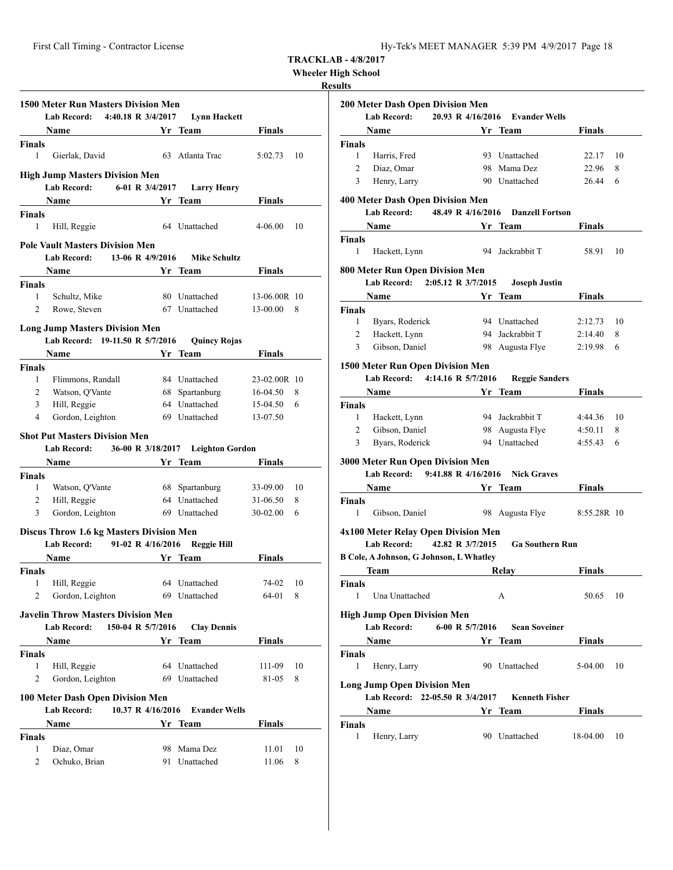**Wheeler High School**

| <b>1500 Meter Run Masters Division Men</b><br><b>Lab Record:</b><br>4:40.18 R 3/4/2017<br><b>Lynn Hackett</b>                                 |                                                                                                                                                                                                                               |  |                     |               |    |  |  |  |  |  |
|-----------------------------------------------------------------------------------------------------------------------------------------------|-------------------------------------------------------------------------------------------------------------------------------------------------------------------------------------------------------------------------------|--|---------------------|---------------|----|--|--|--|--|--|
|                                                                                                                                               | Name and the same state of the state of the state of the state of the state of the state of the state of the state of the state of the state of the state of the state of the state of the state of the state of the state of |  | Yr Team             | Finals        |    |  |  |  |  |  |
| <b>Finals</b>                                                                                                                                 |                                                                                                                                                                                                                               |  |                     |               |    |  |  |  |  |  |
| 1                                                                                                                                             | Gierlak, David                                                                                                                                                                                                                |  | 63 Atlanta Trac     | 5:02.73       | 10 |  |  |  |  |  |
| <b>High Jump Masters Division Men</b><br>Lab Record:<br>6-01 R 3/4/2017<br><b>Larry Henry</b>                                                 |                                                                                                                                                                                                                               |  |                     |               |    |  |  |  |  |  |
|                                                                                                                                               | <b>Name</b><br><b>Example 18</b> Yr                                                                                                                                                                                           |  | <b>Team</b>         | <b>Finals</b> |    |  |  |  |  |  |
| Finals                                                                                                                                        |                                                                                                                                                                                                                               |  |                     |               |    |  |  |  |  |  |
| $\mathbf{1}$                                                                                                                                  | Hill, Reggie                                                                                                                                                                                                                  |  | 64 Unattached       | 4-06.00       | 10 |  |  |  |  |  |
| <b>Pole Vault Masters Division Men</b>                                                                                                        |                                                                                                                                                                                                                               |  |                     |               |    |  |  |  |  |  |
|                                                                                                                                               | 13-06 R 4/9/2016<br>Lab Record:                                                                                                                                                                                               |  | <b>Mike Schultz</b> |               |    |  |  |  |  |  |
|                                                                                                                                               | Name                                                                                                                                                                                                                          |  | Yr Team             | Finals        |    |  |  |  |  |  |
| <b>Finals</b>                                                                                                                                 |                                                                                                                                                                                                                               |  |                     |               |    |  |  |  |  |  |
| $\mathbf{1}$                                                                                                                                  | Schultz, Mike                                                                                                                                                                                                                 |  | 80 Unattached       | 13-06.00R 10  |    |  |  |  |  |  |
| 2                                                                                                                                             | Rowe, Steven                                                                                                                                                                                                                  |  | 67 Unattached       | 13-00.00      | 8  |  |  |  |  |  |
|                                                                                                                                               | <b>Long Jump Masters Division Men</b>                                                                                                                                                                                         |  |                     |               |    |  |  |  |  |  |
|                                                                                                                                               | Lab Record: 19-11.50 R 5/7/2016                                                                                                                                                                                               |  | <b>Quincy Rojas</b> |               |    |  |  |  |  |  |
|                                                                                                                                               | Name                                                                                                                                                                                                                          |  | Yr Team             | <b>Finals</b> |    |  |  |  |  |  |
| <b>Finals</b>                                                                                                                                 |                                                                                                                                                                                                                               |  |                     |               |    |  |  |  |  |  |
| $\mathbf{1}$                                                                                                                                  | Flimmons, Randall                                                                                                                                                                                                             |  | 84 Unattached       | 23-02.00R 10  |    |  |  |  |  |  |
| 2                                                                                                                                             | Watson, Q'Vante                                                                                                                                                                                                               |  | 68 Spartanburg      | 16-04.50      | 8  |  |  |  |  |  |
| 3                                                                                                                                             | Hill, Reggie                                                                                                                                                                                                                  |  | 64 Unattached       | 15-04.50      | 6  |  |  |  |  |  |
| $\overline{4}$                                                                                                                                | Gordon, Leighton                                                                                                                                                                                                              |  | 69 Unattached       | 13-07.50      |    |  |  |  |  |  |
| <b>Shot Put Masters Division Men</b><br><b>Lab Record:</b><br>36-00 R 3/18/2017<br><b>Leighton Gordon</b><br>Yr Team<br><b>Finals</b><br>Name |                                                                                                                                                                                                                               |  |                     |               |    |  |  |  |  |  |
| <b>Finals</b>                                                                                                                                 |                                                                                                                                                                                                                               |  |                     |               |    |  |  |  |  |  |
| 1                                                                                                                                             | Watson, Q'Vante                                                                                                                                                                                                               |  | 68 Spartanburg      | 33-09.00      | 10 |  |  |  |  |  |
| 2                                                                                                                                             | Hill, Reggie                                                                                                                                                                                                                  |  | 64 Unattached       | 31-06.50      | 8  |  |  |  |  |  |
| 3                                                                                                                                             | Gordon, Leighton                                                                                                                                                                                                              |  | 69 Unattached       | 30-02.00      | 6  |  |  |  |  |  |
|                                                                                                                                               | <b>Discus Throw 1.6 kg Masters Division Men</b><br>Lab Record: 91-02 R 4/16/2016 Reggie Hill                                                                                                                                  |  |                     |               |    |  |  |  |  |  |
|                                                                                                                                               | Name                                                                                                                                                                                                                          |  | Yr Team             | Finals        |    |  |  |  |  |  |
| <b>Finals</b>                                                                                                                                 |                                                                                                                                                                                                                               |  |                     |               |    |  |  |  |  |  |
|                                                                                                                                               | 1 Hill, Reggie                                                                                                                                                                                                                |  | 64 Unattached       | 74-02 10      |    |  |  |  |  |  |
| 2                                                                                                                                             | Gordon, Leighton                                                                                                                                                                                                              |  |                     | 64-01         | 8  |  |  |  |  |  |
| 69 Unattached<br><b>Javelin Throw Masters Division Men</b>                                                                                    |                                                                                                                                                                                                                               |  |                     |               |    |  |  |  |  |  |
|                                                                                                                                               | 150-04 R 5/7/2016<br><b>Lab Record:</b>                                                                                                                                                                                       |  | <b>Clay Dennis</b>  |               |    |  |  |  |  |  |
|                                                                                                                                               | Name Yr Team                                                                                                                                                                                                                  |  |                     | <b>Finals</b> |    |  |  |  |  |  |
| <b>Finals</b>                                                                                                                                 |                                                                                                                                                                                                                               |  |                     |               |    |  |  |  |  |  |
| 1                                                                                                                                             | Hill, Reggie                                                                                                                                                                                                                  |  | 64 Unattached       | 111-09        | 10 |  |  |  |  |  |
| 2                                                                                                                                             | Gordon, Leighton                                                                                                                                                                                                              |  | 69 Unattached       | 81-05         | 8  |  |  |  |  |  |
| 100 Meter Dash Open Division Men<br>Lab Record: 10.37 R 4/16/2016<br><b>Evander Wells</b>                                                     |                                                                                                                                                                                                                               |  |                     |               |    |  |  |  |  |  |
|                                                                                                                                               | Name                                                                                                                                                                                                                          |  | Yr Team             | <b>Finals</b> |    |  |  |  |  |  |
| Finals                                                                                                                                        |                                                                                                                                                                                                                               |  |                     |               |    |  |  |  |  |  |
| 1                                                                                                                                             | Diaz, Omar                                                                                                                                                                                                                    |  | 98 Mama Dez         | 11.01         | 10 |  |  |  |  |  |
| $\overline{2}$                                                                                                                                | Ochuko, Brian                                                                                                                                                                                                                 |  | 91 Unattached       | 11.06         | 8  |  |  |  |  |  |
|                                                                                                                                               |                                                                                                                                                                                                                               |  |                     |               |    |  |  |  |  |  |

| 200 Meter Dash Open Division Men                                   |                                             |               |    |
|--------------------------------------------------------------------|---------------------------------------------|---------------|----|
| <b>Lab Record:</b>                                                 | 20.93 R 4/16/2016<br><b>Evander Wells</b>   |               |    |
| Name                                                               | Yr Team                                     | Finals        |    |
| <b>Finals</b>                                                      |                                             |               |    |
| 1<br>Harris, Fred                                                  | 93 Unattached                               | 22.17         | 10 |
| $\overline{2}$<br>Diaz, Omar                                       | 98 Mama Dez                                 | 22.96         | 8  |
| 3<br>Henry, Larry                                                  | 90 Unattached                               | 26.44         | 6  |
| <b>400 Meter Dash Open Division Men</b><br><b>Lab Record:</b>      | 48.49 R 4/16/2016<br><b>Danzell Fortson</b> |               |    |
| Name                                                               | Yr Team                                     | <b>Finals</b> |    |
| Finals                                                             |                                             |               |    |
| Hackett, Lynn<br>1                                                 | 94 Jackrabbit T                             | 58.91         | 10 |
| 800 Meter Run Open Division Men                                    |                                             |               |    |
| Lab Record: 2:05.12 R 3/7/2015                                     | <b>Joseph Justin</b>                        |               |    |
| Name                                                               | Yr Team                                     | Finals        |    |
| <b>Finals</b>                                                      |                                             |               |    |
| 1<br>Byars, Roderick                                               | 94 Unattached                               | 2:12.73       | 10 |
| 2<br>Hackett, Lynn                                                 | 94 Jackrabbit T                             | 2:14.40       | 8  |
| Gibson, Daniel<br>3                                                | 98 Augusta Flye                             | 2:19.98       | 6  |
| 1500 Meter Run Open Division Men<br>Lab Record: 4:14.16 R 5/7/2016 | <b>Reggie Sanders</b>                       |               |    |
| Name                                                               | Yr Team                                     | Finals        |    |
| <b>Finals</b>                                                      |                                             |               |    |
| 1<br>Hackett, Lynn                                                 | 94 Jackrabbit T                             | 4:44.36       | 10 |
| Gibson, Daniel<br>2                                                | 98 Augusta Flye                             | 4:50.11       | 8  |
| Byars, Roderick<br>3                                               | 94 Unattached                               | 4:55.43       | 6  |
|                                                                    |                                             |               |    |
| <b>3000 Meter Run Open Division Men</b><br>Lab Record:             | 9:41.88 R 4/16/2016<br><b>Nick Graves</b>   |               |    |
| Name                                                               | Yr Team                                     | Finals        |    |
| <b>Finals</b>                                                      |                                             |               |    |
| 1<br>Gibson, Daniel                                                | 98 Augusta Flye                             | 8:55.28R 10   |    |
| 4x100 Meter Relay Open Division Men                                |                                             |               |    |
| <b>Lab Record:</b>                                                 | 42.82 R 3/7/2015<br><b>Ga Southern Run</b>  |               |    |
| B Cole, A Johnson, G Johnson, L Whatley                            |                                             |               |    |
| Team                                                               | Relav                                       | Finals        |    |
| Finals                                                             |                                             |               |    |
| 1<br>Una Unattached                                                | А                                           | 50.65         | 10 |
| <b>High Jump Open Division Men</b>                                 |                                             |               |    |
| Lab Record:                                                        | 6-00 R 5/7/2016<br><b>Sean Soveiner</b>     |               |    |
| Name                                                               | Yr Team                                     | Finals        |    |
| Finals                                                             |                                             |               |    |
| 1<br>Henry, Larry                                                  | 90 Unattached                               | 5-04.00       | 10 |
| <b>Long Jump Open Division Men</b>                                 |                                             |               |    |
| Lab Record: 22-05.50 R 3/4/2017                                    | <b>Kenneth Fisher</b>                       |               |    |
| Name                                                               | Yr.<br>Team                                 | Finals        |    |
| <b>Finals</b>                                                      |                                             |               |    |
| 1                                                                  | 90 Unattached                               | 18-04.00      | 10 |
| Henry, Larry                                                       |                                             |               |    |